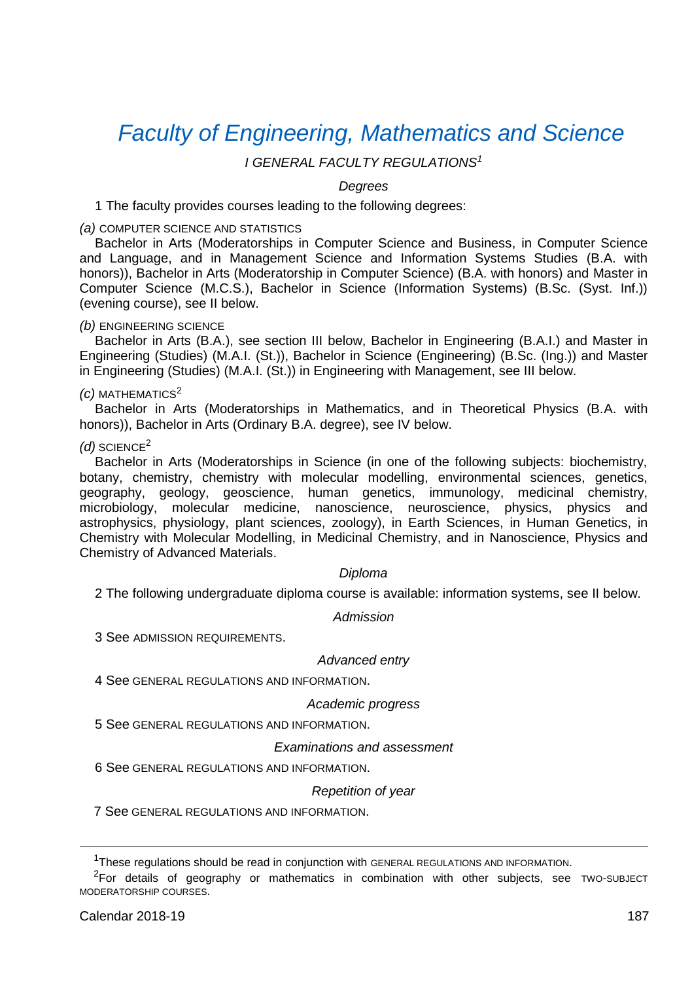# *[Faculty of Engineering, Mathematics and Science](http://ems.tcd.ie/)*

## *I GENERAL FACULTY REGULATIONS<sup>1</sup>*

#### *Degrees*

1 The faculty provides courses leading to the following degrees:

#### *(a)* COMPUTER SCIENCE AND STATISTICS

Bachelor in Arts (Moderatorships in Computer Science and Business, in Computer Science and Language, and in Management Science and Information Systems Studies (B.A. with honors)), Bachelor in Arts (Moderatorship in Computer Science) (B.A. with honors) and Master in Computer Science (M.C.S.), Bachelor in Science (Information Systems) (B.Sc. (Syst. Inf.)) (evening course), see II below.

## *(b)* ENGINEERING SCIENCE

Bachelor in Arts (B.A.), see section III below, Bachelor in Engineering (B.A.I.) and Master in Engineering (Studies) (M.A.I. (St.)), Bachelor in Science (Engineering) (B.Sc. (Ing.)) and Master in Engineering (Studies) (M.A.I. (St.)) in Engineering with Management, see III below.

#### <span id="page-0-0"></span>*(c)* MATHEMATICS<sup>2</sup>

Bachelor in Arts (Moderatorships in Mathematics, and in Theoretical Physics (B.A. with honors)), Bachelor in Arts (Ordinary B.A. degree), see IV below.

#### *(d)* SCIENCE[2](#page-0-0)

Bachelor in Arts (Moderatorships in Science (in one of the following subjects: biochemistry, botany, chemistry, chemistry with molecular modelling, environmental sciences, genetics, geography, geology, geoscience, human genetics, immunology, medicinal chemistry, microbiology, molecular medicine, nanoscience, neuroscience, physics, physics and astrophysics, physiology, plant sciences, zoology), in Earth Sciences, in Human Genetics, in Chemistry with Molecular Modelling, in Medicinal Chemistry, and in Nanoscience, Physics and Chemistry of Advanced Materials.

#### *Diploma*

2 The following undergraduate diploma course is available: information systems, see II below.

*Admission*

3 See ADMISSION REQUIREMENTS.

#### *Advanced entry*

4 See GENERAL REGULATIONS AND INFORMATION.

#### *Academic progress*

5 See GENERAL REGULATIONS AND INFORMATION.

### *Examinations and assessment*

6 See GENERAL REGULATIONS AND INFORMATION.

#### *Repetition of year*

7 See GENERAL REGULATIONS AND INFORMATION.

<sup>&</sup>lt;sup>1</sup>These regulations should be read in conjunction with GENERAL REGULATIONS AND INFORMATION.

<sup>2</sup>For details of geography or mathematics in combination with other subjects, see TWO-SUBJECT MODERATORSHIP COURSES.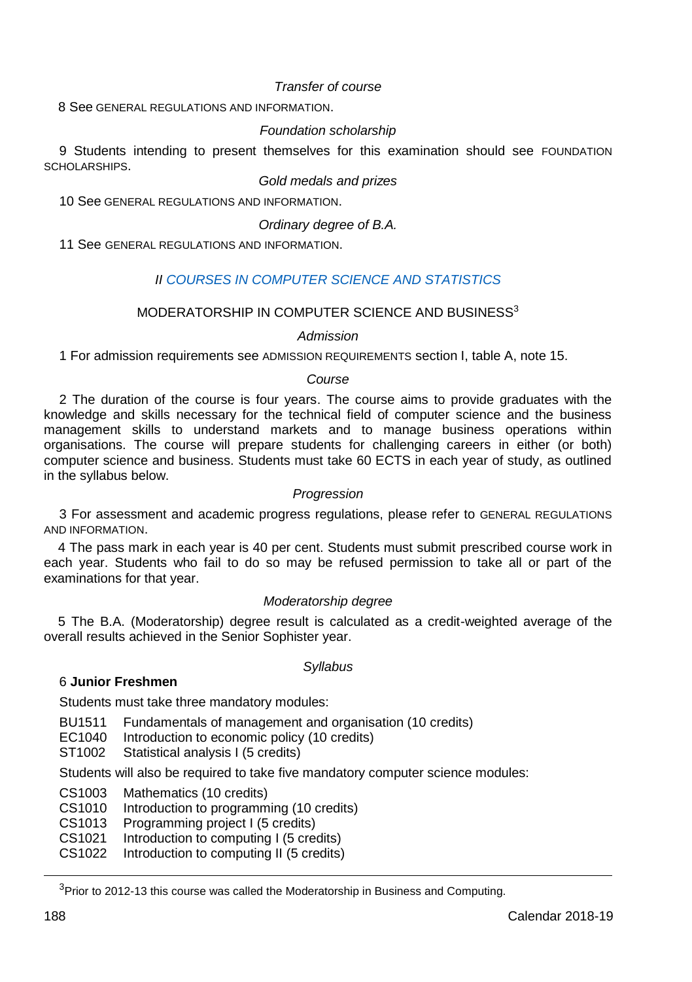## *Transfer of course*

8 See GENERAL REGULATIONS AND INFORMATION.

## *Foundation scholarship*

9 Students intending to present themselves for this examination should see FOUNDATION SCHOLARSHIPS.

## *Gold medals and prizes*

10 See GENERAL REGULATIONS AND INFORMATION.

*Ordinary degree of B.A.*

11 See GENERAL REGULATIONS AND INFORMATION.

## *II [COURSES IN COMPUTER SCIENCE](https://www.scss.tcd.ie/) AND STATISTICS*

## MODERATORSHIP IN COMPLITER SCIENCE AND BUSINESS<sup>3</sup>

#### *Admission*

1 For admission requirements see ADMISSION REQUIREMENTS section I, table A, note 15.

#### *Course*

2 The duration of the course is four years. The course aims to provide graduates with the knowledge and skills necessary for the technical field of computer science and the business management skills to understand markets and to manage business operations within organisations. The course will prepare students for challenging careers in either (or both) computer science and business. Students must take 60 ECTS in each year of study, as outlined in the syllabus below.

#### *Progression*

3 For assessment and academic progress regulations, please refer to GENERAL REGULATIONS AND INFORMATION.

4 The pass mark in each year is 40 per cent. Students must submit prescribed course work in each year. Students who fail to do so may be refused permission to take all or part of the examinations for that year.

## *Moderatorship degree*

5 The B.A. (Moderatorship) degree result is calculated as a credit-weighted average of the overall results achieved in the Senior Sophister year.

#### *Syllabus*

## 6 **Junior Freshmen**

Students must take three mandatory modules:

BU1511 Fundamentals of management and organisation (10 credits)

- EC1040 Introduction to economic policy (10 credits)
- ST1002 Statistical analysis I (5 credits)

Students will also be required to take five mandatory computer science modules:

CS1003 Mathematics (10 credits)

CS1010 Introduction to programming (10 credits)

CS1013 Programming project I (5 credits)

CS1021 Introduction to computing I (5 credits)

CS1022 Introduction to computing II (5 credits)

 $3$ Prior to 2012-13 this course was called the Moderatorship in Business and Computing.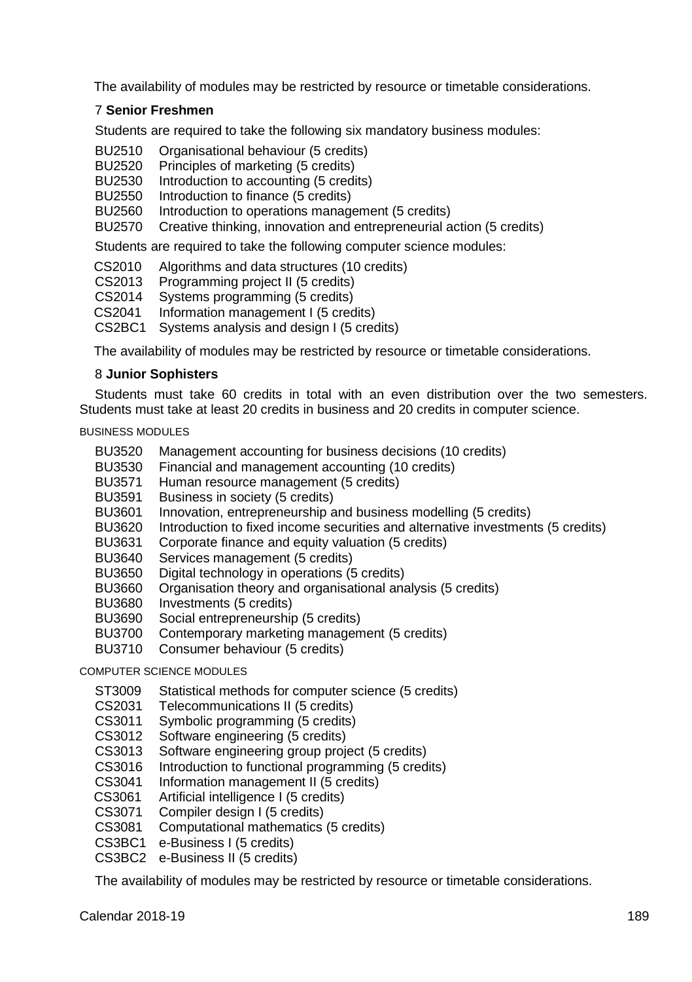The availability of modules may be restricted by resource or timetable considerations.

## 7 **Senior Freshmen**

Students are required to take the following six mandatory business modules:

- BU2510 Organisational behaviour (5 credits)
- BU2520 Principles of marketing (5 credits)
- BU2530 Introduction to accounting (5 credits)
- BU2550 Introduction to finance (5 credits)
- BU2560 Introduction to operations management (5 credits)
- BU2570 Creative thinking, innovation and entrepreneurial action (5 credits)

Students are required to take the following computer science modules:

CS2010 Algorithms and data structures (10 credits)

- CS2013 Programming project II (5 credits)
- CS2014 Systems programming (5 credits)<br>CS2041 Information management L(5 cred
- Information management I (5 credits)
- CS2BC1 Systems analysis and design I (5 credits)

The availability of modules may be restricted by resource or timetable considerations.

## 8 **Junior Sophisters**

Students must take 60 credits in total with an even distribution over the two semesters. Students must take at least 20 credits in business and 20 credits in computer science.

BUSINESS MODULES

- BU3520 Management accounting for business decisions (10 credits)
- BU3530 Financial and management accounting (10 credits)
- BU3571 Human resource management (5 credits)
- BU3591 Business in society (5 credits)
- BU3601 Innovation, entrepreneurship and business modelling (5 credits)
- BU3620 Introduction to fixed income securities and alternative investments (5 credits)
- BU3631 Corporate finance and equity valuation (5 credits)
- BU3640 Services management (5 credits)
- BU3650 Digital technology in operations (5 credits)
- BU3660 Organisation theory and organisational analysis (5 credits)
- BU3680 Investments (5 credits)
- BU3690 Social entrepreneurship (5 credits)
- BU3700 Contemporary marketing management (5 credits)
- BU3710 Consumer behaviour (5 credits)

## COMPUTER SCIENCE MODULES

- ST3009 Statistical methods for computer science (5 credits)
- CS2031 Telecommunications II (5 credits)
- CS3011 Symbolic programming (5 credits)
- CS3012 Software engineering (5 credits)
- CS3013 Software engineering group project (5 credits)
- CS3016 Introduction to functional programming (5 credits)
- CS3041 Information management II (5 credits)
- CS3061 Artificial intelligence I (5 credits)
- CS3071 Compiler design I (5 credits)
- CS3081 Computational mathematics (5 credits)
- CS3BC1 e-Business I (5 credits)
- CS3BC2 e-Business II (5 credits)

The availability of modules may be restricted by resource or timetable considerations.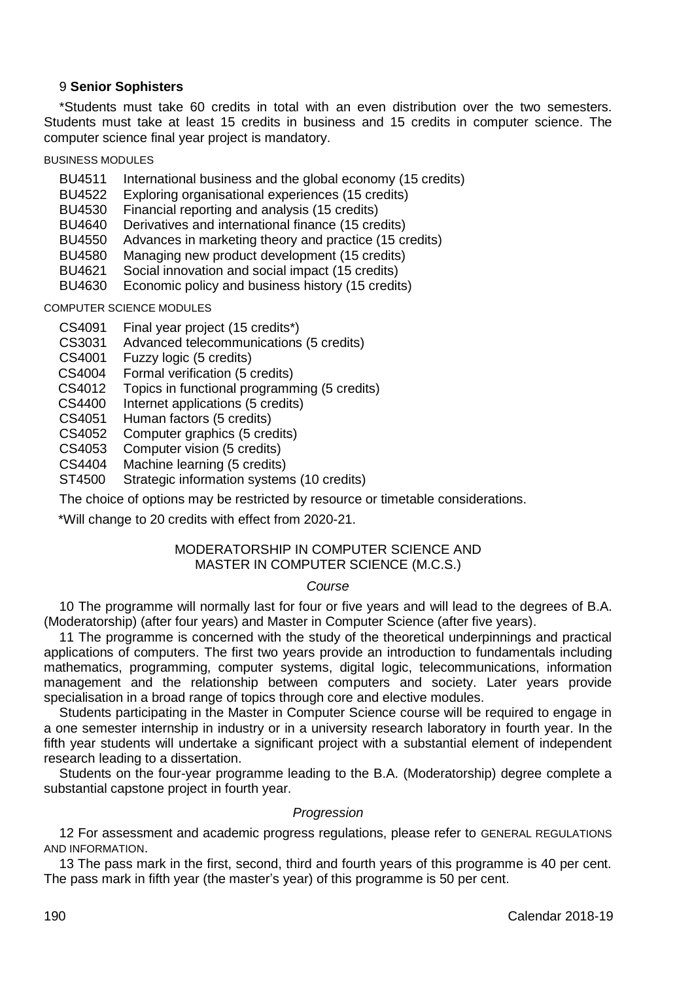## 9 **Senior Sophisters**

\*Students must take 60 credits in total with an even distribution over the two semesters. Students must take at least 15 credits in business and 15 credits in computer science. The computer science final year project is mandatory.

BUSINESS MODULES

- BU4511 International business and the global economy (15 credits)<br>BU4522 Exploring organisational experiences (15 credits)
- BU4522 Exploring organisational experiences (15 credits)<br>BU4530 Einancial reporting and analysis (15 credits)
- BU4530 Financial reporting and analysis (15 credits)
- Derivatives and international finance (15 credits)
- BU4550 Advances in marketing theory and practice (15 credits)<br>BU4580 Managing new product development (15 credits)
- BU4580 Managing new product development (15 credits)<br>BU4621 Social innovation and social impact (15 credits)
- Social innovation and social impact (15 credits)
- BU4630 Economic policy and business history (15 credits)

COMPUTER SCIENCE MODULES

- CS4091 Final year project (15 credits\*)
- CS3031 Advanced telecommunications (5 credits)<br>CS4001 Fuzzy logic (5 credits)
- Fuzzy logic (5 credits)
- CS4004 Formal verification (5 credits)<br>CS4012 Topics in functional programm
- Topics in functional programming (5 credits)
- CS4400 Internet applications (5 credits)
- CS4051 Human factors (5 credits)
- CS4052 Computer graphics (5 credits)
- CS4053 Computer vision (5 credits)<br>CS4404 Machine learning (5 credits
- CS4404 Machine learning (5 credits)<br>ST4500 Strategic information system
- Strategic information systems (10 credits)

The choice of options may be restricted by resource or timetable considerations.

\*Will change to 20 credits with effect from 2020-21.

#### MODERATORSHIP IN COMPUTER SCIENCE AND MASTER IN COMPUTER SCIENCE (M.C.S.)

## *Course*

10 The programme will normally last for four or five years and will lead to the degrees of B.A. (Moderatorship) (after four years) and Master in Computer Science (after five years).

11 The programme is concerned with the study of the theoretical underpinnings and practical applications of computers. The first two years provide an introduction to fundamentals including mathematics, programming, computer systems, digital logic, telecommunications, information management and the relationship between computers and society. Later years provide specialisation in a broad range of topics through core and elective modules.

Students participating in the Master in Computer Science course will be required to engage in a one semester internship in industry or in a university research laboratory in fourth year. In the fifth year students will undertake a significant project with a substantial element of independent research leading to a dissertation.

Students on the four-year programme leading to the B.A. (Moderatorship) degree complete a substantial capstone project in fourth year.

#### *Progression*

12 For assessment and academic progress regulations, please refer to GENERAL REGULATIONS AND INFORMATION.

13 The pass mark in the first, second, third and fourth years of this programme is 40 per cent. The pass mark in fifth year (the master's year) of this programme is 50 per cent.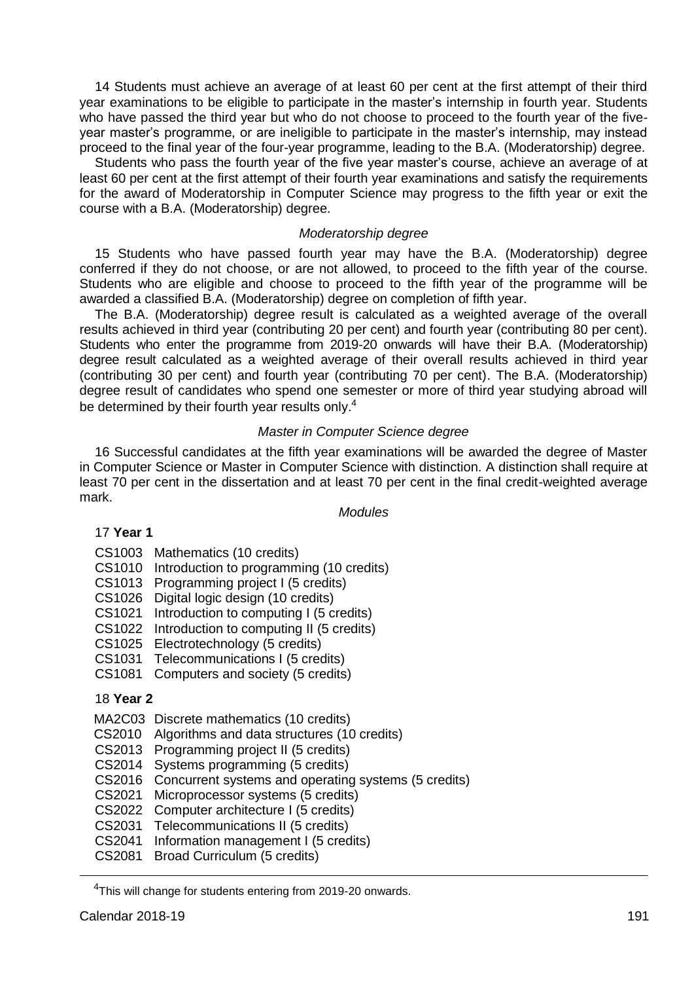14 Students must achieve an average of at least 60 per cent at the first attempt of their third year examinations to be eligible to participate in the master's internship in fourth year. Students who have passed the third year but who do not choose to proceed to the fourth year of the fiveyear master's programme, or are ineligible to participate in the master's internship, may instead proceed to the final year of the four-year programme, leading to the B.A. (Moderatorship) degree.

Students who pass the fourth year of the five year master's course, achieve an average of at least 60 per cent at the first attempt of their fourth year examinations and satisfy the requirements for the award of Moderatorship in Computer Science may progress to the fifth year or exit the course with a B.A. (Moderatorship) degree.

#### *Moderatorship degree*

15 Students who have passed fourth year may have the B.A. (Moderatorship) degree conferred if they do not choose, or are not allowed, to proceed to the fifth year of the course. Students who are eligible and choose to proceed to the fifth year of the programme will be awarded a classified B.A. (Moderatorship) degree on completion of fifth year.

The B.A. (Moderatorship) degree result is calculated as a weighted average of the overall results achieved in third year (contributing 20 per cent) and fourth year (contributing 80 per cent). Students who enter the programme from 2019-20 onwards will have their B.A. (Moderatorship) degree result calculated as a weighted average of their overall results achieved in third year (contributing 30 per cent) and fourth year (contributing 70 per cent). The B.A. (Moderatorship) degree result of candidates who spend one semester or more of third year studying abroad will be determined by their fourth year results only.<sup>4</sup>

## *Master in Computer Science degree*

16 Successful candidates at the fifth year examinations will be awarded the degree of Master in Computer Science or Master in Computer Science with distinction. A distinction shall require at least 70 per cent in the dissertation and at least 70 per cent in the final credit-weighted average mark.

## *Modules*

### 17 **Year 1**

- CS1003 Mathematics (10 credits)
- CS1010 Introduction to programming (10 credits)
- CS1013 Programming project I (5 credits)
- CS1026 Digital logic design (10 credits)
- CS1021 Introduction to computing I (5 credits)
- CS1022 Introduction to computing II (5 credits)
- CS1025 Electrotechnology (5 credits)
- CS1031 Telecommunications I (5 credits)
- CS1081 Computers and society (5 credits)

## 18 **Year 2**

- MA2C03 Discrete mathematics (10 credits)
- CS2010 Algorithms and data structures (10 credits)
- CS2013 Programming project II (5 credits)
- CS2014 Systems programming (5 credits)
- CS2016 Concurrent systems and operating systems (5 credits)
- CS2021 Microprocessor systems (5 credits)
- CS2022 Computer architecture I (5 credits)
- CS2031 Telecommunications II (5 credits)
- CS2041 Information management I (5 credits)
- CS2081 Broad Curriculum (5 credits)

<sup>&</sup>lt;sup>4</sup>This will change for students entering from 2019-20 onwards.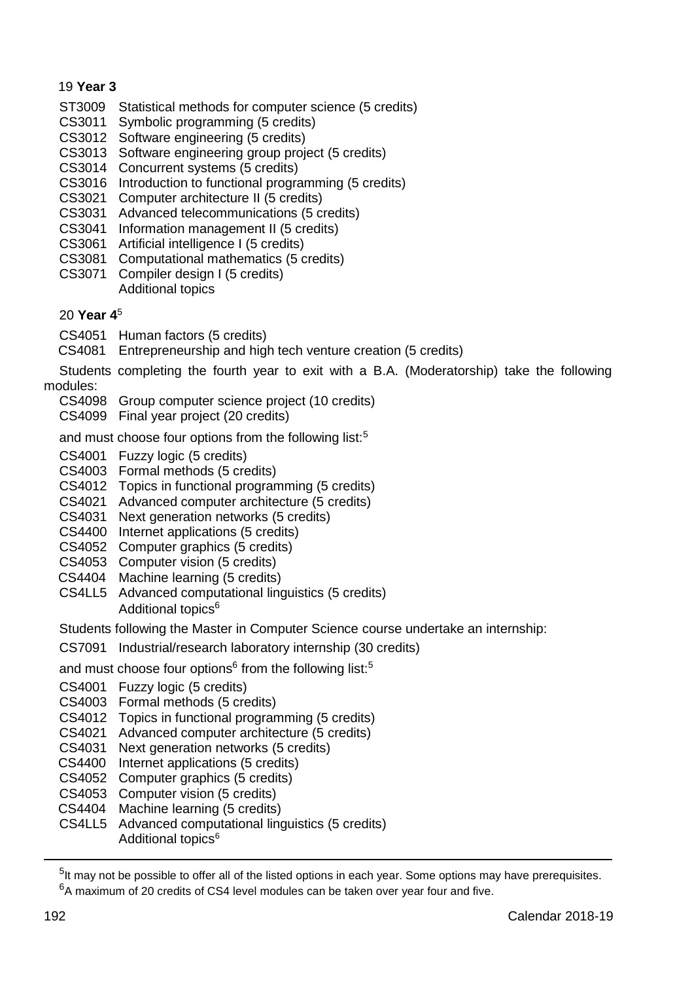## 19 **Year 3**

- ST3009 Statistical methods for computer science (5 credits)
- CS3011 Symbolic programming (5 credits)
- CS3012 Software engineering (5 credits)
- CS3013 Software engineering group project (5 credits)
- CS3014 Concurrent systems (5 credits)
- CS3016 Introduction to functional programming (5 credits)
- CS3021 Computer architecture II (5 credits)
- CS3031 Advanced telecommunications (5 credits)
- CS3041 Information management II (5 credits)
- CS3061 Artificial intelligence I (5 credits)
- CS3081 Computational mathematics (5 credits)
- CS3071 Compiler design I (5 credits) Additional topics

## 20 **Year 4**<sup>5</sup>

- CS4051 Human factors (5 credits)
- CS4081 Entrepreneurship and high tech venture creation (5 credits)

Students completing the fourth year to exit with a B.A. (Moderatorship) take the following modules:

- CS4098 Group computer science project (10 credits)
- CS4099 Final year project (20 credits)

and must choose four options from the following list:<sup>5</sup>

- CS4001 Fuzzy logic (5 credits)
- CS4003 Formal methods (5 credits)
- CS4012 Topics in functional programming (5 credits)
- CS4021 Advanced computer architecture (5 credits)
- CS4031 Next generation networks (5 credits)
- CS4400 Internet applications (5 credits)
- CS4052 Computer graphics (5 credits)
- CS4053 Computer vision (5 credits)
- CS4404 Machine learning (5 credits)
- CS4LL5 Advanced computational linguistics (5 credits) Additional topics<sup>6</sup>
- Students following the Master in Computer Science course undertake an internship:
- CS7091 Industrial/research laboratory internship (30 credits)
- <span id="page-5-0"></span>and must choose four options<sup>6</sup> from the following list:<sup>5</sup>
- CS4001 Fuzzy logic (5 credits)
- CS4003 Formal methods (5 credits)
- CS4012 Topics in functional programming (5 credits)
- CS4021 Advanced computer architecture (5 credits)
- CS4031 Next generation networks (5 credits)
- CS4400 Internet applications (5 credits)
- CS4052 Computer graphics (5 credits)
- CS4053 Computer vision (5 credits)
- CS4404 Machine learning (5 credits)
- CS4LL5 Advanced computational linguistics (5 credits)
	- Additional topic[s](#page-5-0)<sup>6</sup>

-

<sup>&</sup>lt;sup>5</sup>It may not be possible to offer all of the listed options in each year. Some options may have prerequisites.

<sup>&</sup>lt;sup>6</sup>A maximum of 20 credits of CS4 level modules can be taken over vear four and five.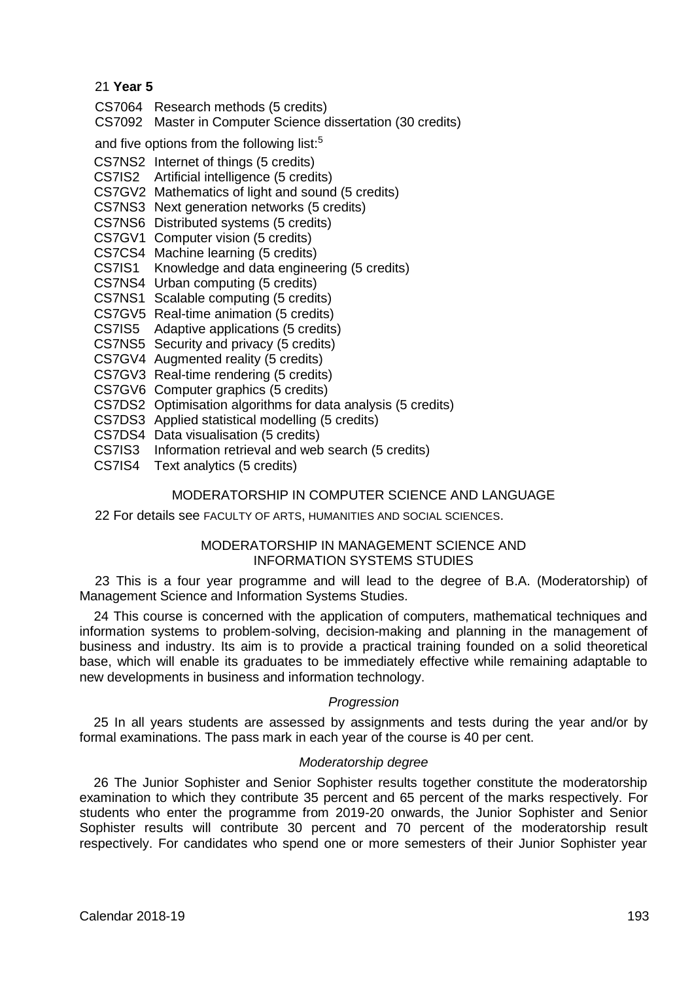## 21 **Year 5**

- CS7064 Research methods (5 credits)
- CS7092 Master in Computer Science dissertation (30 credits)

and five options from the following list:<sup>5</sup>

- CS7NS2 Internet of things (5 credits)
- CS7IS2 Artificial intelligence (5 credits)
- CS7GV2 Mathematics of light and sound (5 credits)
- CS7NS3 Next generation networks (5 credits)
- CS7NS6 Distributed systems (5 credits)
- CS7GV1 Computer vision (5 credits)
- CS7CS4 Machine learning (5 credits)
- CS7IS1 Knowledge and data engineering (5 credits)
- CS7NS4 Urban computing (5 credits)
- CS7NS1 Scalable computing (5 credits)
- CS7GV5 Real-time animation (5 credits)
- CS7IS5 Adaptive applications (5 credits)
- CS7NS5 Security and privacy (5 credits)
- CS7GV4 Augmented reality (5 credits)
- CS7GV3 Real-time rendering (5 credits)
- CS7GV6 Computer graphics (5 credits)
- CS7DS2 Optimisation algorithms for data analysis (5 credits)
- CS7DS3 Applied statistical modelling (5 credits)
- CS7DS4 Data visualisation (5 credits)
- CS7IS3 Information retrieval and web search (5 credits)
- CS7IS4 Text analytics (5 credits)

## MODERATORSHIP IN COMPUTER SCIENCE AND LANGUAGE

## 22 For details see FACULTY OF ARTS, HUMANITIES AND SOCIAL SCIENCES.

## MODERATORSHIP IN MANAGEMENT SCIENCE AND INFORMATION SYSTEMS STUDIES

23 This is a four year programme and will lead to the degree of B.A. (Moderatorship) of Management Science and Information Systems Studies.

24 This course is concerned with the application of computers, mathematical techniques and information systems to problem-solving, decision-making and planning in the management of business and industry. Its aim is to provide a practical training founded on a solid theoretical base, which will enable its graduates to be immediately effective while remaining adaptable to new developments in business and information technology.

## *Progression*

25 In all years students are assessed by assignments and tests during the year and/or by formal examinations. The pass mark in each year of the course is 40 per cent.

## *Moderatorship degree*

26 The Junior Sophister and Senior Sophister results together constitute the moderatorship examination to which they contribute 35 percent and 65 percent of the marks respectively. For students who enter the programme from 2019-20 onwards, the Junior Sophister and Senior Sophister results will contribute 30 percent and 70 percent of the moderatorship result respectively. For candidates who spend one or more semesters of their Junior Sophister year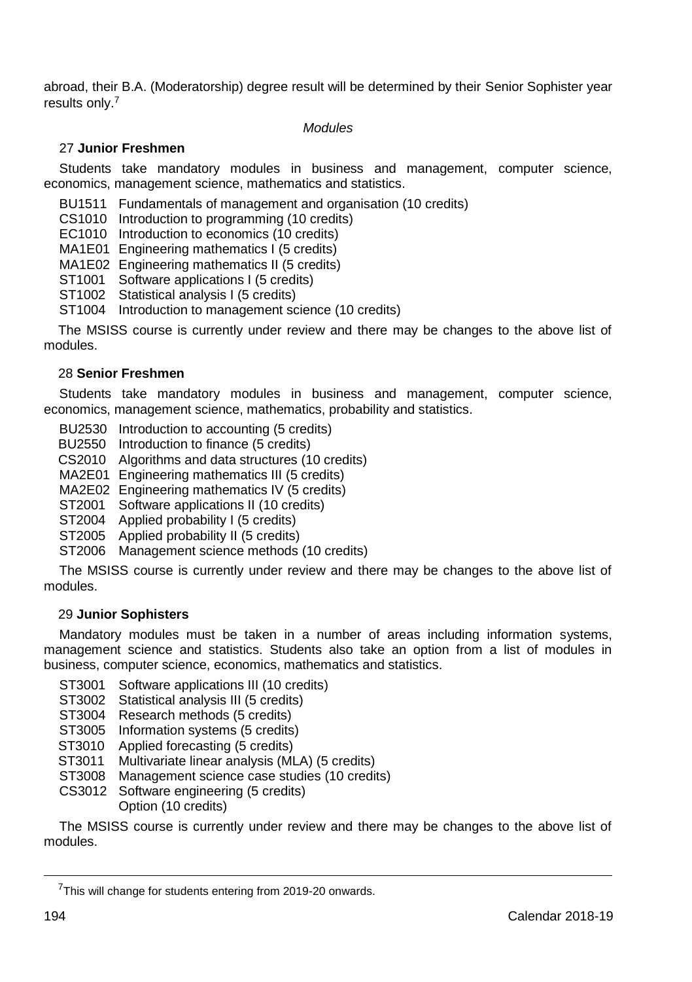abroad, their B.A. (Moderatorship) degree result will be determined by their Senior Sophister year results only.<sup>7</sup>

#### *Modules*

## 27 **Junior Freshmen**

Students take mandatory modules in business and management, computer science, economics, management science, mathematics and statistics.

BU1511 Fundamentals of management and organisation (10 credits)

CS1010 Introduction to programming (10 credits)

EC1010 Introduction to economics (10 credits)

MA1E01 Engineering mathematics I (5 credits)

MA1E02 Engineering mathematics II (5 credits)

ST1001 Software applications I (5 credits)

ST1002 Statistical analysis I (5 credits)

ST1004 Introduction to management science (10 credits)

The MSISS course is currently under review and there may be changes to the above list of modules.

## 28 **Senior Freshmen**

Students take mandatory modules in business and management, computer science, economics, management science, mathematics, probability and statistics.

BU2530 Introduction to accounting (5 credits)

BU2550 Introduction to finance (5 credits)

CS2010 Algorithms and data structures (10 credits)

MA2E01 Engineering mathematics III (5 credits)

MA2E02 Engineering mathematics IV (5 credits)

ST2001 Software applications II (10 credits)

ST2004 Applied probability I (5 credits)

ST2005 Applied probability II (5 credits)

ST2006 Management science methods (10 credits)

The MSISS course is currently under review and there may be changes to the above list of modules.

## 29 **Junior Sophisters**

Mandatory modules must be taken in a number of areas including information systems, management science and statistics. Students also take an option from a list of modules in business, computer science, economics, mathematics and statistics.

- ST3001 Software applications III (10 credits)
- ST3002 Statistical analysis III (5 credits)
- ST3004 Research methods (5 credits)
- ST3005 Information systems (5 credits)
- ST3010 Applied forecasting (5 credits)
- ST3011 Multivariate linear analysis (MLA) (5 credits)
- ST3008 Management science case studies (10 credits)
- CS3012 Software engineering (5 credits) Option (10 credits)

The MSISS course is currently under review and there may be changes to the above list of modules.

<sup>&</sup>lt;sup>7</sup>This will change for students entering from 2019-20 onwards.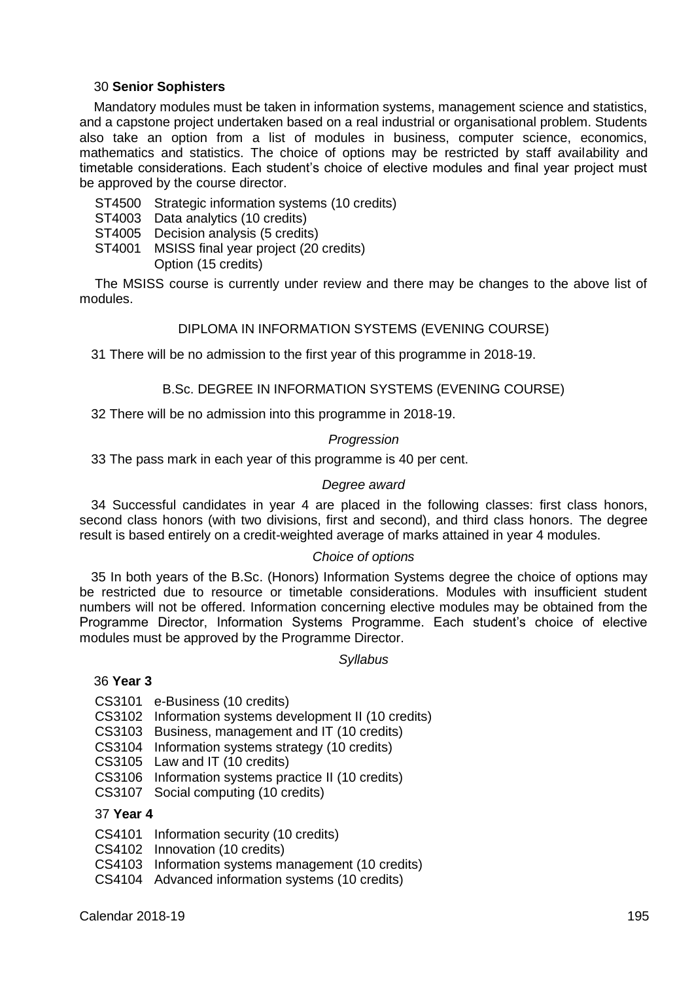## 30 **Senior Sophisters**

Mandatory modules must be taken in information systems, management science and statistics, and a capstone project undertaken based on a real industrial or organisational problem. Students also take an option from a list of modules in business, computer science, economics, mathematics and statistics. The choice of options may be restricted by staff availability and timetable considerations. Each student's choice of elective modules and final year project must be approved by the course director.

- ST4500 Strategic information systems (10 credits)
- ST4003 Data analytics (10 credits)
- ST4005 Decision analysis (5 credits)
- ST4001 MSISS final year project (20 credits)
	- Option (15 credits)

The MSISS course is currently under review and there may be changes to the above list of modules.

## DIPLOMA IN INFORMATION SYSTEMS (EVENING COURSE)

31 There will be no admission to the first year of this programme in 2018-19.

## B.Sc. DEGREE IN INFORMATION SYSTEMS (EVENING COURSE)

32 There will be no admission into this programme in 2018-19.

#### *Progression*

33 The pass mark in each year of this programme is 40 per cent.

## *Degree award*

34 Successful candidates in year 4 are placed in the following classes: first class honors, second class honors (with two divisions, first and second), and third class honors. The degree result is based entirely on a credit-weighted average of marks attained in year 4 modules.

## *Choice of options*

35 In both years of the B.Sc. (Honors) Information Systems degree the choice of options may be restricted due to resource or timetable considerations. Modules with insufficient student numbers will not be offered. Information concerning elective modules may be obtained from the Programme Director, Information Systems Programme. Each student's choice of elective modules must be approved by the Programme Director.

#### *Syllabus*

## 36 **Year 3**

- CS3101 e-Business (10 credits)
- CS3102 Information systems development II (10 credits)
- CS3103 Business, management and IT (10 credits)
- CS3104 Information systems strategy (10 credits)
- CS3105 Law and IT (10 credits)
- CS3106 Information systems practice II (10 credits)
- CS3107 Social computing (10 credits)

## 37 **Year 4**

- CS4101 Information security (10 credits)
- CS4102 Innovation (10 credits)
- CS4103 Information systems management (10 credits)
- CS4104 Advanced information systems (10 credits)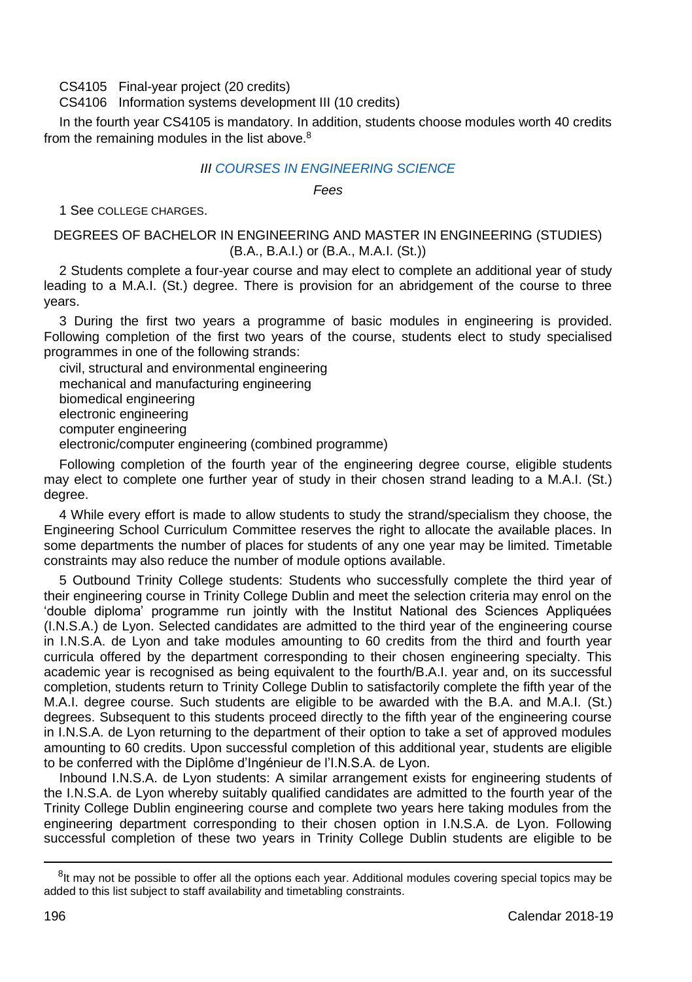CS4105 Final-year project (20 credits)

### CS4106 Information systems development III (10 credits)

In the fourth year CS4105 is mandatory. In addition, students choose modules worth 40 credits from the remaining modules in the list above.<sup>8</sup>

## *II[I COURSES IN ENGINEERING SCIENCE](http://www.tcd.ie/Engineering/)*

*Fees*

1 See COLLEGE CHARGES.

## DEGREES OF BACHELOR IN ENGINEERING AND MASTER IN ENGINEERING (STUDIES) (B.A., B.A.I.) or (B.A., M.A.I. (St.))

2 Students complete a four-year course and may elect to complete an additional year of study leading to a M.A.I. (St.) degree. There is provision for an abridgement of the course to three years.

3 During the first two years a programme of basic modules in engineering is provided. Following completion of the first two years of the course, students elect to study specialised programmes in one of the following strands:

civil, structural and environmental engineering mechanical and manufacturing engineering biomedical engineering electronic engineering computer engineering electronic/computer engineering (combined programme)

Following completion of the fourth year of the engineering degree course, eligible students may elect to complete one further year of study in their chosen strand leading to a M.A.I. (St.) degree.

4 While every effort is made to allow students to study the strand/specialism they choose, the Engineering School Curriculum Committee reserves the right to allocate the available places. In some departments the number of places for students of any one year may be limited. Timetable constraints may also reduce the number of module options available.

5 Outbound Trinity College students: Students who successfully complete the third year of their engineering course in Trinity College Dublin and meet the selection criteria may enrol on the 'double diploma' programme run jointly with the Institut National des Sciences Appliquées (I.N.S.A.) de Lyon. Selected candidates are admitted to the third year of the engineering course in I.N.S.A. de Lyon and take modules amounting to 60 credits from the third and fourth year curricula offered by the department corresponding to their chosen engineering specialty. This academic year is recognised as being equivalent to the fourth/B.A.I. year and, on its successful completion, students return to Trinity College Dublin to satisfactorily complete the fifth year of the M.A.I. degree course. Such students are eligible to be awarded with the B.A. and M.A.I. (St.) degrees. Subsequent to this students proceed directly to the fifth year of the engineering course in I.N.S.A. de Lyon returning to the department of their option to take a set of approved modules amounting to 60 credits. Upon successful completion of this additional year, students are eligible to be conferred with the Diplôme d'Ingénieur de l'I.N.S.A. de Lyon.

Inbound I.N.S.A. de Lyon students: A similar arrangement exists for engineering students of the I.N.S.A. de Lyon whereby suitably qualified candidates are admitted to the fourth year of the Trinity College Dublin engineering course and complete two years here taking modules from the engineering department corresponding to their chosen option in I.N.S.A. de Lyon. Following successful completion of these two years in Trinity College Dublin students are eligible to be

-

<sup>&</sup>lt;sup>8</sup>It may not be possible to offer all the options each year. Additional modules covering special topics may be added to this list subject to staff availability and timetabling constraints.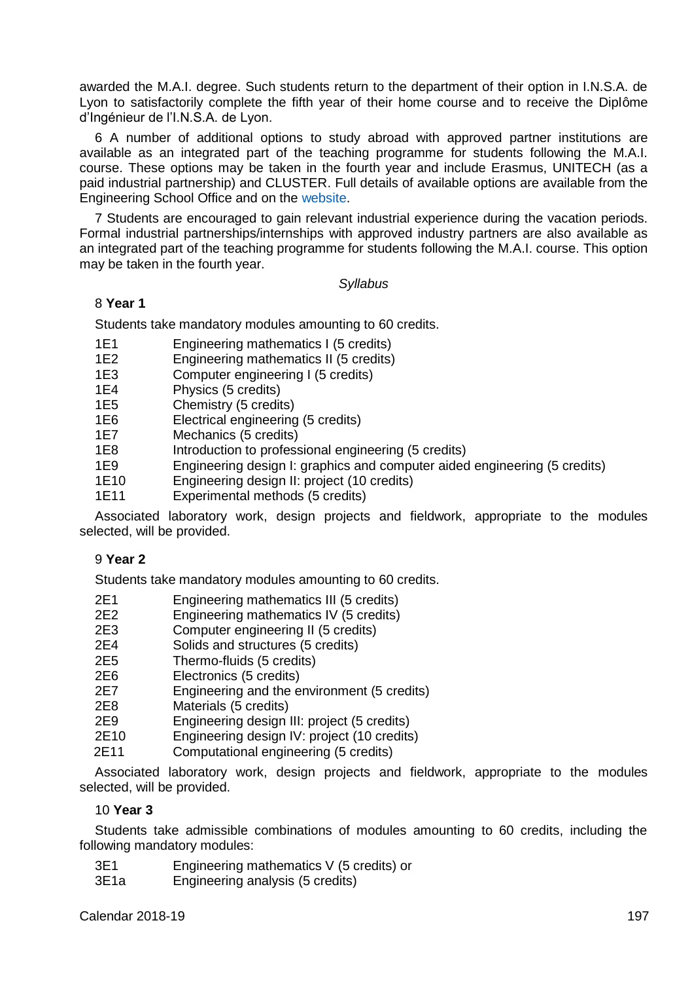awarded the M.A.I. degree. Such students return to the department of their option in I.N.S.A. de Lyon to satisfactorily complete the fifth year of their home course and to receive the Diplôme d'Ingénieur de l'I.N.S.A. de Lyon.

6 A number of additional options to study abroad with approved partner institutions are available as an integrated part of the teaching programme for students following the M.A.I. course. These options may be taken in the fourth year and include Erasmus, UNITECH (as a paid industrial partnership) and CLUSTER. Full details of available options are available from the Engineering School Office and on the [website.](http://www.tcd.ie/Engineering/)

7 Students are encouraged to gain relevant industrial experience during the vacation periods. Formal industrial partnerships/internships with approved industry partners are also available as an integrated part of the teaching programme for students following the M.A.I. course. This option may be taken in the fourth year.

## *Syllabus*

## 8 **Year 1**

Students take mandatory modules amounting to 60 credits.

- 1E1 Engineering mathematics I (5 credits)
- Engineering mathematics II (5 credits)
- 1E3 Computer engineering I (5 credits)<br>1F4 Physics (5 credits)
- 1E4 Physics (5 credits)<br>1E5 Chemistry (5 credit
- 1E5 Chemistry (5 credits)<br>1E6 Flectrical engineering
- Electrical engineering (5 credits)
- 1E7 Mechanics (5 credits)<br>1E8 Introduction to profess
- 1E8 Introduction to professional engineering (5 credits)<br>1E9 Fogineering design L graphics and computer aider
- Engineering design I: graphics and computer aided engineering (5 credits)
- 1E10 Engineering design II: project (10 credits)
- 1E11 Experimental methods (5 credits)

Associated laboratory work, design projects and fieldwork, appropriate to the modules selected, will be provided.

## 9 **Year 2**

Students take mandatory modules amounting to 60 credits.

- 2E1 Engineering mathematics III (5 credits)
- 2E2 Engineering mathematics IV (5 credits)<br>2E3 Computer engineering II (5 credits)
- Computer engineering II (5 credits)
- 2E4 Solids and structures (5 credits)
- 2E5 Thermo-fluids (5 credits)<br>2E6 Flectronics (5 credits)
- 2E6 Electronics (5 credits)<br>2E7 Engineering and the e
- 2E7 Engineering and the environment (5 credits)
- Materials (5 credits)
- 2E9 Engineering design III: project (5 credits)
- Engineering design IV: project (10 credits)
- 2E11 Computational engineering (5 credits)

Associated laboratory work, design projects and fieldwork, appropriate to the modules selected, will be provided.

## 10 **Year 3**

Students take admissible combinations of modules amounting to 60 credits, including the following mandatory modules:

- 3E1 Engineering mathematics V (5 credits) or
- 3E1a Engineering analysis (5 credits)

Calendar 2018-19 197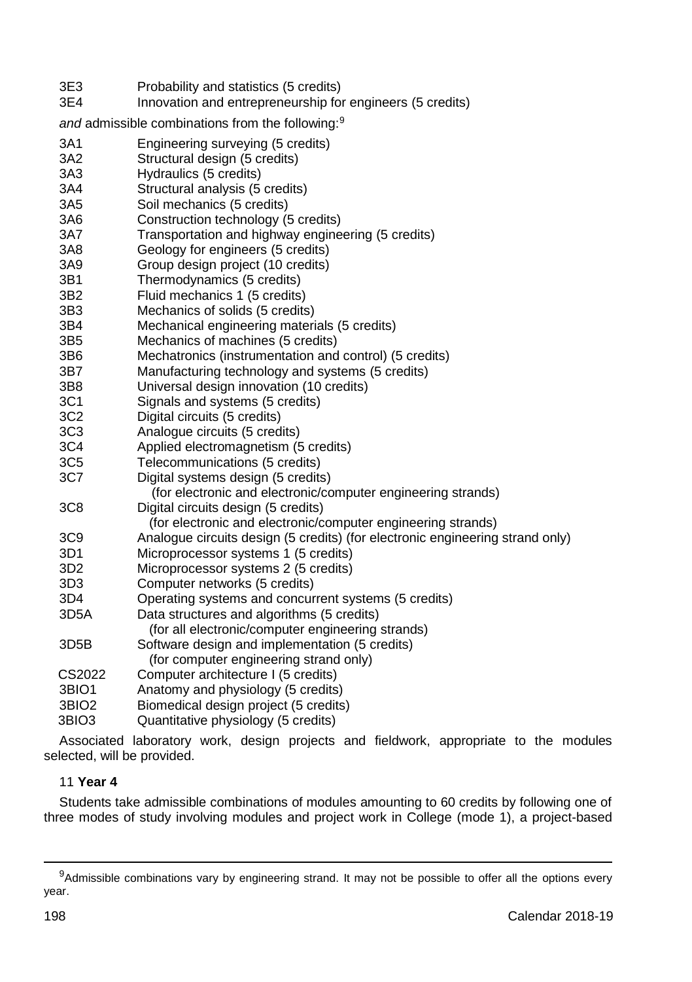| 3E3<br>3E4        | Probability and statistics (5 credits)<br>Innovation and entrepreneurship for engineers (5 credits) |
|-------------------|-----------------------------------------------------------------------------------------------------|
|                   | and admissible combinations from the following: <sup>9</sup>                                        |
| 3A1               | Engineering surveying (5 credits)                                                                   |
| 3A2               | Structural design (5 credits)                                                                       |
| 3A3               | Hydraulics (5 credits)                                                                              |
| 3A4               | Structural analysis (5 credits)                                                                     |
| 3A5               | Soil mechanics (5 credits)                                                                          |
| 3A6               | Construction technology (5 credits)                                                                 |
| 3A7               | Transportation and highway engineering (5 credits)                                                  |
| 3A8               | Geology for engineers (5 credits)                                                                   |
| 3A9               | Group design project (10 credits)                                                                   |
| 3B1               | Thermodynamics (5 credits)                                                                          |
| 3B2               | Fluid mechanics 1 (5 credits)                                                                       |
| 3B3               | Mechanics of solids (5 credits)                                                                     |
| 3B4               | Mechanical engineering materials (5 credits)                                                        |
| 3B <sub>5</sub>   | Mechanics of machines (5 credits)                                                                   |
| 3B6               | Mechatronics (instrumentation and control) (5 credits)                                              |
| 3B7               | Manufacturing technology and systems (5 credits)                                                    |
| 3B8               | Universal design innovation (10 credits)                                                            |
| 3C1               | Signals and systems (5 credits)                                                                     |
| 3C <sub>2</sub>   | Digital circuits (5 credits)                                                                        |
| 3C <sub>3</sub>   | Analogue circuits (5 credits)                                                                       |
| 3C4               | Applied electromagnetism (5 credits)                                                                |
| 3C <sub>5</sub>   | Telecommunications (5 credits)                                                                      |
| 3C7               | Digital systems design (5 credits)                                                                  |
|                   | (for electronic and electronic/computer engineering strands)                                        |
| 3C8               | Digital circuits design (5 credits)<br>(for electronic and electronic/computer engineering strands) |
| 3C <sub>9</sub>   | Analogue circuits design (5 credits) (for electronic engineering strand only)                       |
| 3D1               | Microprocessor systems 1 (5 credits)                                                                |
| 3D <sub>2</sub>   | Microprocessor systems 2 (5 credits)                                                                |
| 3D <sub>3</sub>   | Computer networks (5 credits)                                                                       |
| 3D4               | Operating systems and concurrent systems (5 credits)                                                |
| 3D5A              | Data structures and algorithms (5 credits)<br>(for all electronic/computer engineering strands)     |
| 3D <sub>5</sub> B | Software design and implementation (5 credits)<br>(for computer engineering strand only)            |
| CS2022            | Computer architecture I (5 credits)                                                                 |
| 3BIO1             | Anatomy and physiology (5 credits)                                                                  |
| 3BIO2             | Biomedical design project (5 credits)                                                               |
| 3BIO3             | Quantitative physiology (5 credits)                                                                 |
|                   |                                                                                                     |

Associated laboratory work, design projects and fieldwork, appropriate to the modules selected, will be provided.

## 11 **Year 4**

Students take admissible combinations of modules amounting to 60 credits by following one of three modes of study involving modules and project work in College (mode 1), a project-based

-

<sup>&</sup>lt;sup>9</sup>Admissible combinations vary by engineering strand. It may not be possible to offer all the options every year.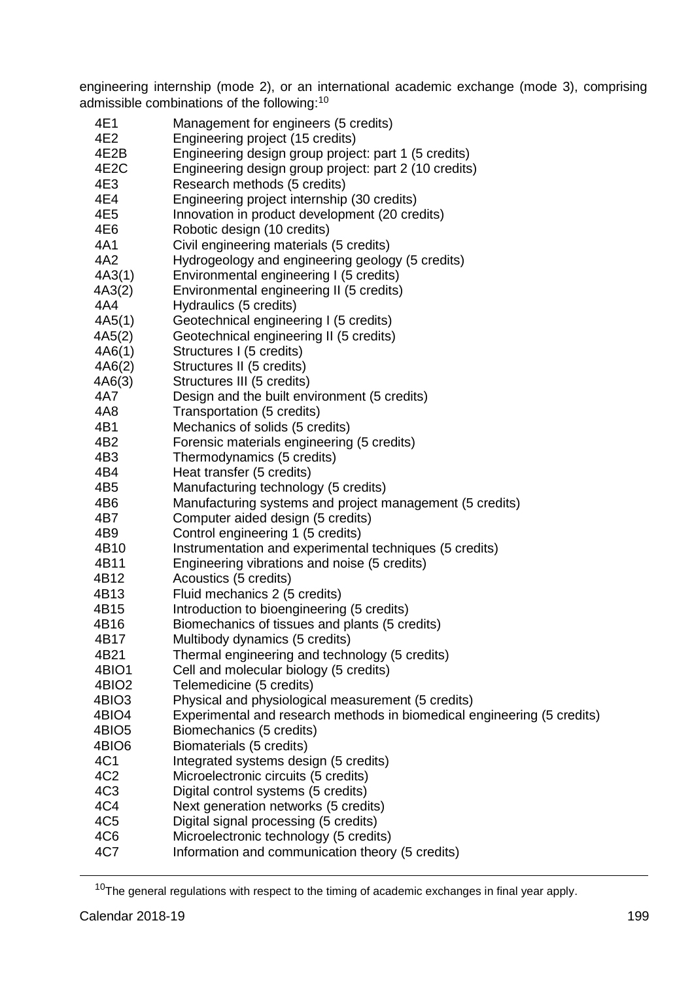engineering internship (mode 2), or an international academic exchange (mode 3), comprising admissible combinations of the following:<sup>10</sup>

- 4E1 Management for engineers (5 credits)<br>4F2 Forgineering project (15 credits)
- 4E2 Engineering project (15 credits)
- 4E2B Engineering design group project: part 1 (5 credits)
- Engineering design group project: part 2 (10 credits)
- 4E3 Research methods (5 credits)<br>4E4 Fogineering project internship
- 4E4 Engineering project internship (30 credits)
- 4E5 Innovation in product development (20 credits)<br>4E6 Robotic design (10 credits)
- 4E6 Robotic design (10 credits)<br>4A1 Civil engineering materials
- 4A1 Civil engineering materials (5 credits)<br>4A2 Hydrogeology and engineering geolog
- 4A2 Hydrogeology and engineering geology (5 credits)
- Environmental engineering I (5 credits)
- 4A3(2) Environmental engineering II (5 credits)<br>4A4 Hydraulics (5 credits)
- Hydraulics (5 credits)
- 4A5(1) Geotechnical engineering I (5 credits)
- 4A5(2) Geotechnical engineering II (5 credits)
- 4A6(1) Structures I (5 credits)
- 4A6(2) Structures II (5 credits)
- Structures III (5 credits)
- 4A7 Design and the built environment (5 credits)
- 4A8 Transportation (5 credits)<br>4R1 Mechanics of solids (5 cre
- 4B1 Mechanics of solids (5 credits)<br>4B2 Forensic materials engineering
- 4B2 Forensic materials engineering (5 credits)<br>4B3 Thermodynamics (5 credits)
- Thermodynamics (5 credits)
- 4B4 Heat transfer (5 credits)<br>4B5 Manufacturing technolog
- 4B5 Manufacturing technology (5 credits)<br>4B6 Manufacturing systems and project m
- Manufacturing systems and project management (5 credits)
- 4B7 Computer aided design (5 credits)<br>4B9 Control engineering 1 (5 credits)
- 4B9 Control engineering 1 (5 credits)
- 4B10 Instrumentation and experimental techniques (5 credits)<br>4B11 Friendering vibrations and noise (5 credits)
- 4B11 Engineering vibrations and noise (5 credits)
- 4B12 Acoustics (5 credits)
- 4B13 Fluid mechanics 2 (5 credits)<br>4B15 **Introduction to bioengineering**
- 4B15 Introduction to bioengineering (5 credits)<br>4B16 Biomechanics of tissues and plants (5 cre
- Biomechanics of tissues and plants (5 credits)
- 4B17 Multibody dynamics (5 credits)<br>4B21 Thermal engineering and techn
- 4B21 Thermal engineering and technology (5 credits)<br>4BIO1 Cell and molecular biology (5 credits)
- Cell and molecular biology (5 credits)
- 4BIO2 Telemedicine (5 credits)
- 4BIO3 Physical and physiological measurement (5 credits)<br>4BIO4 Fxperimental and research methods in biomedical e
- Experimental and research methods in biomedical engineering (5 credits)
- 4BIO5 Biomechanics (5 credits)
- 4BIO6 Biomaterials (5 credits)
- 4C1 Integrated systems design (5 credits)<br>4C2 Microelectronic circuits (5 credits)
- 4C2 Microelectronic circuits (5 credits)<br>4C3 Digital control systems (5 credits)
- Digital control systems (5 credits)
- 4C4 Next generation networks (5 credits)
- 4C5 Digital signal processing (5 credits)
- 4C6 Microelectronic technology (5 credits)<br>4C7 Information and communication theory
- Information and communication theory (5 credits)

 $10$ The general regulations with respect to the timing of academic exchanges in final year apply.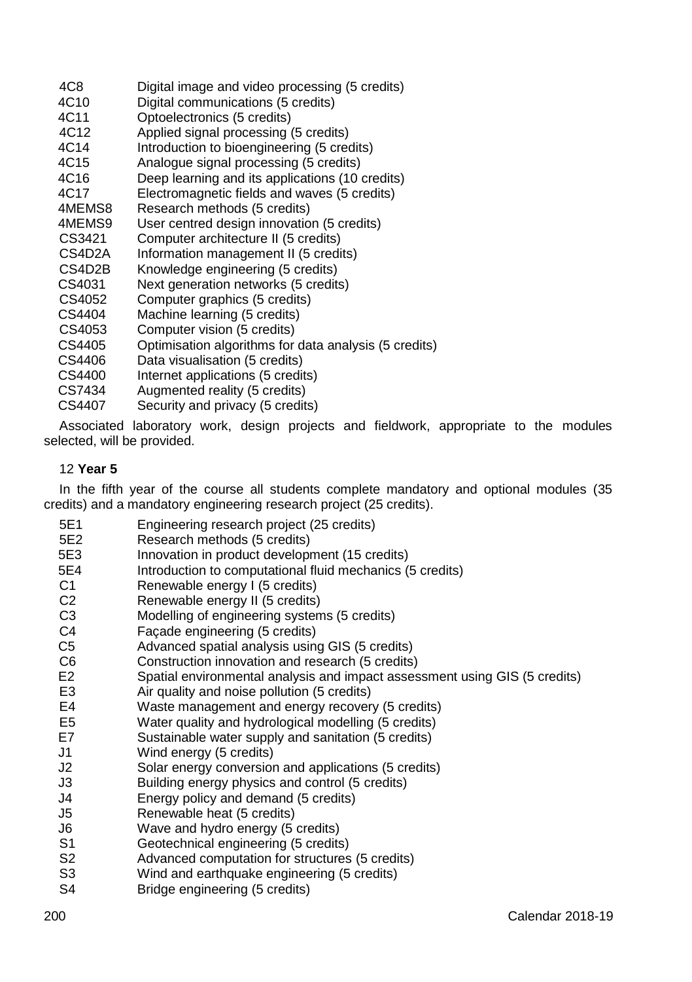| Digital image and video processing (5 credits)        |
|-------------------------------------------------------|
| Digital communications (5 credits)                    |
| Optoelectronics (5 credits)                           |
| Applied signal processing (5 credits)                 |
| Introduction to bioengineering (5 credits)            |
| Analogue signal processing (5 credits)                |
| Deep learning and its applications (10 credits)       |
| Electromagnetic fields and waves (5 credits)          |
| Research methods (5 credits)                          |
| User centred design innovation (5 credits)            |
| Computer architecture II (5 credits)                  |
| Information management II (5 credits)                 |
| Knowledge engineering (5 credits)                     |
| Next generation networks (5 credits)                  |
| Computer graphics (5 credits)                         |
| Machine learning (5 credits)                          |
| Computer vision (5 credits)                           |
| Optimisation algorithms for data analysis (5 credits) |
| Data visualisation (5 credits)                        |
| Internet applications (5 credits)                     |
| Augmented reality (5 credits)                         |
| Security and privacy (5 credits)                      |
|                                                       |

Associated laboratory work, design projects and fieldwork, appropriate to the modules selected, will be provided.

## 12 **Year 5**

In the fifth year of the course all students complete mandatory and optional modules (35 credits) and a mandatory engineering research project (25 credits).

5E1 Engineering research project (25 credits)<br>5F2 Research methods (5 credits) 5E2 Research methods (5 credits) Innovation in product development (15 credits) 5E4 Introduction to computational fluid mechanics (5 credits)<br>C1 Renewable energy | (5 credits) C1 Renewable energy 1 (5 credits)<br>C2 Renewable energy 11 (5 credits) Renewable energy II (5 credits) C3 Modelling of engineering systems (5 credits)<br>C4 Facade engineering (5 credits) C4 Façade engineering (5 credits)<br>C5 Advanced spatial analysis using C5 Advanced spatial analysis using GIS (5 credits)<br>C6 Construction innovation and research (5 credits) Construction innovation and research (5 credits) E2 Spatial environmental analysis and impact assessment using GIS (5 credits)<br>E3 Air quality and noise pollution (5 credits) E3 Air quality and noise pollution (5 credits)<br>E4 Maste management and energy recovery Waste management and energy recovery (5 credits) E5 Water quality and hydrological modelling (5 credits) E7 Sustainable water supply and sanitation (5 credits) J1 Wind energy (5 credits) Solar energy conversion and applications (5 credits) J3 Building energy physics and control (5 credits) J4 Energy policy and demand (5 credits) J5 Renewable heat (5 credits) J6 Wave and hydro energy (5 credits)<br>S1 Geotechnical engineering (5 credits Geotechnical engineering (5 credits) S2 Advanced computation for structures (5 credits)<br>S3 Wind and earthquake engineering (5 credits) S3 Wind and earthquake engineering (5 credits)<br>S4 Bridge engineering (5 credits) Bridge engineering (5 credits)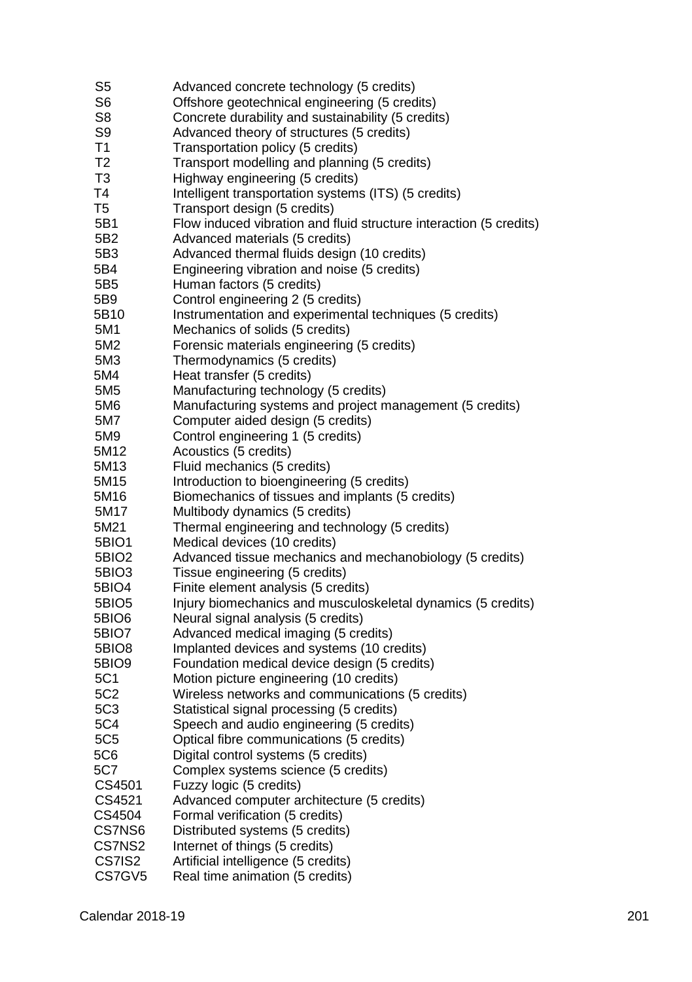- S5 Advanced concrete technology (5 credits)<br>S6 Offshore geotechnical engineering (5 cred S6 **S6** Offshore geotechnical engineering (5 credits)<br>S8 Concrete durability and sustainability (5 credit S8 Concrete durability and sustainability (5 credits)<br>S9 Advanced theory of structures (5 credits) S9 Advanced theory of structures (5 credits)<br>T1 Transportation policy (5 credits) T1 Transportation policy (5 credits)<br>T2 Transport modelling and planning T2 Transport modelling and planning (5 credits)<br>T3 Highway engineering (5 credits) T3 Highway engineering (5 credits)<br>T4 **Intelligent transportation** system T4 Intelligent transportation systems (ITS) (5 credits)<br>T5 Transport design (5 credits) Transport design (5 credits) 5B1 Flow induced vibration and fluid structure interaction (5 credits)<br>5B2 Advanced materials (5 credits) 5B2 Advanced materials (5 credits)<br>5B3 Advanced thermal fluids design Advanced thermal fluids design (10 credits) 5B4 Engineering vibration and noise (5 credits)<br>5B5 Human factors (5 credits) 5B5 Human factors (5 credits)<br>5B9 Control engineering 2 (5 c 5B9 Control engineering 2 (5 credits)<br>5B10 Instrumentation and experimental Instrumentation and experimental techniques (5 credits) 5M1 Mechanics of solids (5 credits)<br>5M2 Forensic materials engineering 5M2 Forensic materials engineering (5 credits)<br>5M3 Thermodynamics (5 credits) 5M3 Thermodynamics (5 credits)<br>5M4 Heat transfer (5 credits) Heat transfer (5 credits) 5M5 Manufacturing technology (5 credits)<br>5M6 Manufacturing systems and project m 5M6 Manufacturing systems and project management (5 credits)<br>5M7 Computer aided design (5 credits) Computer aided design (5 credits) 5M9 Control engineering 1 (5 credits)<br>5M12 Acoustics (5 credits) 5M12 Acoustics (5 credits)<br>5M13 Fluid mechanics (5 c Fluid mechanics (5 credits) 5M15 Introduction to bioengineering (5 credits)<br>5M16 Biomechanics of tissues and implants (5 Biomechanics of tissues and implants (5 credits) 5M17 Multibody dynamics (5 credits) 5M21 Thermal engineering and technology (5 credits) 5BIO1 Medical devices (10 credits)<br>5BIO2 Advanced tissue mechanics Advanced tissue mechanics and mechanobiology (5 credits) 5BIO3 Tissue engineering (5 credits)<br>5BIO4 Finite element analysis (5 cred Finite element analysis (5 credits) 5BIO5 Injury biomechanics and musculoskeletal dynamics (5 credits) 5BIO6 Neural signal analysis (5 credits) 5BIO7 Advanced medical imaging (5 credits) 5BIO8 Implanted devices and systems (10 credits)<br>5BIO9 Foundation medical device design (5 credits Foundation medical device design (5 credits) 5C1 Motion picture engineering (10 credits) 5C2 Wireless networks and communications (5 credits) 5C3 Statistical signal processing (5 credits)<br>5C4 Speech and audio engineering (5 credi Speech and audio engineering (5 credits) 5C5 Optical fibre communications (5 credits) 5C6 Digital control systems (5 credits)<br>5C7 Complex systems science (5 cred 5C7 Complex systems science (5 credits)<br>CS4501 Fuzzy logic (5 credits) Fuzzy logic (5 credits) CS4521 Advanced computer architecture (5 credits) CS4504 Formal verification (5 credits)<br>CS7NS6 Distributed systems (5 credits Distributed systems (5 credits) CS7NS2 Internet of things (5 credits) CS7IS2 Artificial intelligence (5 credits)
- CS7GV5 Real time animation (5 credits)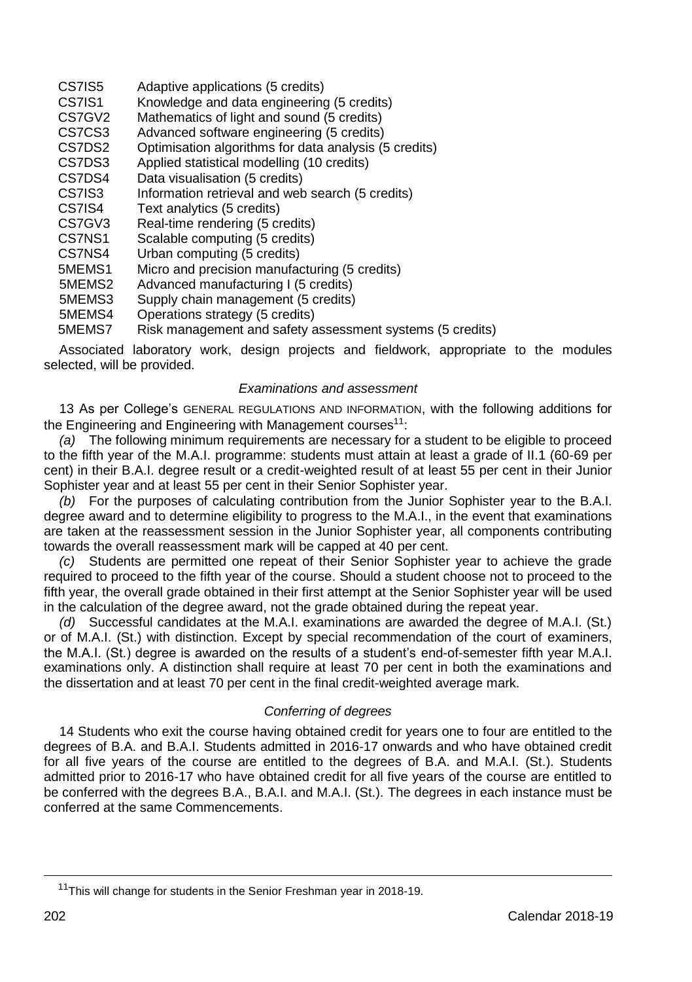| CS7IS5             | Adaptive applications (5 credits)                                                  |
|--------------------|------------------------------------------------------------------------------------|
| CS7IS1             | Knowledge and data engineering (5 credits)                                         |
| CS7GV <sub>2</sub> | Mathematics of light and sound (5 credits)                                         |
| CS7CS3             | Advanced software engineering (5 credits)                                          |
| CS7DS2             | Optimisation algorithms for data analysis (5 credits)                              |
| CS7DS3             | Applied statistical modelling (10 credits)                                         |
| CS7DS4             | Data visualisation (5 credits)                                                     |
| CS7IS3             | Information retrieval and web search (5 credits)                                   |
| CS7IS4             | Text analytics (5 credits)                                                         |
| CS7GV3             | Real-time rendering (5 credits)                                                    |
| CS7NS1             | Scalable computing (5 credits)                                                     |
| CS7NS4             | Urban computing (5 credits)                                                        |
| 5MEMS1             | Micro and precision manufacturing (5 credits)                                      |
| 5MEMS2             | Advanced manufacturing I (5 credits)                                               |
| 5MEMS3             | Supply chain management (5 credits)                                                |
| 5MEMS4             | Operations strategy (5 credits)                                                    |
| -------            | $\prime$ r<br>Faish as so shows a subset of the fair as so so so so the contracts. |

5MEMS7 Risk management and safety assessment systems (5 credits)

Associated laboratory work, design projects and fieldwork, appropriate to the modules selected, will be provided.

#### *Examinations and assessment*

13 As per College's GENERAL REGULATIONS AND INFORMATION, with the following additions for the Engineering and Engineering with Management courses<sup>11</sup>:

*(a)* The following minimum requirements are necessary for a student to be eligible to proceed to the fifth year of the M.A.I. programme: students must attain at least a grade of II.1 (60-69 per cent) in their B.A.I. degree result or a credit-weighted result of at least 55 per cent in their Junior Sophister year and at least 55 per cent in their Senior Sophister year.

*(b)* For the purposes of calculating contribution from the Junior Sophister year to the B.A.I. degree award and to determine eligibility to progress to the M.A.I., in the event that examinations are taken at the reassessment session in the Junior Sophister year, all components contributing towards the overall reassessment mark will be capped at 40 per cent.

*(c)* Students are permitted one repeat of their Senior Sophister year to achieve the grade required to proceed to the fifth year of the course. Should a student choose not to proceed to the fifth year, the overall grade obtained in their first attempt at the Senior Sophister year will be used in the calculation of the degree award, not the grade obtained during the repeat year.

*(d)* Successful candidates at the M.A.I. examinations are awarded the degree of M.A.I. (St.) or of M.A.I. (St.) with distinction. Except by special recommendation of the court of examiners, the M.A.I. (St.) degree is awarded on the results of a student's end-of-semester fifth year M.A.I. examinations only. A distinction shall require at least 70 per cent in both the examinations and the dissertation and at least 70 per cent in the final credit-weighted average mark.

#### *Conferring of degrees*

14 Students who exit the course having obtained credit for years one to four are entitled to the degrees of B.A. and B.A.I. Students admitted in 2016-17 onwards and who have obtained credit for all five years of the course are entitled to the degrees of B.A. and M.A.I. (St.). Students admitted prior to 2016-17 who have obtained credit for all five years of the course are entitled to be conferred with the degrees B.A., B.A.I. and M.A.I. (St.). The degrees in each instance must be conferred at the same Commencements.

<sup>&</sup>lt;sup>11</sup>This will change for students in the Senior Freshman year in 2018-19.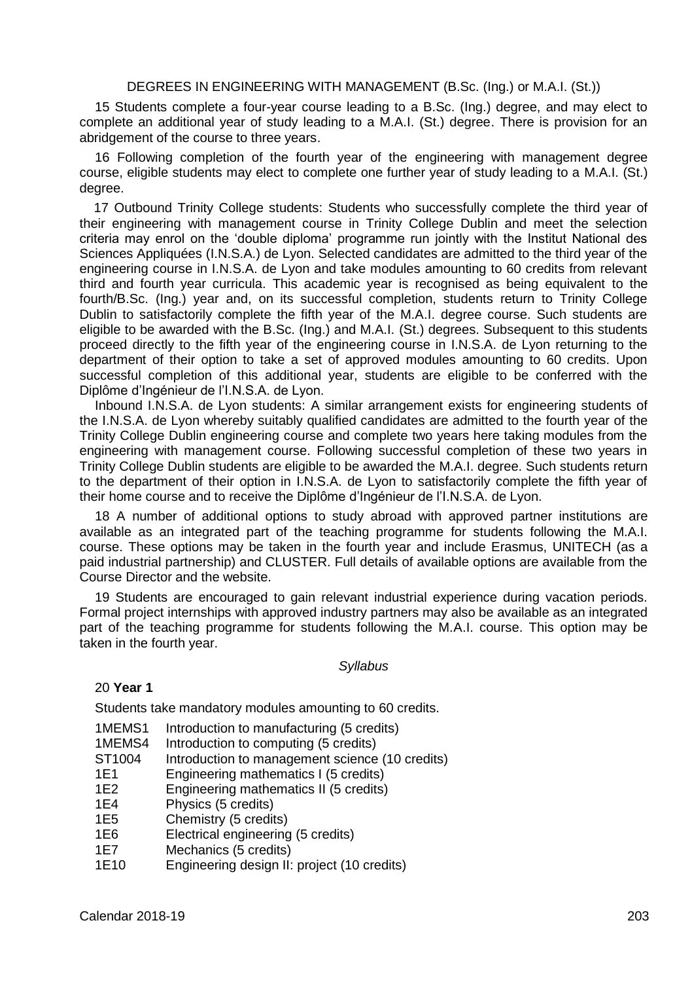## DEGREES IN ENGINEERING WITH MANAGEMENT (B.Sc. (Ing.) or M.A.I. (St.))

15 Students complete a four-year course leading to a B.Sc. (Ing.) degree, and may elect to complete an additional year of study leading to a M.A.I. (St.) degree. There is provision for an abridgement of the course to three years.

16 Following completion of the fourth year of the engineering with management degree course, eligible students may elect to complete one further year of study leading to a M.A.I. (St.) degree.

17 Outbound Trinity College students: Students who successfully complete the third year of their engineering with management course in Trinity College Dublin and meet the selection criteria may enrol on the 'double diploma' programme run jointly with the Institut National des Sciences Appliquées (I.N.S.A.) de Lyon. Selected candidates are admitted to the third year of the engineering course in I.N.S.A. de Lyon and take modules amounting to 60 credits from relevant third and fourth year curricula. This academic year is recognised as being equivalent to the fourth/B.Sc. (Ing.) year and, on its successful completion, students return to Trinity College Dublin to satisfactorily complete the fifth year of the M.A.I. degree course. Such students are eligible to be awarded with the B.Sc. (Ing.) and M.A.I. (St.) degrees. Subsequent to this students proceed directly to the fifth year of the engineering course in I.N.S.A. de Lyon returning to the department of their option to take a set of approved modules amounting to 60 credits. Upon successful completion of this additional year, students are eligible to be conferred with the Diplôme d'Ingénieur de l'I.N.S.A. de Lyon.

Inbound I.N.S.A. de Lyon students: A similar arrangement exists for engineering students of the I.N.S.A. de Lyon whereby suitably qualified candidates are admitted to the fourth year of the Trinity College Dublin engineering course and complete two years here taking modules from the engineering with management course. Following successful completion of these two years in Trinity College Dublin students are eligible to be awarded the M.A.I. degree. Such students return to the department of their option in I.N.S.A. de Lyon to satisfactorily complete the fifth year of their home course and to receive the Diplôme d'Ingénieur de l'I.N.S.A. de Lyon.

18 A number of additional options to study abroad with approved partner institutions are available as an integrated part of the teaching programme for students following the M.A.I. course. These options may be taken in the fourth year and include Erasmus, UNITECH (as a paid industrial partnership) and CLUSTER. Full details of available options are available from the Course Director and the website.

19 Students are encouraged to gain relevant industrial experience during vacation periods. Formal project internships with approved industry partners may also be available as an integrated part of the teaching programme for students following the M.A.I. course. This option may be taken in the fourth year.

#### *Syllabus*

#### 20 **Year 1**

Students take mandatory modules amounting to 60 credits.

- 1MEMS1 Introduction to manufacturing (5 credits)
- 1MEMS4 Introduction to computing (5 credits)<br>ST1004 Introduction to management science
- ST1004 Introduction to management science (10 credits)<br>1E1 Engineering mathematics I (5 credits)
- Engineering mathematics I (5 credits)
- 1E2 Engineering mathematics II (5 credits)
- 1E4 Physics (5 credits)<br>1E5 Chemistry (5 credit
- Chemistry (5 credits)
- 1E6 Electrical engineering (5 credits)
- 1E7 Mechanics (5 credits)<br>1E10 Fogineering design II
- Engineering design II: project (10 credits)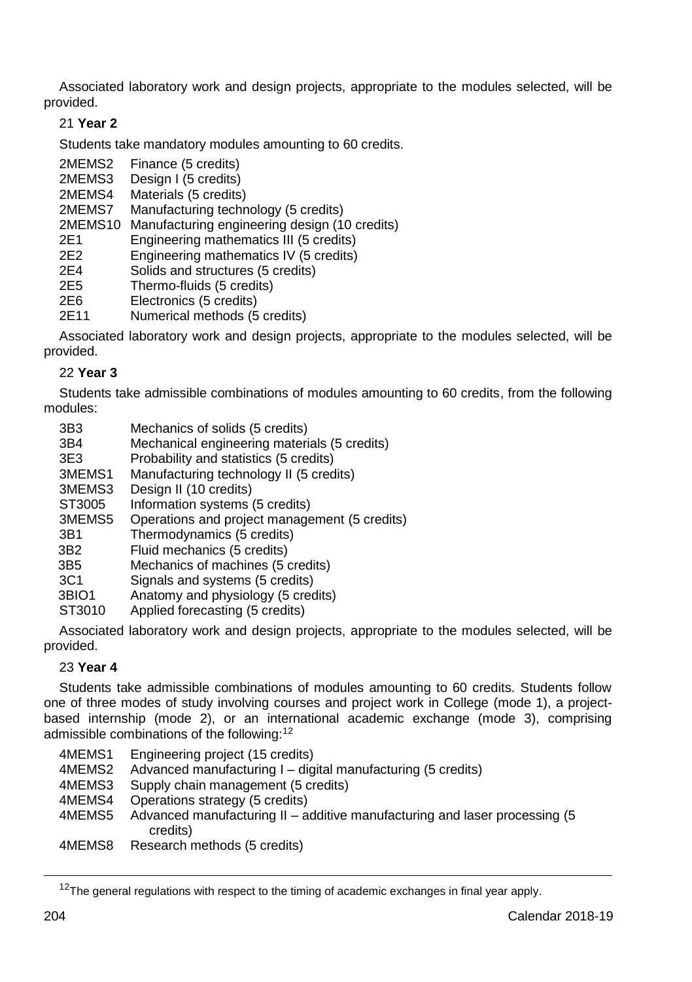Associated laboratory work and design projects, appropriate to the modules selected, will be provided.

## 21 **Year 2**

Students take mandatory modules amounting to 60 credits.

- 2MEMS2 Finance (5 credits)<br>2MEMS3 Design I (5 credits)
- 2MEMS3 Design I (5 credits)<br>2MEMS4 Materials (5 credits
- 2MEMS4 Materials (5 credits)<br>2MEMS7 Manufacturing techn

Manufacturing technology (5 credits)

2MEMS10 Manufacturing engineering design (10 credits)

- 2E1 Engineering mathematics III (5 credits)
- 2E2 Engineering mathematics IV  $(5 \text{ credits})$ <br>2E4 Solids and structures (5 credits)
- 2E4 Solids and structures (5 credits)<br>2E5 Thermo-fluids (5 credits)
- 2E5 Thermo-fluids (5 credits)<br>2E6 Flectronics (5 credits)
- 2E6 Electronics (5 credits)<br>2E11 Numerical methods (5
- Numerical methods (5 credits)

Associated laboratory work and design projects, appropriate to the modules selected, will be provided.

## 22 **Year 3**

Students take admissible combinations of modules amounting to 60 credits, from the following modules:

| 3B3<br>3B4<br>3E <sub>3</sub><br>3MEMS1 | Mechanics of solids (5 credits)<br>Mechanical engineering materials (5 credits)<br>Probability and statistics (5 credits)<br>Manufacturing technology II (5 credits) |
|-----------------------------------------|----------------------------------------------------------------------------------------------------------------------------------------------------------------------|
| 3MEMS3                                  | Design II (10 credits)                                                                                                                                               |
| ST3005                                  | Information systems (5 credits)                                                                                                                                      |
| 3MEMS5                                  | Operations and project management (5 credits)                                                                                                                        |
| 3B1                                     | Thermodynamics (5 credits)                                                                                                                                           |
| 3B2                                     | Fluid mechanics (5 credits)                                                                                                                                          |
| 3B5                                     | Mechanics of machines (5 credits)                                                                                                                                    |
| 3C <sub>1</sub>                         | Signals and systems (5 credits)                                                                                                                                      |
| 3BIO1                                   | Anatomy and physiology (5 credits)                                                                                                                                   |
| ST3010                                  | Applied forecasting (5 credits)                                                                                                                                      |

Associated laboratory work and design projects, appropriate to the modules selected, will be provided.

## 23 **Year 4**

Students take admissible combinations of modules amounting to 60 credits. Students follow one of three modes of study involving courses and project work in College (mode 1), a projectbased internship (mode 2), or an international academic exchange (mode 3), comprising admissible combinations of the following:<sup>12</sup>

| 4MEMS1 | Engineering project (15 credits)                                                        |
|--------|-----------------------------------------------------------------------------------------|
| 4MEMS2 | Advanced manufacturing I – digital manufacturing (5 credits)                            |
| 4MEMS3 | Supply chain management (5 credits)                                                     |
| 4MEMS4 | Operations strategy (5 credits)                                                         |
| 4MEMS5 | Advanced manufacturing II – additive manufacturing and laser processing (5)<br>credits) |
| 4MEMS8 | Research methods (5 credits)                                                            |

 $12$ The general regulations with respect to the timing of academic exchanges in final year apply.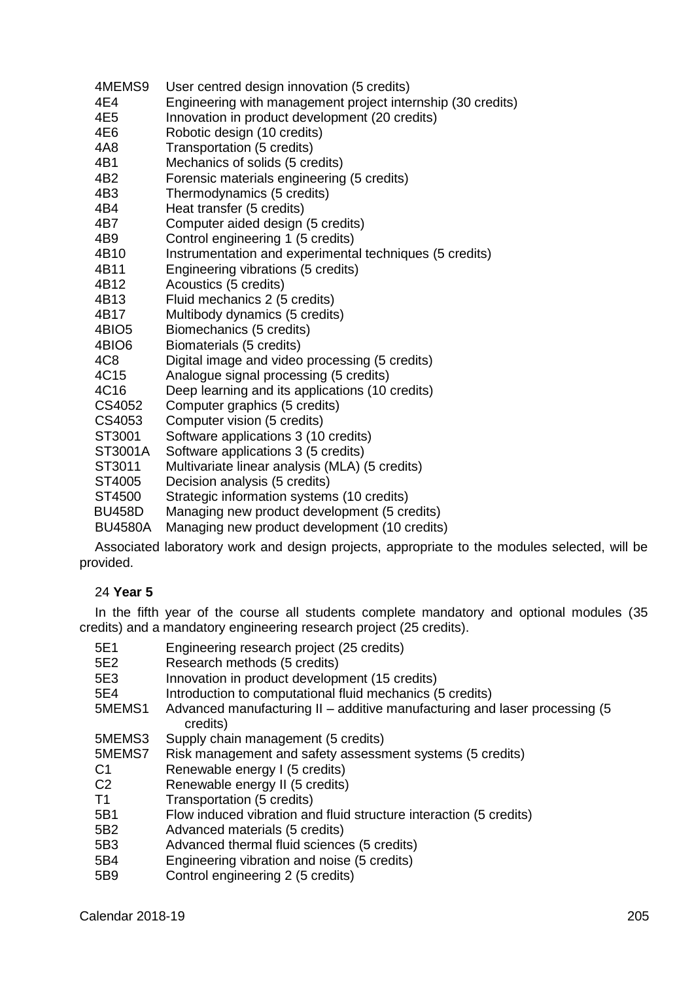- 4MEMS9 User centred design innovation (5 credits)<br>4F4 Engineering with management project inte
- 4E4 Engineering with management project internship (30 credits)<br>4E5 Innovation in product development (20 credits)
- 4E5 Innovation in product development (20 credits)<br>4E6 Robotic design (10 credits)
- 4E6 Robotic design (10 credits)<br>4A8 Transportation (5 credits)
- 4A8 Transportation (5 credits)<br>4R1 Mechanics of solids (5 cre
- 4B1 Mechanics of solids (5 credits)<br>4B2 Eorensic materials engineering
- 4B2 Forensic materials engineering (5 credits)<br>4B3 Thermodynamics (5 credits)
- 4B3 Thermodynamics (5 credits)<br>4B4 Heat transfer (5 credits)
- Heat transfer (5 credits)
- 4B7 Computer aided design (5 credits)<br>4B9 Control engineering 1 (5 credits)
- 4B9 Control engineering 1 (5 credits)<br>4B10 Instrumentation and experiments
- Instrumentation and experimental techniques (5 credits)
- 4B11 Engineering vibrations (5 credits)<br>4B12 Acoustics (5 credits)
- 4B12 Acoustics (5 credits)<br>4B13 Fluid mechanics 2 (5
- 4B13 Fluid mechanics 2 (5 credits)<br>4B17 Multibody dynamics (5 credits
- 4B17 Multibody dynamics (5 credits)<br>4BIO5 Biomechanics (5 credits)
- 4BIO5 Biomechanics (5 credits)<br>4BIO6 Biomaterials (5 credits)
- 4BIO6 Biomaterials (5 credits)<br>4C8 Digital image and video
- 4C8 Digital image and video processing (5 credits)<br>4C15 Analogue signal processing (5 credits)
- Analogue signal processing (5 credits)
- 4C16 Deep learning and its applications (10 credits)<br>CS4052 Computer graphics (5 credits)
- CS4052 Computer graphics (5 credits)<br>CS4053 Computer vision (5 credits)
- CS4053 Computer vision (5 credits)<br>ST3001 Software applications 3 (10
- Software applications 3 (10 credits)
- ST3001A Software applications 3 (5 credits)<br>ST3011 Multivariate linear analysis (MLA)
- Multivariate linear analysis (MLA) (5 credits)
- ST4005 Decision analysis (5 credits)<br>ST4500 Strategic information system
- Strategic information systems (10 credits)
- BU458D Managing new product development (5 credits)
- BU4580A Managing new product development (10 credits)

Associated laboratory work and design projects, appropriate to the modules selected, will be provided.

## 24 **Year 5**

In the fifth year of the course all students complete mandatory and optional modules (35 credits) and a mandatory engineering research project (25 credits).

- 5E1 Engineering research project (25 credits)
- 5E2 Research methods (5 credits)<br>5E3 Innovation in product develop
- 5E3 Innovation in product development (15 credits)<br>5E4 Introduction to computational fluid mechanics (6
- Introduction to computational fluid mechanics (5 credits)
- 5MEMS1 Advanced manufacturing II additive manufacturing and laser processing (5 credits)
- 5MEMS3 Supply chain management (5 credits)
- Risk management and safety assessment systems (5 credits)
- C1 Renewable energy I (5 credits)
- C2 Renewable energy II (5 credits)<br>T1 Transportation (5 credits)
- Transportation (5 credits)
- 5B1 Flow induced vibration and fluid structure interaction (5 credits)
- 5B2 Advanced materials (5 credits)<br>5B3 Advanced thermal fluid science
- 5B3 Advanced thermal fluid sciences (5 credits)<br>5B4 Fogineering vibration and noise (5 credits)
- Engineering vibration and noise  $(5 \text{ credits})$
- 5B9 Control engineering 2 (5 credits)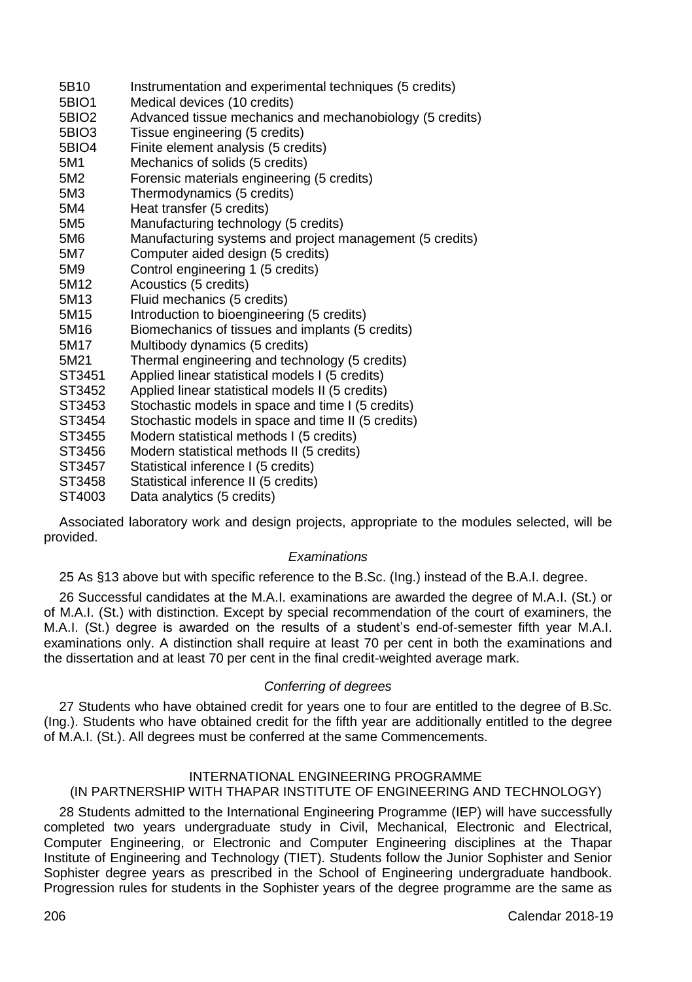- 5B10 Instrumentation and experimental techniques (5 credits)<br>5BIO1 Medical devices (10 credits)
- 5BIO1 Medical devices (10 credits)<br>5BIO2 Advanced tissue mechanics
- 5BIO2 Advanced tissue mechanics and mechanobiology (5 credits)<br>5BIO3 Tissue engineering (5 credits)
- 5BIO3 Tissue engineering (5 credits)<br>5BIO4 Finite element analysis (5 cred
- 5BIO4 Finite element analysis (5 credits)<br>5M1 Mechanics of solids (5 credits)
- 5M1 Mechanics of solids (5 credits)
- Forensic materials engineering (5 credits)
- 5M3 Thermodynamics (5 credits)<br>5M4 Heat transfer (5 credits)
- Heat transfer (5 credits)
- 5M5 Manufacturing technology (5 credits)<br>5M6 Manufacturing systems and project m
- 5M6 Manufacturing systems and project management (5 credits)<br>5M7 Computer aided design (5 credits)
- 5M7 Computer aided design (5 credits)
- 5M9 Control engineering 1 (5 credits)<br>5M12 Acoustics (5 credits)
- 5M12 Acoustics (5 credits)<br>5M13 Eluid mechanics (5 c
- 5M13 Fluid mechanics (5 credits)<br>5M15 Introduction to bioengineeri
- 5M15 Introduction to bioengineering (5 credits)<br>5M16 Biomechanics of tissues and implants (5
- 5M16 Biomechanics of tissues and implants (5 credits)<br>5M17 Multibody dynamics (5 credits)
- 5M17 Multibody dynamics (5 credits)<br>5M21 Thermal engineering and techn
- 5M21 Thermal engineering and technology (5 credits)<br>ST3451 Applied linear statistical models I (5 credits)
- Applied linear statistical models I (5 credits)
- ST3452 Applied linear statistical models II (5 credits)<br>ST3453 Stochastic models in space and time I (5 cre
- ST3453 Stochastic models in space and time I (5 credits)
- Stochastic models in space and time II (5 credits)
- ST3455 Modern statistical methods I (5 credits)
- ST3456 Modern statistical methods II (5 credits)<br>ST3457 Statistical inference I (5 credits)
- Statistical inference I (5 credits)
- ST3458 Statistical inference II (5 credits)<br>ST4003 Data analytics (5 credits)
- Data analytics (5 credits)

Associated laboratory work and design projects, appropriate to the modules selected, will be provided.

## *Examinations*

25 As §13 above but with specific reference to the B.Sc. (Ing.) instead of the B.A.I. degree.

26 Successful candidates at the M.A.I. examinations are awarded the degree of M.A.I. (St.) or of M.A.I. (St.) with distinction. Except by special recommendation of the court of examiners, the M.A.I. (St.) degree is awarded on the results of a student's end-of-semester fifth year M.A.I. examinations only. A distinction shall require at least 70 per cent in both the examinations and the dissertation and at least 70 per cent in the final credit-weighted average mark.

## *Conferring of degrees*

27 Students who have obtained credit for years one to four are entitled to the degree of B.Sc. (Ing.). Students who have obtained credit for the fifth year are additionally entitled to the degree of M.A.I. (St.). All degrees must be conferred at the same Commencements.

## INTERNATIONAL ENGINEERING PROGRAMME

## (IN PARTNERSHIP WITH THAPAR INSTITUTE OF ENGINEERING AND TECHNOLOGY)

28 Students admitted to the International Engineering Programme (IEP) will have successfully completed two years undergraduate study in Civil, Mechanical, Electronic and Electrical, Computer Engineering, or Electronic and Computer Engineering disciplines at the Thapar Institute of Engineering and Technology (TIET). Students follow the Junior Sophister and Senior Sophister degree years as prescribed in the School of Engineering undergraduate handbook. Progression rules for students in the Sophister years of the degree programme are the same as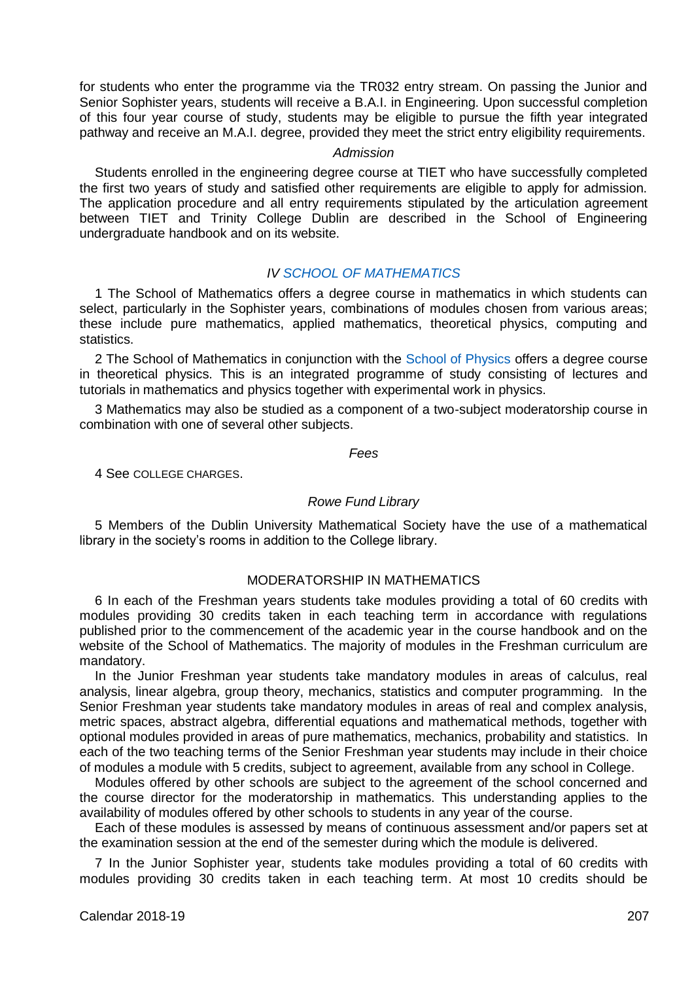for students who enter the programme via the TR032 entry stream. On passing the Junior and Senior Sophister years, students will receive a B.A.I. in Engineering. Upon successful completion of this four year course of study, students may be eligible to pursue the fifth year integrated pathway and receive an M.A.I. degree, provided they meet the strict entry eligibility requirements.

## *Admission*

Students enrolled in the engineering degree course at TIET who have successfully completed the first two years of study and satisfied other requirements are eligible to apply for admission. The application procedure and all entry requirements stipulated by the articulation agreement between TIET and Trinity College Dublin are described in the School of Engineering undergraduate handbook and on its website.

## *IV [SCHOOL OF MATHEMATICS](http://www.maths.tcd.ie/)*

1 The School of Mathematics offers a degree course in mathematics in which students can select, particularly in the Sophister years, combinations of modules chosen from various areas; these include pure mathematics, applied mathematics, theoretical physics, computing and statistics.

2 The School of Mathematics in conjunction with the [School of Physics](http://www.tcd.ie/Physics/) offers a degree course in theoretical physics. This is an integrated programme of study consisting of lectures and tutorials in mathematics and physics together with experimental work in physics.

3 Mathematics may also be studied as a component of a two-subject moderatorship course in combination with one of several other subjects.

#### *Fees*

4 See COLLEGE CHARGES.

## *Rowe Fund Library*

5 Members of the Dublin University Mathematical Society have the use of a mathematical library in the society's rooms in addition to the College library.

## MODERATORSHIP IN MATHEMATICS

6 In each of the Freshman years students take modules providing a total of 60 credits with modules providing 30 credits taken in each teaching term in accordance with regulations published prior to the commencement of the academic year in the course handbook and on the website of the School of Mathematics. The majority of modules in the Freshman curriculum are mandatory.

In the Junior Freshman year students take mandatory modules in areas of calculus, real analysis, linear algebra, group theory, mechanics, statistics and computer programming. In the Senior Freshman year students take mandatory modules in areas of real and complex analysis, metric spaces, abstract algebra, differential equations and mathematical methods, together with optional modules provided in areas of pure mathematics, mechanics, probability and statistics. In each of the two teaching terms of the Senior Freshman year students may include in their choice of modules a module with 5 credits, subject to agreement, available from any school in College.

Modules offered by other schools are subject to the agreement of the school concerned and the course director for the moderatorship in mathematics. This understanding applies to the availability of modules offered by other schools to students in any year of the course.

Each of these modules is assessed by means of continuous assessment and/or papers set at the examination session at the end of the semester during which the module is delivered.

7 In the Junior Sophister year, students take modules providing a total of 60 credits with modules providing 30 credits taken in each teaching term. At most 10 credits should be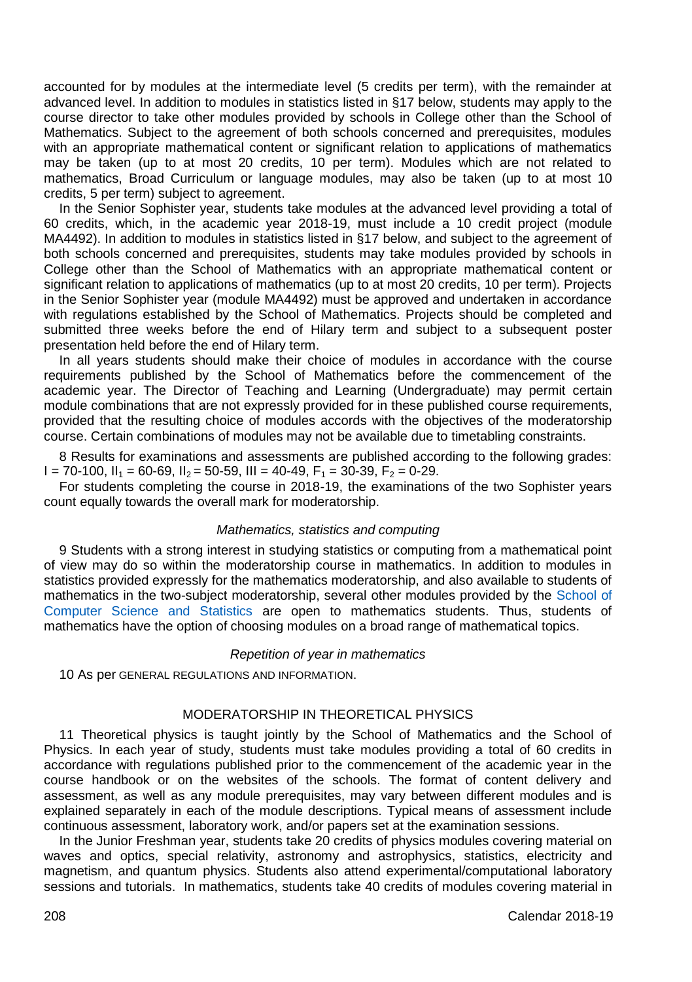accounted for by modules at the intermediate level (5 credits per term), with the remainder at advanced level. In addition to modules in statistics listed in §17 below, students may apply to the course director to take other modules provided by schools in College other than the School of Mathematics. Subject to the agreement of both schools concerned and prerequisites, modules with an appropriate mathematical content or significant relation to applications of mathematics may be taken (up to at most 20 credits, 10 per term). Modules which are not related to mathematics, Broad Curriculum or language modules, may also be taken (up to at most 10 credits, 5 per term) subject to agreement.

In the Senior Sophister year, students take modules at the advanced level providing a total of 60 credits, which, in the academic year 2018-19, must include a 10 credit project (module MA4492). In addition to modules in statistics listed in §17 below, and subject to the agreement of both schools concerned and prerequisites, students may take modules provided by schools in College other than the School of Mathematics with an appropriate mathematical content or significant relation to applications of mathematics (up to at most 20 credits, 10 per term). Projects in the Senior Sophister year (module MA4492) must be approved and undertaken in accordance with regulations established by the School of Mathematics. Projects should be completed and submitted three weeks before the end of Hilary term and subject to a subsequent poster presentation held before the end of Hilary term.

In all years students should make their choice of modules in accordance with the course requirements published by the School of Mathematics before the commencement of the academic year. The Director of Teaching and Learning (Undergraduate) may permit certain module combinations that are not expressly provided for in these published course requirements, provided that the resulting choice of modules accords with the objectives of the moderatorship course. Certain combinations of modules may not be available due to timetabling constraints.

8 Results for examinations and assessments are published according to the following grades:  $I = 70-100$ ,  $I_1 = 60-69$ ,  $I_2 = 50-59$ ,  $II_1 = 40-49$ ,  $F_1 = 30-39$ ,  $F_2 = 0-29$ .

For students completing the course in 2018-19, the examinations of the two Sophister years count equally towards the overall mark for moderatorship.

### *Mathematics, statistics and computing*

9 Students with a strong interest in studying statistics or computing from a mathematical point of view may do so within the moderatorship course in mathematics. In addition to modules in statistics provided expressly for the mathematics moderatorship, and also available to students of mathematics in the two-subject moderatorship, several other modules provided by the [School of](https://www.scss.tcd.ie/)  [Computer Science and Statistics](https://www.scss.tcd.ie/) are open to mathematics students. Thus, students of mathematics have the option of choosing modules on a broad range of mathematical topics.

#### *Repetition of year in mathematics*

10 As per GENERAL REGULATIONS AND INFORMATION.

## MODERATORSHIP IN THEORETICAL PHYSICS

11 Theoretical physics is taught jointly by the School of Mathematics and the School of Physics. In each year of study, students must take modules providing a total of 60 credits in accordance with regulations published prior to the commencement of the academic year in the course handbook or on the websites of the schools. The format of content delivery and assessment, as well as any module prerequisites, may vary between different modules and is explained separately in each of the module descriptions. Typical means of assessment include continuous assessment, laboratory work, and/or papers set at the examination sessions.

In the Junior Freshman year, students take 20 credits of physics modules covering material on waves and optics, special relativity, astronomy and astrophysics, statistics, electricity and magnetism, and quantum physics. Students also attend experimental/computational laboratory sessions and tutorials. In mathematics, students take 40 credits of modules covering material in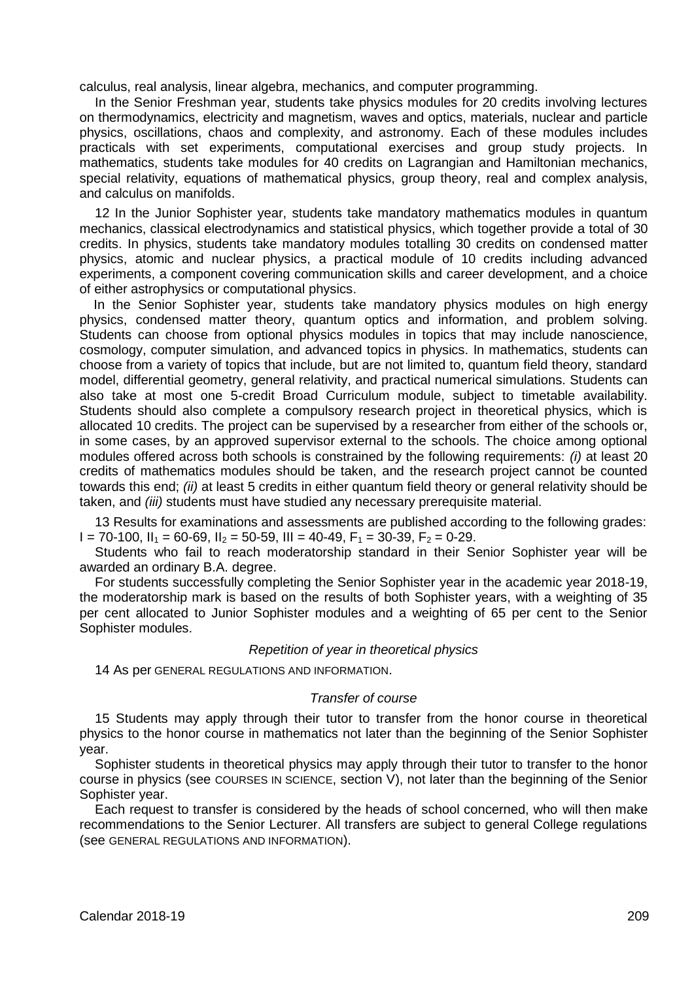calculus, real analysis, linear algebra, mechanics, and computer programming.

In the Senior Freshman year, students take physics modules for 20 credits involving lectures on thermodynamics, electricity and magnetism, waves and optics, materials, nuclear and particle physics, oscillations, chaos and complexity, and astronomy. Each of these modules includes practicals with set experiments, computational exercises and group study projects. In mathematics, students take modules for 40 credits on Lagrangian and Hamiltonian mechanics, special relativity, equations of mathematical physics, group theory, real and complex analysis, and calculus on manifolds.

12 In the Junior Sophister year, students take mandatory mathematics modules in quantum mechanics, classical electrodynamics and statistical physics, which together provide a total of 30 credits. In physics, students take mandatory modules totalling 30 credits on condensed matter physics, atomic and nuclear physics, a practical module of 10 credits including advanced experiments, a component covering communication skills and career development, and a choice of either astrophysics or computational physics.

In the Senior Sophister year, students take mandatory physics modules on high energy physics, condensed matter theory, quantum optics and information, and problem solving. Students can choose from optional physics modules in topics that may include nanoscience, cosmology, computer simulation, and advanced topics in physics. In mathematics, students can choose from a variety of topics that include, but are not limited to, quantum field theory, standard model, differential geometry, general relativity, and practical numerical simulations. Students can also take at most one 5-credit Broad Curriculum module, subject to timetable availability. Students should also complete a compulsory research project in theoretical physics, which is allocated 10 credits. The project can be supervised by a researcher from either of the schools or, in some cases, by an approved supervisor external to the schools. The choice among optional modules offered across both schools is constrained by the following requirements: *(i)* at least 20 credits of mathematics modules should be taken, and the research project cannot be counted towards this end; *(ii)* at least 5 credits in either quantum field theory or general relativity should be taken, and *(iii)* students must have studied any necessary prerequisite material.

13 Results for examinations and assessments are published according to the following grades:  $I = 70-100$ ,  $II_1 = 60-69$ ,  $II_2 = 50-59$ ,  $III = 40-49$ ,  $F_1 = 30-39$ ,  $F_2 = 0-29$ .

Students who fail to reach moderatorship standard in their Senior Sophister year will be awarded an ordinary B.A. degree.

For students successfully completing the Senior Sophister year in the academic year 2018-19, the moderatorship mark is based on the results of both Sophister years, with a weighting of 35 per cent allocated to Junior Sophister modules and a weighting of 65 per cent to the Senior Sophister modules.

#### *Repetition of year in theoretical physics*

14 As per GENERAL REGULATIONS AND INFORMATION.

## *Transfer of course*

15 Students may apply through their tutor to transfer from the honor course in theoretical physics to the honor course in mathematics not later than the beginning of the Senior Sophister year.

Sophister students in theoretical physics may apply through their tutor to transfer to the honor course in physics (see COURSES IN SCIENCE, section V), not later than the beginning of the Senior Sophister year.

Each request to transfer is considered by the heads of school concerned, who will then make recommendations to the Senior Lecturer. All transfers are subject to general College regulations (see GENERAL REGULATIONS AND INFORMATION).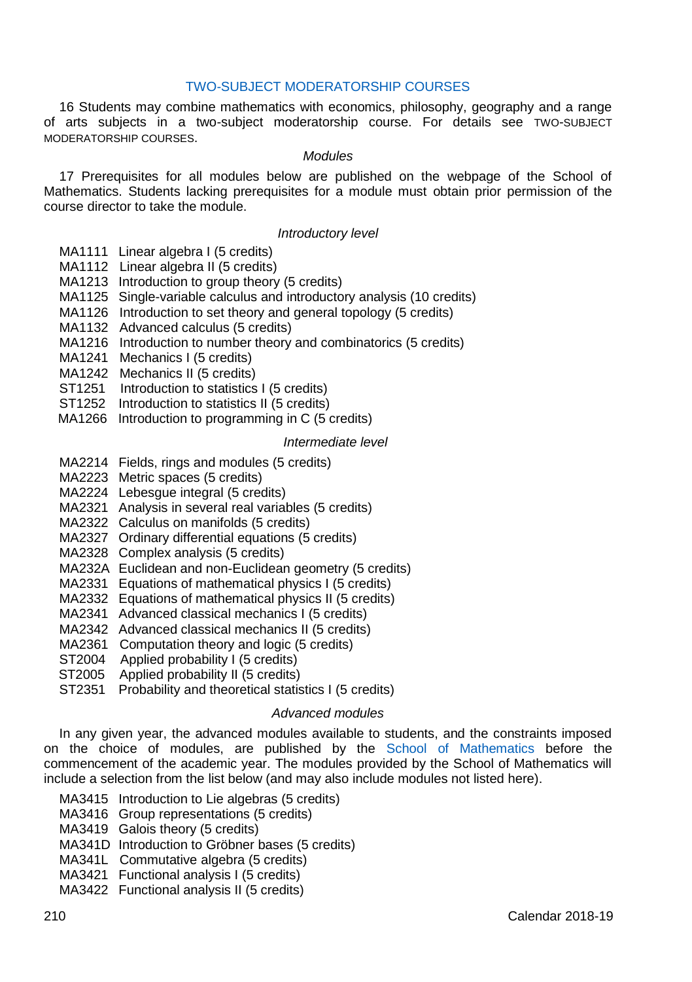## [TWO-SUBJECT MODERATORSHIP COURSES](http://www.tcd.ie/TSM/)

16 Students may combine mathematics with economics, philosophy, geography and a range of arts subjects in a two-subject moderatorship course. For details see TWO-SUBJECT MODERATORSHIP COURSES.

#### *Modules*

17 Prerequisites for all modules below are published on the webpage of the School of Mathematics. Students lacking prerequisites for a module must obtain prior permission of the course director to take the module.

## *Introductory level*

- MA1111 Linear algebra L(5 credits)
- MA1112 Linear algebra II (5 credits)
- MA1213 Introduction to group theory (5 credits)
- MA1125 Single-variable calculus and introductory analysis (10 credits)
- MA1126 Introduction to set theory and general topology (5 credits)
- MA1132 Advanced calculus (5 credits)
- MA1216 Introduction to number theory and combinatorics (5 credits)
- MA1241 Mechanics I (5 credits)
- MA1242 Mechanics II (5 credits)
- ST1251 Introduction to statistics I (5 credits)
- ST1252 Introduction to statistics II (5 credits)
- MA1266 Introduction to programming in C (5 credits)

#### *Intermediate level*

- MA2214 Fields, rings and modules (5 credits)
- MA2223 Metric spaces (5 credits)
- MA2224 Lebesgue integral (5 credits)
- MA2321 Analysis in several real variables (5 credits)
- MA2322 Calculus on manifolds (5 credits)
- MA2327 Ordinary differential equations (5 credits)
- MA2328 Complex analysis (5 credits)
- MA232A Euclidean and non-Euclidean geometry (5 credits)
- MA2331 Equations of mathematical physics I (5 credits)
- MA2332 Equations of mathematical physics II (5 credits)
- MA2341 Advanced classical mechanics I (5 credits)
- MA2342 Advanced classical mechanics II (5 credits)
- MA2361 Computation theory and logic (5 credits)
- ST2004 Applied probability I (5 credits)
- ST2005 Applied probability II (5 credits)
	- ST2351 Probability and theoretical statistics I (5 credits)

## *Advanced modules*

In any given year, the advanced modules available to students, and the constraints imposed on the choice of modules, are published by the [School of Mathematics](http://www.maths.tcd.ie/) before the commencement of the academic year. The modules provided by the School of Mathematics will include a selection from the list below (and may also include modules not listed here).

- MA3415 Introduction to Lie algebras (5 credits)
- MA3416 Group representations (5 credits)
- MA3419 Galois theory (5 credits)
- MA341D Introduction to Gröbner bases (5 credits)
- MA341L Commutative algebra (5 credits)
- MA3421 Functional analysis I (5 credits)
- MA3422 Functional analysis II (5 credits)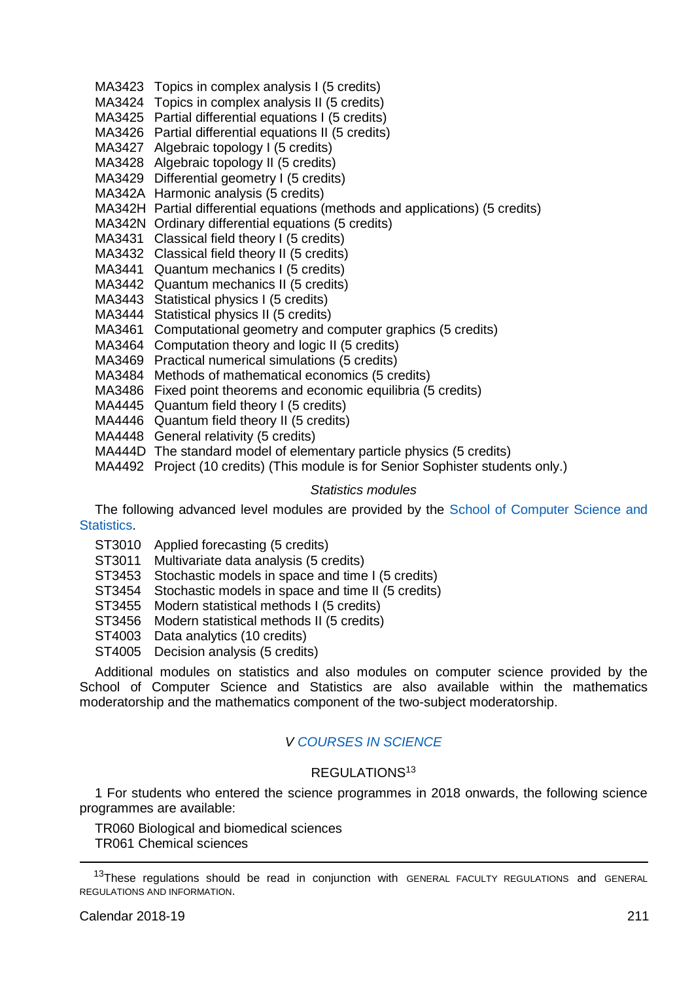- MA3423 Topics in complex analysis I (5 credits)
- MA3424 Topics in complex analysis II (5 credits)
- MA3425 Partial differential equations I (5 credits)
- MA3426 Partial differential equations II (5 credits)
- MA3427 Algebraic topology I (5 credits)
- MA3428 Algebraic topology II (5 credits)
- MA3429 Differential geometry I (5 credits)
- MA342A Harmonic analysis (5 credits)
- MA342H Partial differential equations (methods and applications) (5 credits)
- MA342N Ordinary differential equations (5 credits)
- MA3431 Classical field theory I (5 credits)
- MA3432 Classical field theory II (5 credits)
- MA3441 Quantum mechanics I (5 credits)
- MA3442 Quantum mechanics II (5 credits)
- MA3443 Statistical physics I (5 credits)
- MA3444 Statistical physics II (5 credits)
- MA3461 Computational geometry and computer graphics (5 credits)
- MA3464 Computation theory and logic II (5 credits)
- MA3469 Practical numerical simulations (5 credits)
- MA3484 Methods of mathematical economics (5 credits)
- MA3486 Fixed point theorems and economic equilibria (5 credits)
- MA4445 Quantum field theory I (5 credits)
- MA4446 Quantum field theory II (5 credits)
- MA4448 General relativity (5 credits)
- MA444D The standard model of elementary particle physics (5 credits)
- MA4492 Project (10 credits) (This module is for Senior Sophister students only.)

#### *Statistics modules*

The following advanced level modules are provided by the [School of Computer Science and](https://www.scss.tcd.ie/)  **Statistics** 

- ST3010 Applied forecasting (5 credits)
- ST3011 Multivariate data analysis (5 credits)
- ST3453 Stochastic models in space and time I (5 credits)
- ST3454 Stochastic models in space and time II (5 credits)
- ST3455 Modern statistical methods I (5 credits)
- ST3456 Modern statistical methods II (5 credits)
- ST4003 Data analytics (10 credits)
- ST4005 Decision analysis (5 credits)

Additional modules on statistics and also modules on computer science provided by the School of Computer Science and Statistics are also available within the mathematics moderatorship and the mathematics component of the two-subject moderatorship.

## *V [COURSES IN SCIENCE](http://www.tcd.ie/Science/)*

## REGULATIONS<sup>13</sup>

1 For students who entered the science programmes in 2018 onwards, the following science programmes are available:

TR060 Biological and biomedical sciences TR061 Chemical sciences

-

<sup>&</sup>lt;sup>13</sup>These regulations should be read in conjunction with GENERAL FACULTY REGULATIONS and GENERAL REGULATIONS AND INFORMATION.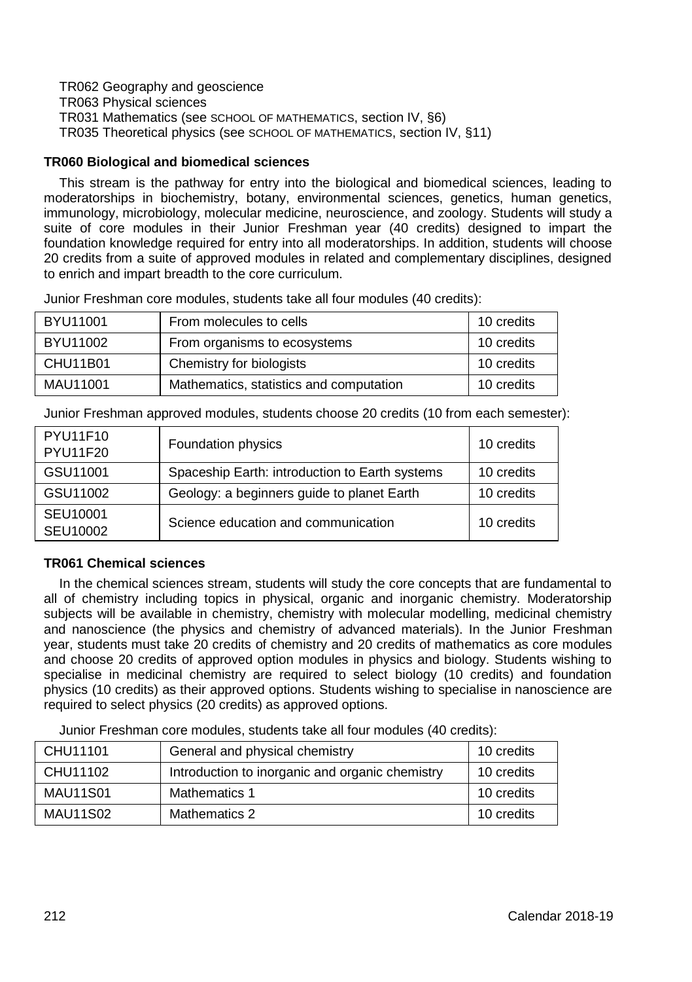TR062 Geography and geoscience

TR063 Physical sciences

TR031 Mathematics (see SCHOOL OF MATHEMATICS, section IV, §6)

TR035 Theoretical physics (see SCHOOL OF MATHEMATICS, section IV, §11)

## **TR060 Biological and biomedical sciences**

This stream is the pathway for entry into the biological and biomedical sciences, leading to moderatorships in biochemistry, botany, environmental sciences, genetics, human genetics, immunology, microbiology, molecular medicine, neuroscience, and zoology. Students will study a suite of core modules in their Junior Freshman year (40 credits) designed to impart the foundation knowledge required for entry into all moderatorships. In addition, students will choose 20 credits from a suite of approved modules in related and complementary disciplines, designed to enrich and impart breadth to the core curriculum.

Junior Freshman core modules, students take all four modules (40 credits):

| BYU11001 | From molecules to cells                 | 10 credits |
|----------|-----------------------------------------|------------|
| BYU11002 | From organisms to ecosystems            | 10 credits |
| CHU11B01 | Chemistry for biologists                | 10 credits |
| MAU11001 | Mathematics, statistics and computation | 10 credits |

Junior Freshman approved modules, students choose 20 credits (10 from each semester):

| <b>PYU11F10</b><br>PYU11F20 | Foundation physics                             | 10 credits |
|-----------------------------|------------------------------------------------|------------|
| GSU11001                    | Spaceship Earth: introduction to Earth systems | 10 credits |
| GSU11002                    | Geology: a beginners guide to planet Earth     | 10 credits |
| SEU10001<br>SEU10002        | Science education and communication            | 10 credits |

## **TR061 Chemical sciences**

In the chemical sciences stream, students will study the core concepts that are fundamental to all of chemistry including topics in physical, organic and inorganic chemistry. Moderatorship subjects will be available in chemistry, chemistry with molecular modelling, medicinal chemistry and nanoscience (the physics and chemistry of advanced materials). In the Junior Freshman year, students must take 20 credits of chemistry and 20 credits of mathematics as core modules and choose 20 credits of approved option modules in physics and biology. Students wishing to specialise in medicinal chemistry are required to select biology (10 credits) and foundation physics (10 credits) as their approved options. Students wishing to specialise in nanoscience are required to select physics (20 credits) as approved options.

Junior Freshman core modules, students take all four modules (40 credits):

| CHU11101        | General and physical chemistry                  | 10 credits |
|-----------------|-------------------------------------------------|------------|
| CHU11102        | Introduction to inorganic and organic chemistry | 10 credits |
| <b>MAU11S01</b> | Mathematics 1                                   | 10 credits |
| <b>MAU11S02</b> | Mathematics 2                                   | 10 credits |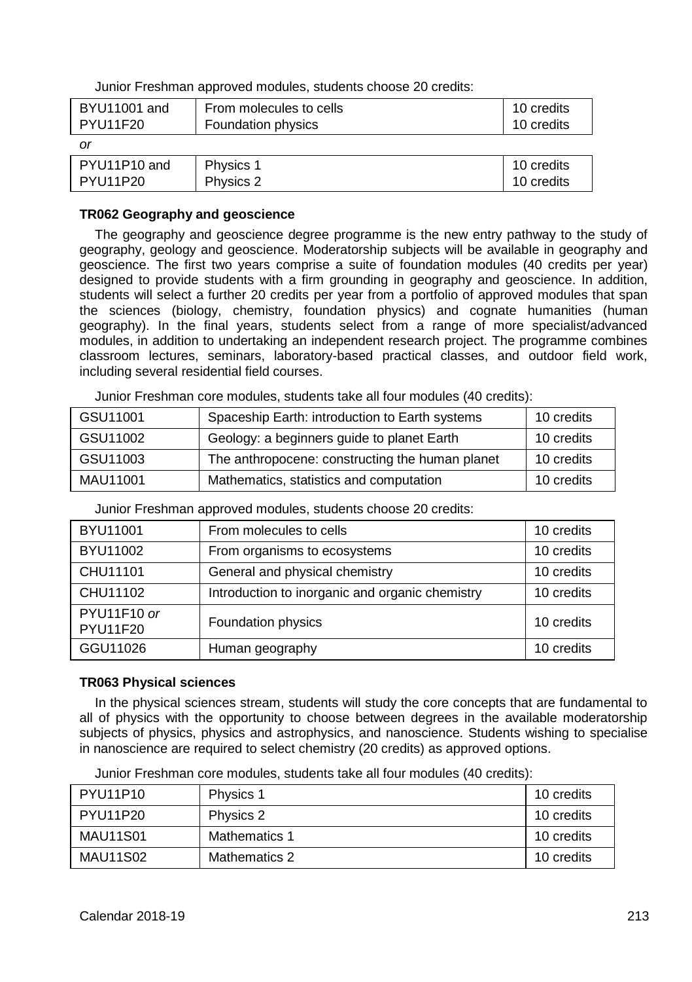| Junior Freshman approved modules, students choose 20 credits: |  |  |
|---------------------------------------------------------------|--|--|
|---------------------------------------------------------------|--|--|

| BYU11001 and | From molecules to cells | 10 credits |
|--------------|-------------------------|------------|
| PYU11F20     | Foundation physics      | 10 credits |
| or           |                         |            |
| PYU11P10 and | Physics 1               | 10 credits |
| PYU11P20     | Physics 2               | 10 credits |

## **TR062 Geography and geoscience**

The geography and geoscience degree programme is the new entry pathway to the study of geography, geology and geoscience. Moderatorship subjects will be available in geography and geoscience. The first two years comprise a suite of foundation modules (40 credits per year) designed to provide students with a firm grounding in geography and geoscience. In addition, students will select a further 20 credits per year from a portfolio of approved modules that span the sciences (biology, chemistry, foundation physics) and cognate humanities (human geography). In the final years, students select from a range of more specialist/advanced modules, in addition to undertaking an independent research project. The programme combines classroom lectures, seminars, laboratory-based practical classes, and outdoor field work, including several residential field courses.

| GSU11001 | Spaceship Earth: introduction to Earth systems  | 10 credits |
|----------|-------------------------------------------------|------------|
| GSU11002 | Geology: a beginners guide to planet Earth      | 10 credits |
| GSU11003 | The anthropocene: constructing the human planet | 10 credits |
| MAU11001 | Mathematics, statistics and computation         | 10 credits |

Junior Freshman core modules, students take all four modules (40 credits):

Junior Freshman approved modules, students choose 20 credits:

| BYU11001                       | From molecules to cells                         | 10 credits |
|--------------------------------|-------------------------------------------------|------------|
| BYU11002                       | From organisms to ecosystems                    | 10 credits |
| CHU11101                       | General and physical chemistry                  | 10 credits |
| CHU11102                       | Introduction to inorganic and organic chemistry | 10 credits |
| PYU11F10 or<br><b>PYU11F20</b> | Foundation physics                              | 10 credits |
| GGU11026                       | Human geography                                 | 10 credits |

## **TR063 Physical sciences**

In the physical sciences stream, students will study the core concepts that are fundamental to all of physics with the opportunity to choose between degrees in the available moderatorship subjects of physics, physics and astrophysics, and nanoscience. Students wishing to specialise in nanoscience are required to select chemistry (20 credits) as approved options.

| Junior Freshman core modules, students take all four modules (40 credits): |
|----------------------------------------------------------------------------|
|----------------------------------------------------------------------------|

| PYU11P10        | Physics 1            | 10 credits |
|-----------------|----------------------|------------|
| PYU11P20        | Physics 2            | 10 credits |
| <b>MAU11S01</b> | <b>Mathematics 1</b> | 10 credits |
| <b>MAU11S02</b> | Mathematics 2        | 10 credits |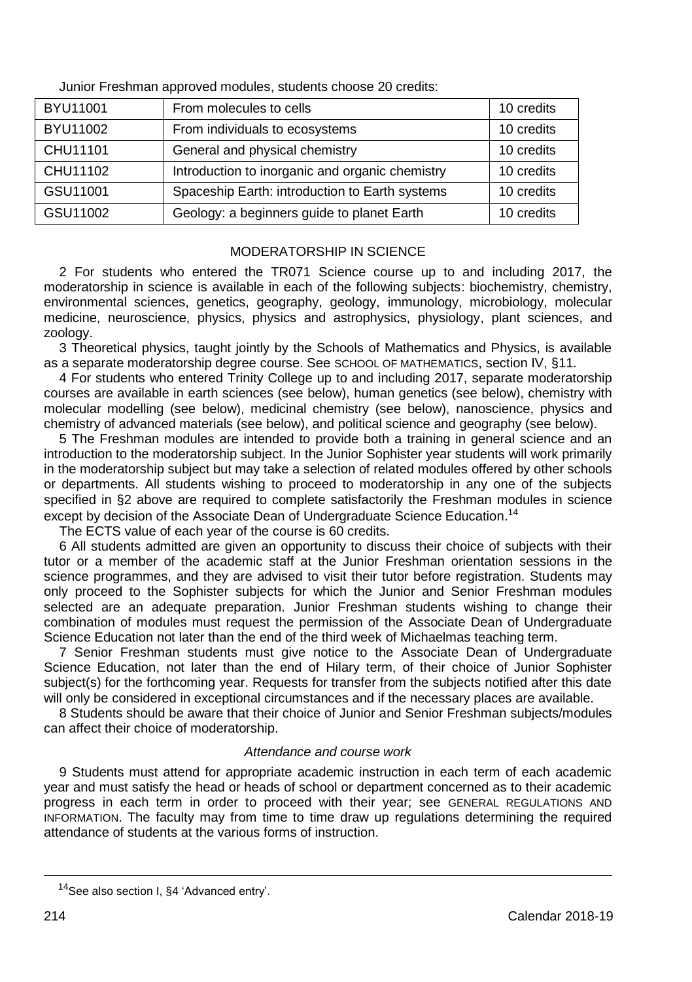| BYU11001 | From molecules to cells                         | 10 credits |
|----------|-------------------------------------------------|------------|
| BYU11002 | From individuals to ecosystems                  | 10 credits |
| CHU11101 | General and physical chemistry                  | 10 credits |
| CHU11102 | Introduction to inorganic and organic chemistry | 10 credits |
| GSU11001 | Spaceship Earth: introduction to Earth systems  | 10 credits |
| GSU11002 | Geology: a beginners guide to planet Earth      | 10 credits |

Junior Freshman approved modules, students choose 20 credits:

## MODERATORSHIP IN SCIENCE

2 For students who entered the TR071 Science course up to and including 2017, the moderatorship in science is available in each of the following subjects: biochemistry, chemistry, environmental sciences, genetics, geography, geology, immunology, microbiology, molecular medicine, neuroscience, physics, physics and astrophysics, physiology, plant sciences, and zoology.

3 Theoretical physics, taught jointly by the Schools of Mathematics and Physics, is available as a separate moderatorship degree course. See SCHOOL OF MATHEMATICS, section IV, §11.

4 For students who entered Trinity College up to and including 2017, separate moderatorship courses are available in earth sciences (see below), human genetics (see below), chemistry with molecular modelling (see below), medicinal chemistry (see below), nanoscience, physics and chemistry of advanced materials (see below), and political science and geography (see below).

5 The Freshman modules are intended to provide both a training in general science and an introduction to the moderatorship subject. In the Junior Sophister year students will work primarily in the moderatorship subject but may take a selection of related modules offered by other schools or departments. All students wishing to proceed to moderatorship in any one of the subjects specified in §2 above are required to complete satisfactorily the Freshman modules in science except by decision of the Associate Dean of Undergraduate Science Education.<sup>14</sup>

The ECTS value of each year of the course is 60 credits.

6 All students admitted are given an opportunity to discuss their choice of subjects with their tutor or a member of the academic staff at the Junior Freshman orientation sessions in the science programmes, and they are advised to visit their tutor before registration. Students may only proceed to the Sophister subjects for which the Junior and Senior Freshman modules selected are an adequate preparation. Junior Freshman students wishing to change their combination of modules must request the permission of the Associate Dean of Undergraduate Science Education not later than the end of the third week of Michaelmas teaching term.

7 Senior Freshman students must give notice to the Associate Dean of Undergraduate Science Education, not later than the end of Hilary term, of their choice of Junior Sophister subject(s) for the forthcoming year. Requests for transfer from the subjects notified after this date will only be considered in exceptional circumstances and if the necessary places are available.

8 Students should be aware that their choice of Junior and Senior Freshman subjects/modules can affect their choice of moderatorship.

## *Attendance and course work*

9 Students must attend for appropriate academic instruction in each term of each academic year and must satisfy the head or heads of school or department concerned as to their academic progress in each term in order to proceed with their year; see GENERAL REGULATIONS AND INFORMATION. The faculty may from time to time draw up regulations determining the required attendance of students at the various forms of instruction.

<sup>14</sup>See also section I, §4 'Advanced entry'.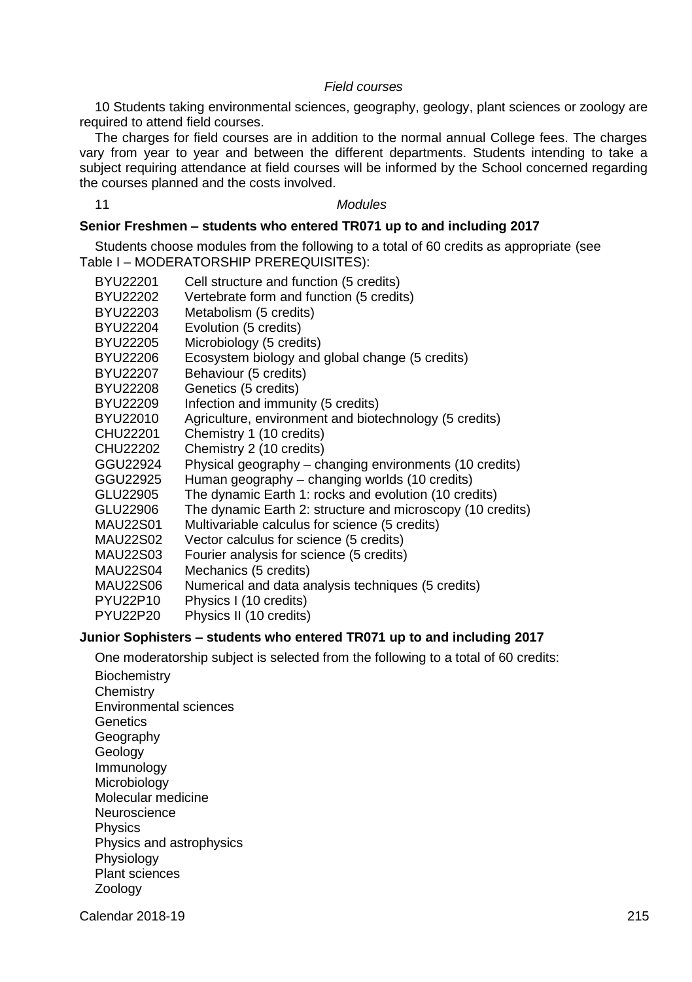#### *Field courses*

10 Students taking environmental sciences, geography, geology, plant sciences or zoology are required to attend field courses.

The charges for field courses are in addition to the normal annual College fees. The charges vary from year to year and between the different departments. Students intending to take a subject requiring attendance at field courses will be informed by the School concerned regarding the courses planned and the costs involved.

#### 11 *Modules*

## **Senior Freshmen – students who entered TR071 up to and including 2017**

Students choose modules from the following to a total of 60 credits as appropriate (see Table I – MODERATORSHIP PREREQUISITES):

| BYU22201        | Cell structure and function (5 credits)                    |
|-----------------|------------------------------------------------------------|
| BYU22202        | Vertebrate form and function (5 credits)                   |
| BYU22203        | Metabolism (5 credits)                                     |
| BYU22204        | Evolution (5 credits)                                      |
| BYU22205        | Microbiology (5 credits)                                   |
| BYU22206        | Ecosystem biology and global change (5 credits)            |
| BYU22207        | Behaviour (5 credits)                                      |
| BYU22208        | Genetics (5 credits)                                       |
| BYU22209        | Infection and immunity (5 credits)                         |
| BYU22010        | Agriculture, environment and biotechnology (5 credits)     |
| CHU22201        | Chemistry 1 (10 credits)                                   |
| CHU22202        | Chemistry 2 (10 credits)                                   |
| GGU22924        | Physical geography – changing environments (10 credits)    |
| GGU22925        | Human geography – changing worlds (10 credits)             |
| GLU22905        | The dynamic Earth 1: rocks and evolution (10 credits)      |
| GLU22906        | The dynamic Earth 2: structure and microscopy (10 credits) |
| <b>MAU22S01</b> | Multivariable calculus for science (5 credits)             |
| <b>MAU22S02</b> | Vector calculus for science (5 credits)                    |
| MAU22S03        | Fourier analysis for science (5 credits)                   |
| <b>MAU22S04</b> | Mechanics (5 credits)                                      |
| <b>MAU22S06</b> | Numerical and data analysis techniques (5 credits)         |
| PYU22P10        | Physics I (10 credits)                                     |
| <b>PYU22P20</b> | Physics II (10 credits)                                    |
|                 |                                                            |

## **Junior Sophisters – students who entered TR071 up to and including 2017**

One moderatorship subject is selected from the following to a total of 60 credits: **Biochemistry Chemistry** Environmental sciences **Genetics** Geography Geology Immunology **Microbiology** Molecular medicine Neuroscience **Physics** Physics and astrophysics **Physiology** Plant sciences Zoology

Calendar 2018-19 215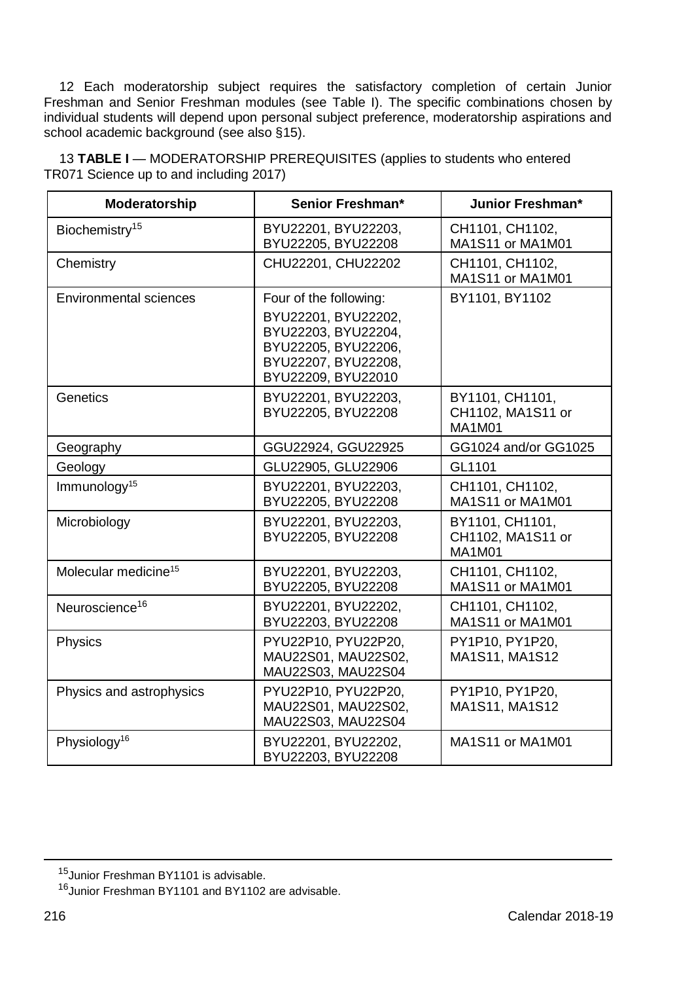12 Each moderatorship subject requires the satisfactory completion of certain Junior Freshman and Senior Freshman modules (see Table I). The specific combinations chosen by individual students will depend upon personal subject preference, moderatorship aspirations and school academic background (see also §15).

<span id="page-29-0"></span>**Moderatorship Senior Freshman\* Junior Freshman\*** Biochemistry<sup>15</sup> BYU22201, BYU22203, BYU22205, BYU22208 CH1101, CH1102, MA1S11 or MA1M01 Chemistry CHU22201, CHU22202 CH1101, CH1102, MA1S11 or MA1M01 Environmental sciences Four of the following: BYU22201, BYU22202, BYU22203, BYU22204, BYU22205, BYU22206, BYU22207, BYU22208, BYU22209, BYU22010 BY1101, BY1102 Genetics **BYU22201, BYU22203,** BYU22205, BYU22208 BY1101, CH1101, CH1102, MA1S11 or MA1M01 Geography GGU22924, GGU22925 GG1024 and/or GG1025 Geology Geology GLU22905, GLU22906 GL1101 Immunology[15](#page-29-0) BYU22201, BYU22203, BYU22205, BYU22208 CH1101, CH1102, MA1S11 or MA1M01 Microbiology BYU22201, BYU22203, BYU22205, BYU22208 BY1101, CH1101, CH1102, MA1S11 or MA1M01 Molecular medicine<sup>[15](#page-29-0)</sup> **BYU22201, BYU22203,** BYU22205, BYU22208 CH1101, CH1102, MA1S11 or MA1M01 Neuroscience<sup>16</sup> BYU22201, BYU22202, BYU22203, BYU22208 CH1101, CH1102, MA1S11 or MA1M01 Physics Physics Physics Physics Prediction Providence Prediction Prediction Prediction Prediction Prediction P MAU22S01, MAU22S02, MAU22S03, MAU22S04 PY1P10, PY1P20, MA1S11, MA1S12 Physics and astrophysics **PYU22P10, PYU22P20,** MAU22S01, MAU22S02, PY1P10, PY1P20,

MAU22S03, MAU22S04

BYU22203, BYU22208

13 **TABLE I** — MODERATORSHIP PREREQUISITES (applies to students who entered TR071 Science up to and including 2017)

<span id="page-29-1"></span>Physiology<sup>[16](#page-29-1)</sup> **BYU22201, BYU22202.** 

MA1S11, MA1S12

MA1S11 or MA1M01

-

<sup>15</sup> Junior Freshman BY1101 is advisable

<sup>16.</sup> Iunior Freshman BY1101 and BY1102 are advisable.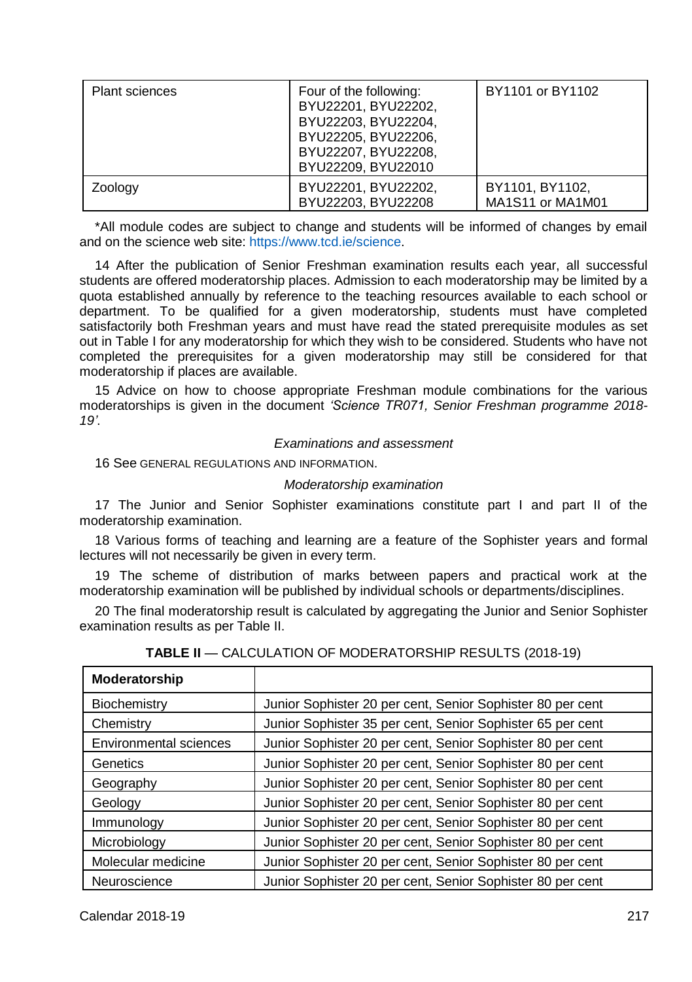| <b>Plant sciences</b> | Four of the following:<br>BYU22201, BYU22202,<br>BYU22203, BYU22204,<br>BYU22205, BYU22206.<br>BYU22207, BYU22208,<br>BYU22209, BYU22010 | BY1101 or BY1102                    |
|-----------------------|------------------------------------------------------------------------------------------------------------------------------------------|-------------------------------------|
| Zoology               | BYU22201, BYU22202,<br>BYU22203, BYU22208                                                                                                | BY1101, BY1102,<br>MA1S11 or MA1M01 |

\*All module codes are subject to change and students will be informed of changes by email and on the science web site: [https://www.tcd.ie/science.](https://www.tcd.ie/Science/)

14 After the publication of Senior Freshman examination results each year, all successful students are offered moderatorship places. Admission to each moderatorship may be limited by a quota established annually by reference to the teaching resources available to each school or department. To be qualified for a given moderatorship, students must have completed satisfactorily both Freshman years and must have read the stated prerequisite modules as set out in Table I for any moderatorship for which they wish to be considered. Students who have not completed the prerequisites for a given moderatorship may still be considered for that moderatorship if places are available.

15 Advice on how to choose appropriate Freshman module combinations for the various moderatorships is given in the document *'Science TR071, Senior Freshman programme 2018- 19'*.

#### *Examinations and assessment*

16 See GENERAL REGULATIONS AND INFORMATION.

### *Moderatorship examination*

17 The Junior and Senior Sophister examinations constitute part I and part II of the moderatorship examination.

18 Various forms of teaching and learning are a feature of the Sophister years and formal lectures will not necessarily be given in every term.

19 The scheme of distribution of marks between papers and practical work at the moderatorship examination will be published by individual schools or departments/disciplines.

20 The final moderatorship result is calculated by aggregating the Junior and Senior Sophister examination results as per Table II.

| Moderatorship          |                                                            |
|------------------------|------------------------------------------------------------|
| Biochemistry           | Junior Sophister 20 per cent, Senior Sophister 80 per cent |
| Chemistry              | Junior Sophister 35 per cent, Senior Sophister 65 per cent |
| Environmental sciences | Junior Sophister 20 per cent, Senior Sophister 80 per cent |
| Genetics               | Junior Sophister 20 per cent, Senior Sophister 80 per cent |
| Geography              | Junior Sophister 20 per cent, Senior Sophister 80 per cent |
| Geology                | Junior Sophister 20 per cent, Senior Sophister 80 per cent |
| Immunology             | Junior Sophister 20 per cent, Senior Sophister 80 per cent |
| Microbiology           | Junior Sophister 20 per cent, Senior Sophister 80 per cent |
| Molecular medicine     | Junior Sophister 20 per cent, Senior Sophister 80 per cent |
| Neuroscience           | Junior Sophister 20 per cent, Senior Sophister 80 per cent |

|  |  | <b>TABLE II —</b> CALCULATION OF MODERATORSHIP RESULTS (2018-19) |  |  |
|--|--|------------------------------------------------------------------|--|--|
|--|--|------------------------------------------------------------------|--|--|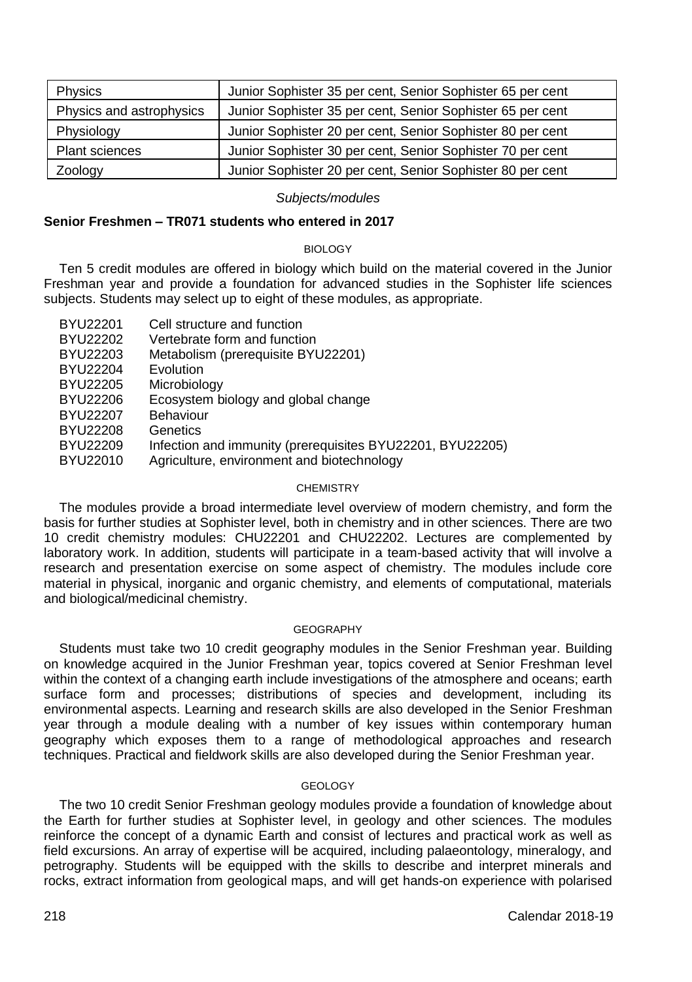| <b>Physics</b>           | Junior Sophister 35 per cent, Senior Sophister 65 per cent |
|--------------------------|------------------------------------------------------------|
| Physics and astrophysics | Junior Sophister 35 per cent, Senior Sophister 65 per cent |
| Physiology               | Junior Sophister 20 per cent, Senior Sophister 80 per cent |
| <b>Plant sciences</b>    | Junior Sophister 30 per cent, Senior Sophister 70 per cent |
| Zoology                  | Junior Sophister 20 per cent, Senior Sophister 80 per cent |

#### *Subjects/modules*

#### **Senior Freshmen – TR071 students who entered in 2017**

#### BIOLOGY

Ten 5 credit modules are offered in biology which build on the material covered in the Junior Freshman year and provide a foundation for advanced studies in the Sophister life sciences subjects. Students may select up to eight of these modules, as appropriate.

| BYU22201 | Cell structure and function                               |
|----------|-----------------------------------------------------------|
| BYU22202 | Vertebrate form and function                              |
| BYU22203 | Metabolism (prerequisite BYU22201)                        |
| BYU22204 | Evolution                                                 |
| BYU22205 | Microbiology                                              |
| BYU22206 | Ecosystem biology and global change                       |
| BYU22207 | Behaviour                                                 |
| BYU22208 | Genetics                                                  |
| BYU22209 | Infection and immunity (prerequisites BYU22201, BYU22205) |
| BYU22010 | Agriculture, environment and biotechnology                |

#### **CHEMISTRY**

The modules provide a broad intermediate level overview of modern chemistry, and form the basis for further studies at Sophister level, both in chemistry and in other sciences. There are two 10 credit chemistry modules: CHU22201 and CHU22202. Lectures are complemented by laboratory work. In addition, students will participate in a team-based activity that will involve a research and presentation exercise on some aspect of chemistry. The modules include core material in physical, inorganic and organic chemistry, and elements of computational, materials and biological/medicinal chemistry.

#### GEOGRAPHY

Students must take two 10 credit geography modules in the Senior Freshman year. Building on knowledge acquired in the Junior Freshman year, topics covered at Senior Freshman level within the context of a changing earth include investigations of the atmosphere and oceans; earth surface form and processes; distributions of species and development, including its environmental aspects. Learning and research skills are also developed in the Senior Freshman year through a module dealing with a number of key issues within contemporary human geography which exposes them to a range of methodological approaches and research techniques. Practical and fieldwork skills are also developed during the Senior Freshman year.

## GEOLOGY

The two 10 credit Senior Freshman geology modules provide a foundation of knowledge about the Earth for further studies at Sophister level, in geology and other sciences. The modules reinforce the concept of a dynamic Earth and consist of lectures and practical work as well as field excursions. An array of expertise will be acquired, including palaeontology, mineralogy, and petrography. Students will be equipped with the skills to describe and interpret minerals and rocks, extract information from geological maps, and will get hands-on experience with polarised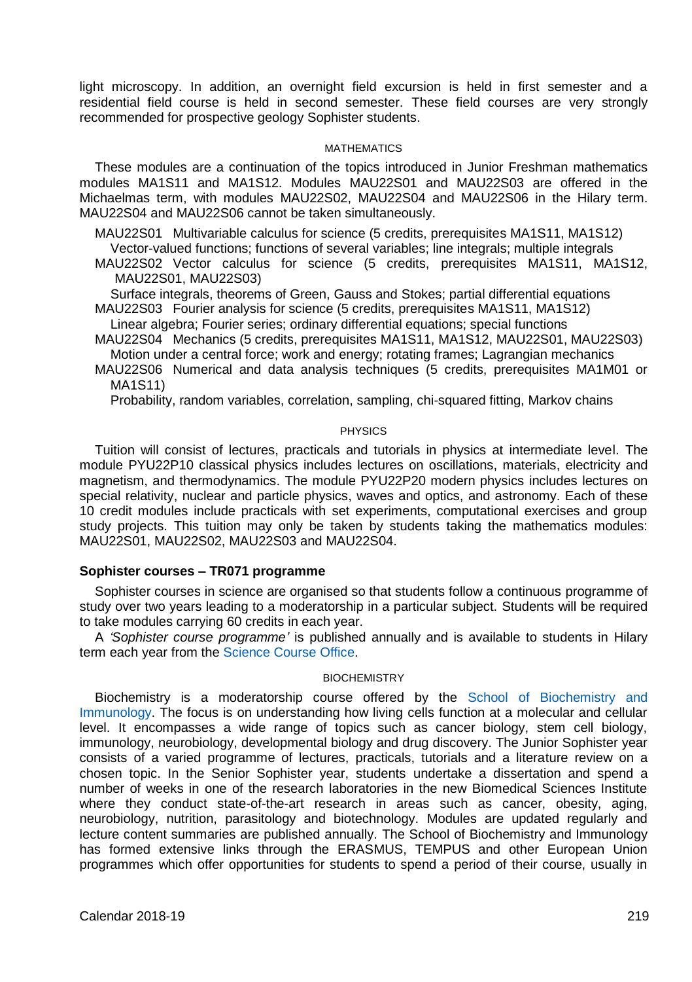light microscopy. In addition, an overnight field excursion is held in first semester and a residential field course is held in second semester. These field courses are very strongly recommended for prospective geology Sophister students.

#### MATHEMATICS

These modules are a continuation of the topics introduced in Junior Freshman mathematics modules MA1S11 and MA1S12. Modules MAU22S01 and MAU22S03 are offered in the Michaelmas term, with modules MAU22S02, MAU22S04 and MAU22S06 in the Hilary term. MAU22S04 and MAU22S06 cannot be taken simultaneously.

MAU22S01 Multivariable calculus for science (5 credits, prerequisites MA1S11, MA1S12)

Vector-valued functions; functions of several variables; line integrals; multiple integrals

MAU22S02 Vector calculus for science (5 credits, prerequisites MA1S11, MA1S12, MAU22S01, MAU22S03)

Surface integrals, theorems of Green, Gauss and Stokes; partial differential equations

MAU22S03 Fourier analysis for science (5 credits, prerequisites MA1S11, MA1S12) Linear algebra; Fourier series; ordinary differential equations; special functions

MAU22S04 Mechanics (5 credits, prerequisites MA1S11, MA1S12, MAU22S01, MAU22S03) Motion under a central force; work and energy; rotating frames; Lagrangian mechanics

MAU22S06 Numerical and data analysis techniques (5 credits, prerequisites MA1M01 or MA1S11)

Probability, random variables, correlation, sampling, chi-squared fitting, Markov chains

#### PHYSICS

Tuition will consist of lectures, practicals and tutorials in physics at intermediate level. The module PYU22P10 classical physics includes lectures on oscillations, materials, electricity and magnetism, and thermodynamics. The module PYU22P20 modern physics includes lectures on special relativity, nuclear and particle physics, waves and optics, and astronomy. Each of these 10 credit modules include practicals with set experiments, computational exercises and group study projects. This tuition may only be taken by students taking the mathematics modules: MAU22S01, MAU22S02, MAU22S03 and MAU22S04.

## **Sophister courses – TR071 programme**

Sophister courses in science are organised so that students follow a continuous programme of study over two years leading to a moderatorship in a particular subject. Students will be required to take modules carrying 60 credits in each year.

A *'Sophister course programme'* is published annually and is available to students in Hilary term each year from th[e Science Course](http://www.tcd.ie/Science/) Office.

#### **BIOCHEMISTRY**

Biochemistry is a moderatorship course offered by the [School of Biochemistry and](http://www.tcd.ie/Biochemistry/)  [Immunology.](http://www.tcd.ie/Biochemistry/) The focus is on understanding how living cells function at a molecular and cellular level. It encompasses a wide range of topics such as cancer biology, stem cell biology, immunology, neurobiology, developmental biology and drug discovery. The Junior Sophister year consists of a varied programme of lectures, practicals, tutorials and a literature review on a chosen topic. In the Senior Sophister year, students undertake a dissertation and spend a number of weeks in one of the research laboratories in the new Biomedical Sciences Institute where they conduct state-of-the-art research in areas such as cancer, obesity, aging, neurobiology, nutrition, parasitology and biotechnology. Modules are updated regularly and lecture content summaries are published annually. The School of Biochemistry and Immunology has formed extensive links through the ERASMUS, TEMPUS and other European Union programmes which offer opportunities for students to spend a period of their course, usually in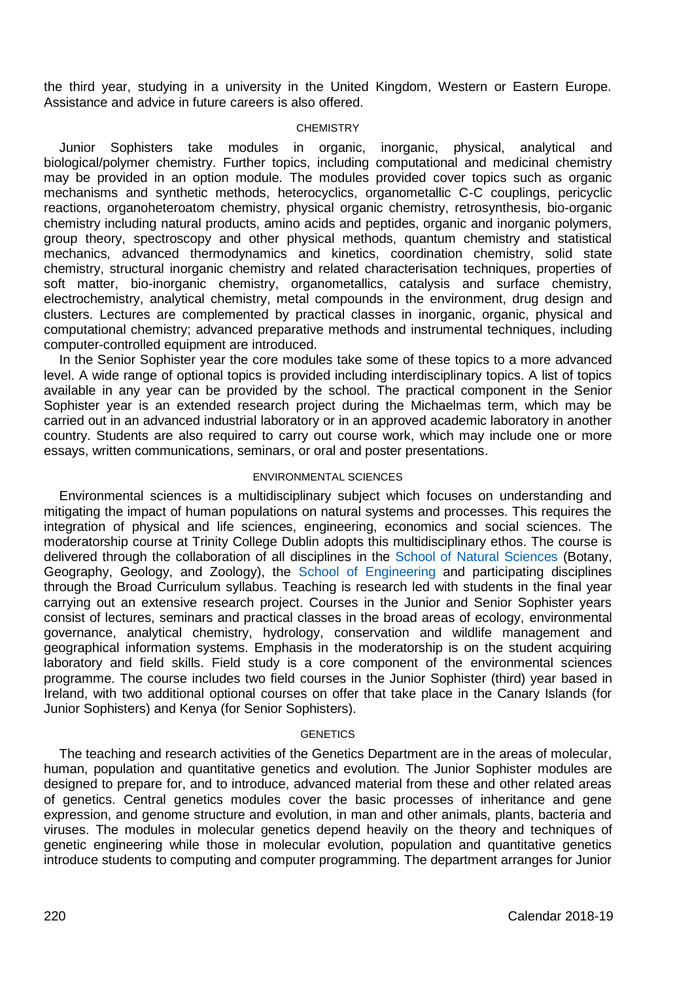the third year, studying in a university in the United Kingdom, Western or Eastern Europe. Assistance and advice in future careers is also offered.

#### **CHEMISTRY**

Junior Sophisters take modules in organic, inorganic, physical, analytical and biological/polymer chemistry. Further topics, including computational and medicinal chemistry may be provided in an option module. The modules provided cover topics such as organic mechanisms and synthetic methods, heterocyclics, organometallic C-C couplings, pericyclic reactions, organoheteroatom chemistry, physical organic chemistry, retrosynthesis, bio-organic chemistry including natural products, amino acids and peptides, organic and inorganic polymers, group theory, spectroscopy and other physical methods, quantum chemistry and statistical mechanics, advanced thermodynamics and kinetics, coordination chemistry, solid state chemistry, structural inorganic chemistry and related characterisation techniques, properties of soft matter, bio-inorganic chemistry, organometallics, catalysis and surface chemistry, electrochemistry, analytical chemistry, metal compounds in the environment, drug design and clusters. Lectures are complemented by practical classes in inorganic, organic, physical and computational chemistry; advanced preparative methods and instrumental techniques, including computer-controlled equipment are introduced.

In the Senior Sophister year the core modules take some of these topics to a more advanced level. A wide range of optional topics is provided including interdisciplinary topics. A list of topics available in any year can be provided by the school. The practical component in the Senior Sophister year is an extended research project during the Michaelmas term, which may be carried out in an advanced industrial laboratory or in an approved academic laboratory in another country. Students are also required to carry out course work, which may include one or more essays, written communications, seminars, or oral and poster presentations.

#### ENVIRONMENTAL SCIENCES

Environmental sciences is a multidisciplinary subject which focuses on understanding and mitigating the impact of human populations on natural systems and processes. This requires the integration of physical and life sciences, engineering, economics and social sciences. The moderatorship course at Trinity College Dublin adopts this multidisciplinary ethos. The course is delivered through the collaboration of all disciplines in the [School of Natural Sciences](http://naturalscience.tcd.ie/) (Botany, Geography, Geology, and Zoology), the [School of Engineering](http://www.tcd.ie/Engineering/) and participating disciplines through the Broad Curriculum syllabus. Teaching is research led with students in the final year carrying out an extensive research project. Courses in the Junior and Senior Sophister years consist of lectures, seminars and practical classes in the broad areas of ecology, environmental governance, analytical chemistry, hydrology, conservation and wildlife management and geographical information systems. Emphasis in the moderatorship is on the student acquiring laboratory and field skills. Field study is a core component of the environmental sciences programme. The course includes two field courses in the Junior Sophister (third) year based in Ireland, with two additional optional courses on offer that take place in the Canary Islands (for Junior Sophisters) and Kenya (for Senior Sophisters).

## **GENETICS**

The teaching and research activities of the Genetics Department are in the areas of molecular, human, population and quantitative genetics and evolution. The Junior Sophister modules are designed to prepare for, and to introduce, advanced material from these and other related areas of genetics. Central genetics modules cover the basic processes of inheritance and gene expression, and genome structure and evolution, in man and other animals, plants, bacteria and viruses. The modules in molecular genetics depend heavily on the theory and techniques of genetic engineering while those in molecular evolution, population and quantitative genetics introduce students to computing and computer programming. The department arranges for Junior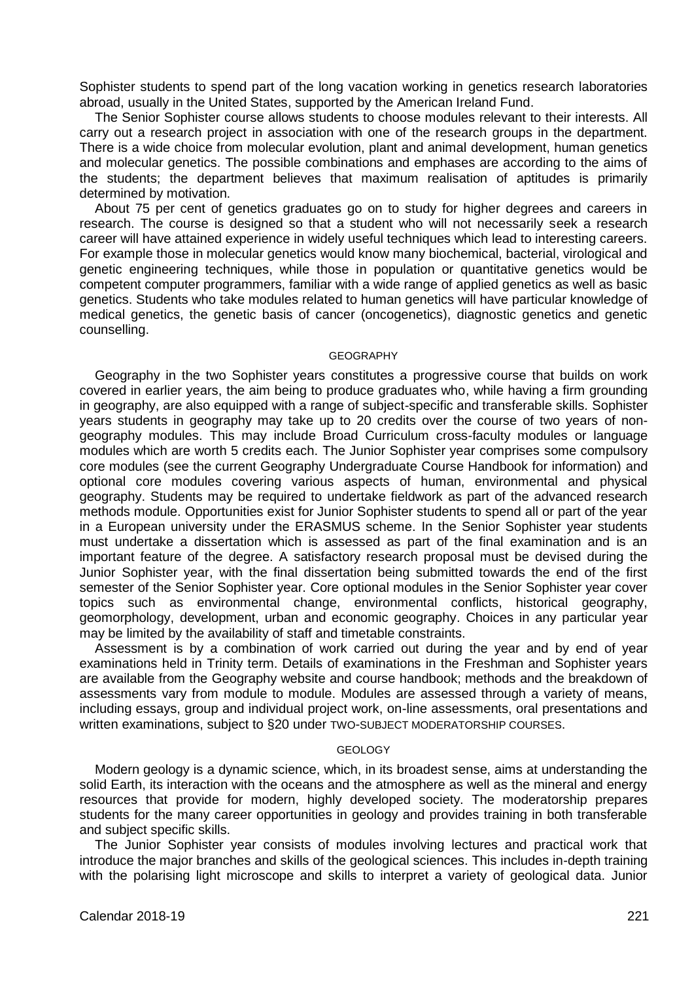Sophister students to spend part of the long vacation working in genetics research laboratories abroad, usually in the United States, supported by the American Ireland Fund.

The Senior Sophister course allows students to choose modules relevant to their interests. All carry out a research project in association with one of the research groups in the department. There is a wide choice from molecular evolution, plant and animal development, human genetics and molecular genetics. The possible combinations and emphases are according to the aims of the students; the department believes that maximum realisation of aptitudes is primarily determined by motivation.

About 75 per cent of genetics graduates go on to study for higher degrees and careers in research. The course is designed so that a student who will not necessarily seek a research career will have attained experience in widely useful techniques which lead to interesting careers. For example those in molecular genetics would know many biochemical, bacterial, virological and genetic engineering techniques, while those in population or quantitative genetics would be competent computer programmers, familiar with a wide range of applied genetics as well as basic genetics. Students who take modules related to human genetics will have particular knowledge of medical genetics, the genetic basis of cancer (oncogenetics), diagnostic genetics and genetic counselling.

#### **GEOGRAPHY**

Geography in the two Sophister years constitutes a progressive course that builds on work covered in earlier years, the aim being to produce graduates who, while having a firm grounding in geography, are also equipped with a range of subject-specific and transferable skills. Sophister years students in geography may take up to 20 credits over the course of two years of nongeography modules. This may include Broad Curriculum cross-faculty modules or language modules which are worth 5 credits each. The Junior Sophister year comprises some compulsory core modules (see the current Geography Undergraduate Course Handbook for information) and optional core modules covering various aspects of human, environmental and physical geography. Students may be required to undertake fieldwork as part of the advanced research methods module. Opportunities exist for Junior Sophister students to spend all or part of the year in a European university under the ERASMUS scheme. In the Senior Sophister year students must undertake a dissertation which is assessed as part of the final examination and is an important feature of the degree. A satisfactory research proposal must be devised during the Junior Sophister year, with the final dissertation being submitted towards the end of the first semester of the Senior Sophister year. Core optional modules in the Senior Sophister year cover topics such as environmental change, environmental conflicts, historical geography, geomorphology, development, urban and economic geography. Choices in any particular year may be limited by the availability of staff and timetable constraints.

Assessment is by a combination of work carried out during the year and by end of year examinations held in Trinity term. Details of examinations in the Freshman and Sophister years are available from the Geography website and course handbook; methods and the breakdown of assessments vary from module to module. Modules are assessed through a variety of means, including essays, group and individual project work, on-line assessments, oral presentations and written examinations, subject to §20 under TWO-SUBJECT MODERATORSHIP COURSES.

#### GEOLOGY

Modern geology is a dynamic science, which, in its broadest sense, aims at understanding the solid Earth, its interaction with the oceans and the atmosphere as well as the mineral and energy resources that provide for modern, highly developed society. The moderatorship prepares students for the many career opportunities in geology and provides training in both transferable and subject specific skills.

The Junior Sophister year consists of modules involving lectures and practical work that introduce the major branches and skills of the geological sciences. This includes in-depth training with the polarising light microscope and skills to interpret a variety of geological data. Junior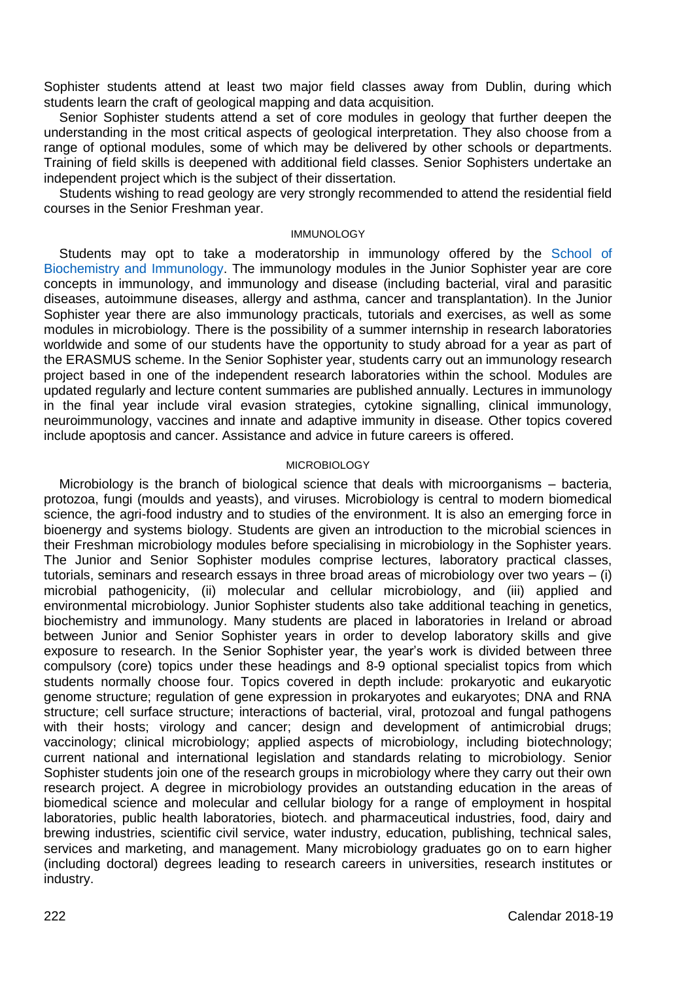Sophister students attend at least two major field classes away from Dublin, during which students learn the craft of geological mapping and data acquisition.

Senior Sophister students attend a set of core modules in geology that further deepen the understanding in the most critical aspects of geological interpretation. They also choose from a range of optional modules, some of which may be delivered by other schools or departments. Training of field skills is deepened with additional field classes. Senior Sophisters undertake an independent project which is the subject of their dissertation.

Students wishing to read geology are very strongly recommended to attend the residential field courses in the Senior Freshman year.

## IMMUNOLOGY

Students may opt to take a moderatorship in immunology offered by the [School of](http://www.tcd.ie/Biochemistry/)  [Biochemistry and Immunology.](http://www.tcd.ie/Biochemistry/) The immunology modules in the Junior Sophister year are core concepts in immunology, and immunology and disease (including bacterial, viral and parasitic diseases, autoimmune diseases, allergy and asthma, cancer and transplantation). In the Junior Sophister year there are also immunology practicals, tutorials and exercises, as well as some modules in microbiology. There is the possibility of a summer internship in research laboratories worldwide and some of our students have the opportunity to study abroad for a year as part of the ERASMUS scheme. In the Senior Sophister year, students carry out an immunology research project based in one of the independent research laboratories within the school. Modules are updated regularly and lecture content summaries are published annually. Lectures in immunology in the final year include viral evasion strategies, cytokine signalling, clinical immunology, neuroimmunology, vaccines and innate and adaptive immunity in disease. Other topics covered include apoptosis and cancer. Assistance and advice in future careers is offered.

#### MICROBIOLOGY

Microbiology is the branch of biological science that deals with microorganisms – bacteria, protozoa, fungi (moulds and yeasts), and viruses. Microbiology is central to modern biomedical science, the agri-food industry and to studies of the environment. It is also an emerging force in bioenergy and systems biology. Students are given an introduction to the microbial sciences in their Freshman microbiology modules before specialising in microbiology in the Sophister years. The Junior and Senior Sophister modules comprise lectures, laboratory practical classes, tutorials, seminars and research essays in three broad areas of microbiology over two years – (i) microbial pathogenicity, (ii) molecular and cellular microbiology, and (iii) applied and environmental microbiology. Junior Sophister students also take additional teaching in genetics, biochemistry and immunology. Many students are placed in laboratories in Ireland or abroad between Junior and Senior Sophister years in order to develop laboratory skills and give exposure to research. In the Senior Sophister year, the year's work is divided between three compulsory (core) topics under these headings and 8-9 optional specialist topics from which students normally choose four. Topics covered in depth include: prokaryotic and eukaryotic genome structure; regulation of gene expression in prokaryotes and eukaryotes; DNA and RNA structure; cell surface structure; interactions of bacterial, viral, protozoal and fungal pathogens with their hosts; virology and cancer; design and development of antimicrobial drugs; vaccinology; clinical microbiology; applied aspects of microbiology, including biotechnology; current national and international legislation and standards relating to microbiology. Senior Sophister students join one of the research groups in microbiology where they carry out their own research project. A degree in microbiology provides an outstanding education in the areas of biomedical science and molecular and cellular biology for a range of employment in hospital laboratories, public health laboratories, biotech. and pharmaceutical industries, food, dairy and brewing industries, scientific civil service, water industry, education, publishing, technical sales, services and marketing, and management. Many microbiology graduates go on to earn higher (including doctoral) degrees leading to research careers in universities, research institutes or industry.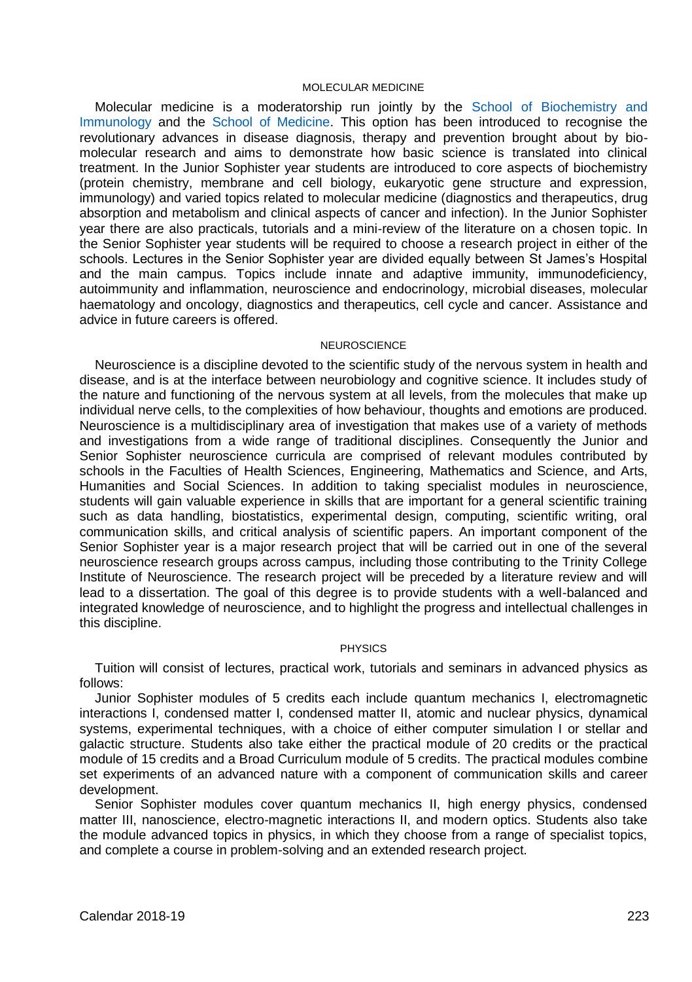#### MOLECULAR MEDICINE

Molecular medicine is a moderatorship run jointly by the [School of Biochemistry and](http://www.tcd.ie/Biochemistry/)  [Immunology](http://www.tcd.ie/Biochemistry/) and the [School of Medicine.](http://medicine.tcd.ie/) This option has been introduced to recognise the revolutionary advances in disease diagnosis, therapy and prevention brought about by biomolecular research and aims to demonstrate how basic science is translated into clinical treatment. In the Junior Sophister year students are introduced to core aspects of biochemistry (protein chemistry, membrane and cell biology, eukaryotic gene structure and expression, immunology) and varied topics related to molecular medicine (diagnostics and therapeutics, drug absorption and metabolism and clinical aspects of cancer and infection). In the Junior Sophister year there are also practicals, tutorials and a mini-review of the literature on a chosen topic. In the Senior Sophister year students will be required to choose a research project in either of the schools. Lectures in the Senior Sophister year are divided equally between St James's Hospital and the main campus. Topics include innate and adaptive immunity, immunodeficiency, autoimmunity and inflammation, neuroscience and endocrinology, microbial diseases, molecular haematology and oncology, diagnostics and therapeutics, cell cycle and cancer. Assistance and advice in future careers is offered.

#### **NEUROSCIENCE**

Neuroscience is a discipline devoted to the scientific study of the nervous system in health and disease, and is at the interface between neurobiology and cognitive science. It includes study of the nature and functioning of the nervous system at all levels, from the molecules that make up individual nerve cells, to the complexities of how behaviour, thoughts and emotions are produced. Neuroscience is a multidisciplinary area of investigation that makes use of a variety of methods and investigations from a wide range of traditional disciplines. Consequently the Junior and Senior Sophister neuroscience curricula are comprised of relevant modules contributed by schools in the Faculties of Health Sciences, Engineering, Mathematics and Science, and Arts, Humanities and Social Sciences. In addition to taking specialist modules in neuroscience, students will gain valuable experience in skills that are important for a general scientific training such as data handling, biostatistics, experimental design, computing, scientific writing, oral communication skills, and critical analysis of scientific papers. An important component of the Senior Sophister year is a major research project that will be carried out in one of the several neuroscience research groups across campus, including those contributing to the Trinity College Institute of Neuroscience. The research project will be preceded by a literature review and will lead to a dissertation. The goal of this degree is to provide students with a well-balanced and integrated knowledge of neuroscience, and to highlight the progress and intellectual challenges in this discipline.

#### PHYSICS

Tuition will consist of lectures, practical work, tutorials and seminars in advanced physics as follows:

Junior Sophister modules of 5 credits each include quantum mechanics I, electromagnetic interactions I, condensed matter I, condensed matter II, atomic and nuclear physics, dynamical systems, experimental techniques, with a choice of either computer simulation I or stellar and galactic structure. Students also take either the practical module of 20 credits or the practical module of 15 credits and a Broad Curriculum module of 5 credits. The practical modules combine set experiments of an advanced nature with a component of communication skills and career development.

Senior Sophister modules cover quantum mechanics II, high energy physics, condensed matter III, nanoscience, electro-magnetic interactions II, and modern optics. Students also take the module advanced topics in physics, in which they choose from a range of specialist topics, and complete a course in problem-solving and an extended research project.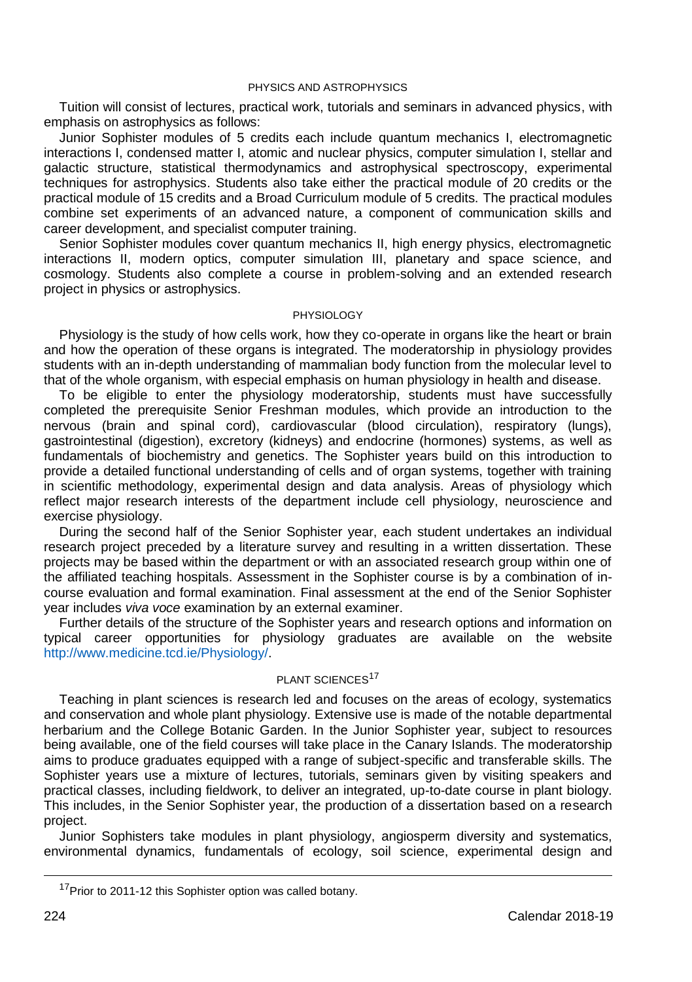#### PHYSICS AND ASTROPHYSICS

Tuition will consist of lectures, practical work, tutorials and seminars in advanced physics, with emphasis on astrophysics as follows:

Junior Sophister modules of 5 credits each include quantum mechanics I, electromagnetic interactions I, condensed matter I, atomic and nuclear physics, computer simulation I, stellar and galactic structure, statistical thermodynamics and astrophysical spectroscopy, experimental techniques for astrophysics. Students also take either the practical module of 20 credits or the practical module of 15 credits and a Broad Curriculum module of 5 credits. The practical modules combine set experiments of an advanced nature, a component of communication skills and career development, and specialist computer training.

Senior Sophister modules cover quantum mechanics II, high energy physics, electromagnetic interactions II, modern optics, computer simulation III, planetary and space science, and cosmology. Students also complete a course in problem-solving and an extended research project in physics or astrophysics.

#### PHYSIOLOGY

Physiology is the study of how cells work, how they co-operate in organs like the heart or brain and how the operation of these organs is integrated. The moderatorship in physiology provides students with an in-depth understanding of mammalian body function from the molecular level to that of the whole organism, with especial emphasis on human physiology in health and disease.

To be eligible to enter the physiology moderatorship, students must have successfully completed the prerequisite Senior Freshman modules, which provide an introduction to the nervous (brain and spinal cord), cardiovascular (blood circulation), respiratory (lungs), gastrointestinal (digestion), excretory (kidneys) and endocrine (hormones) systems, as well as fundamentals of biochemistry and genetics. The Sophister years build on this introduction to provide a detailed functional understanding of cells and of organ systems, together with training in scientific methodology, experimental design and data analysis. Areas of physiology which reflect major research interests of the department include cell physiology, neuroscience and exercise physiology.

During the second half of the Senior Sophister year, each student undertakes an individual research project preceded by a literature survey and resulting in a written dissertation. These projects may be based within the department or with an associated research group within one of the affiliated teaching hospitals. Assessment in the Sophister course is by a combination of incourse evaluation and formal examination. Final assessment at the end of the Senior Sophister year includes *viva voce* examination by an external examiner.

Further details of the structure of the Sophister years and research options and information on typical career opportunities for physiology graduates are available on the website [http://www.medicine.tcd.ie/Physiology/.](http://www.medicine.tcd.ie/Physiology/)

## PLANT SCIENCES<sup>17</sup>

Teaching in plant sciences is research led and focuses on the areas of ecology, systematics and conservation and whole plant physiology. Extensive use is made of the notable departmental herbarium and the College Botanic Garden. In the Junior Sophister year, subject to resources being available, one of the field courses will take place in the Canary Islands. The moderatorship aims to produce graduates equipped with a range of subject-specific and transferable skills. The Sophister years use a mixture of lectures, tutorials, seminars given by visiting speakers and practical classes, including fieldwork, to deliver an integrated, up-to-date course in plant biology. This includes, in the Senior Sophister year, the production of a dissertation based on a research project.

Junior Sophisters take modules in plant physiology, angiosperm diversity and systematics, environmental dynamics, fundamentals of ecology, soil science, experimental design and

<sup>&</sup>lt;sup>17</sup>Prior to 2011-12 this Sophister option was called botany.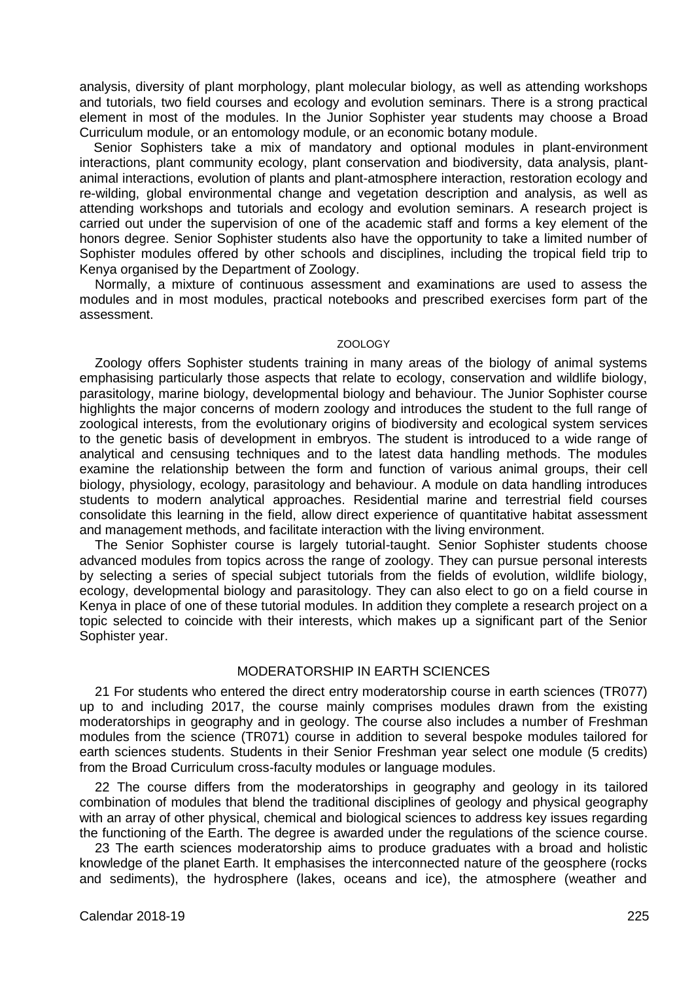analysis, diversity of plant morphology, plant molecular biology, as well as attending workshops and tutorials, two field courses and ecology and evolution seminars. There is a strong practical element in most of the modules. In the Junior Sophister year students may choose a Broad Curriculum module, or an entomology module, or an economic botany module.

Senior Sophisters take a mix of mandatory and optional modules in plant-environment interactions, plant community ecology, plant conservation and biodiversity, data analysis, plantanimal interactions, evolution of plants and plant-atmosphere interaction, restoration ecology and re-wilding, global environmental change and vegetation description and analysis, as well as attending workshops and tutorials and ecology and evolution seminars. A research project is carried out under the supervision of one of the academic staff and forms a key element of the honors degree. Senior Sophister students also have the opportunity to take a limited number of Sophister modules offered by other schools and disciplines, including the tropical field trip to Kenya organised by the Department of Zoology.

Normally, a mixture of continuous assessment and examinations are used to assess the modules and in most modules, practical notebooks and prescribed exercises form part of the assessment.

#### ZOOLOGY

Zoology offers Sophister students training in many areas of the biology of animal systems emphasising particularly those aspects that relate to ecology, conservation and wildlife biology, parasitology, marine biology, developmental biology and behaviour. The Junior Sophister course highlights the major concerns of modern zoology and introduces the student to the full range of zoological interests, from the evolutionary origins of biodiversity and ecological system services to the genetic basis of development in embryos. The student is introduced to a wide range of analytical and censusing techniques and to the latest data handling methods. The modules examine the relationship between the form and function of various animal groups, their cell biology, physiology, ecology, parasitology and behaviour. A module on data handling introduces students to modern analytical approaches. Residential marine and terrestrial field courses consolidate this learning in the field, allow direct experience of quantitative habitat assessment and management methods, and facilitate interaction with the living environment.

The Senior Sophister course is largely tutorial-taught. Senior Sophister students choose advanced modules from topics across the range of zoology. They can pursue personal interests by selecting a series of special subject tutorials from the fields of evolution, wildlife biology, ecology, developmental biology and parasitology. They can also elect to go on a field course in Kenya in place of one of these tutorial modules. In addition they complete a research project on a topic selected to coincide with their interests, which makes up a significant part of the Senior Sophister year.

## MODERATORSHIP IN EARTH SCIENCES

21 For students who entered the direct entry moderatorship course in earth sciences (TR077) up to and including 2017, the course mainly comprises modules drawn from the existing moderatorships in geography and in geology. The course also includes a number of Freshman modules from the science (TR071) course in addition to several bespoke modules tailored for earth sciences students. Students in their Senior Freshman year select one module (5 credits) from the Broad Curriculum cross-faculty modules or language modules.

22 The course differs from the moderatorships in geography and geology in its tailored combination of modules that blend the traditional disciplines of geology and physical geography with an array of other physical, chemical and biological sciences to address key issues regarding the functioning of the Earth. The degree is awarded under the regulations of the science course.

23 The earth sciences moderatorship aims to produce graduates with a broad and holistic knowledge of the planet Earth. It emphasises the interconnected nature of the geosphere (rocks and sediments), the hydrosphere (lakes, oceans and ice), the atmosphere (weather and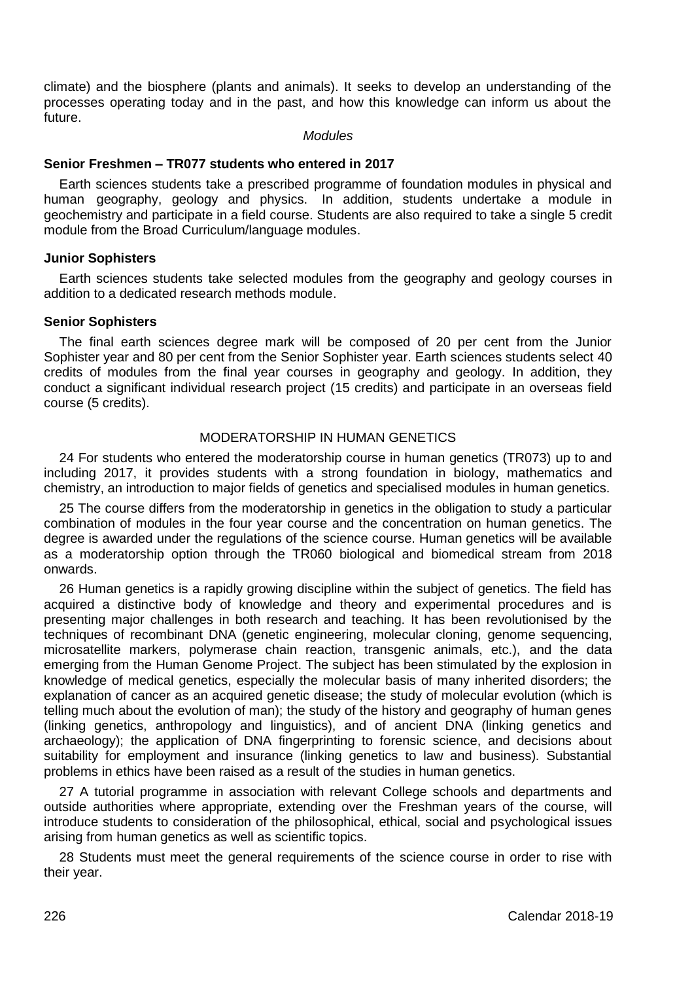climate) and the biosphere (plants and animals). It seeks to develop an understanding of the processes operating today and in the past, and how this knowledge can inform us about the future.

#### *Modules*

#### **Senior Freshmen – TR077 students who entered in 2017**

Earth sciences students take a prescribed programme of foundation modules in physical and human geography, geology and physics. In addition, students undertake a module in geochemistry and participate in a field course. Students are also required to take a single 5 credit module from the Broad Curriculum/language modules.

#### **Junior Sophisters**

Earth sciences students take selected modules from the geography and geology courses in addition to a dedicated research methods module.

#### **Senior Sophisters**

The final earth sciences degree mark will be composed of 20 per cent from the Junior Sophister year and 80 per cent from the Senior Sophister year. Earth sciences students select 40 credits of modules from the final year courses in geography and geology. In addition, they conduct a significant individual research project (15 credits) and participate in an overseas field course (5 credits).

## MODERATORSHIP IN HUMAN GENETICS

24 For students who entered the moderatorship course in human genetics (TR073) up to and including 2017, it provides students with a strong foundation in biology, mathematics and chemistry, an introduction to major fields of genetics and specialised modules in human genetics.

25 The course differs from the moderatorship in genetics in the obligation to study a particular combination of modules in the four year course and the concentration on human genetics. The degree is awarded under the regulations of the science course. Human genetics will be available as a moderatorship option through the TR060 biological and biomedical stream from 2018 onwards.

26 Human genetics is a rapidly growing discipline within the subject of genetics. The field has acquired a distinctive body of knowledge and theory and experimental procedures and is presenting major challenges in both research and teaching. It has been revolutionised by the techniques of recombinant DNA (genetic engineering, molecular cloning, genome sequencing, microsatellite markers, polymerase chain reaction, transgenic animals, etc.), and the data emerging from the Human Genome Project. The subject has been stimulated by the explosion in knowledge of medical genetics, especially the molecular basis of many inherited disorders; the explanation of cancer as an acquired genetic disease; the study of molecular evolution (which is telling much about the evolution of man); the study of the history and geography of human genes (linking genetics, anthropology and linguistics), and of ancient DNA (linking genetics and archaeology); the application of DNA fingerprinting to forensic science, and decisions about suitability for employment and insurance (linking genetics to law and business). Substantial problems in ethics have been raised as a result of the studies in human genetics.

27 A tutorial programme in association with relevant College schools and departments and outside authorities where appropriate, extending over the Freshman years of the course, will introduce students to consideration of the philosophical, ethical, social and psychological issues arising from human genetics as well as scientific topics.

28 Students must meet the general requirements of the science course in order to rise with their year.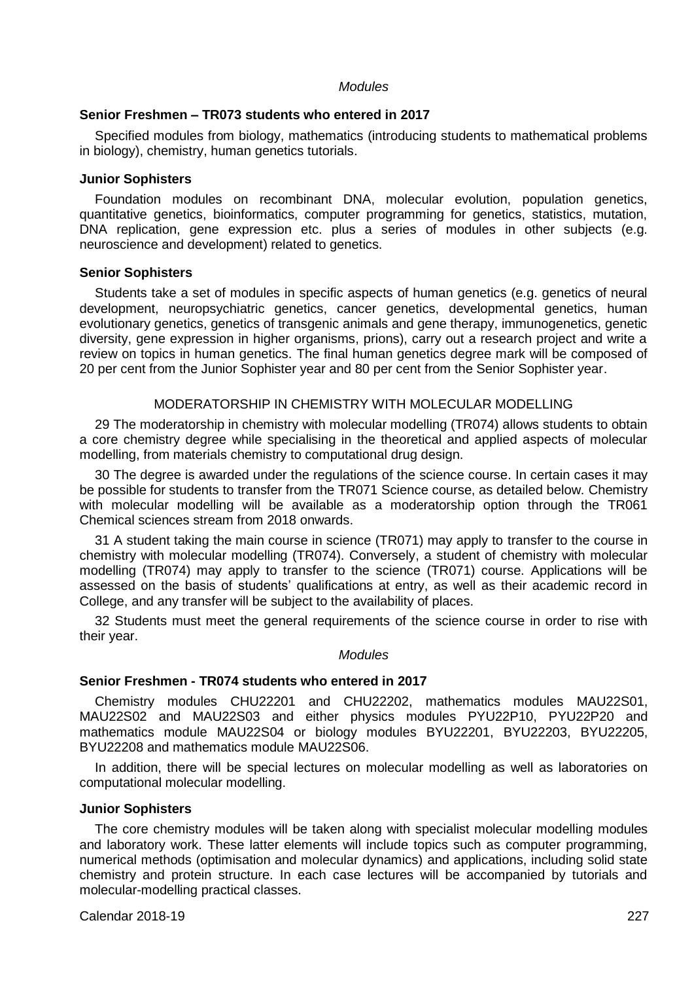#### *Modules*

#### **Senior Freshmen – TR073 students who entered in 2017**

Specified modules from biology, mathematics (introducing students to mathematical problems in biology), chemistry, human genetics tutorials.

#### **Junior Sophisters**

Foundation modules on recombinant DNA, molecular evolution, population genetics, quantitative genetics, bioinformatics, computer programming for genetics, statistics, mutation, DNA replication, gene expression etc. plus a series of modules in other subjects (e.g. neuroscience and development) related to genetics.

### **Senior Sophisters**

Students take a set of modules in specific aspects of human genetics (e.g. genetics of neural development, neuropsychiatric genetics, cancer genetics, developmental genetics, human evolutionary genetics, genetics of transgenic animals and gene therapy, immunogenetics, genetic diversity, gene expression in higher organisms, prions), carry out a research project and write a review on topics in human genetics. The final human genetics degree mark will be composed of 20 per cent from the Junior Sophister year and 80 per cent from the Senior Sophister year.

#### MODERATORSHIP IN CHEMISTRY WITH MOLECULAR MODELLING

29 The moderatorship in chemistry with molecular modelling (TR074) allows students to obtain a core chemistry degree while specialising in the theoretical and applied aspects of molecular modelling, from materials chemistry to computational drug design.

30 The degree is awarded under the regulations of the science course. In certain cases it may be possible for students to transfer from the TR071 Science course, as detailed below. Chemistry with molecular modelling will be available as a moderatorship option through the TR061 Chemical sciences stream from 2018 onwards.

31 A student taking the main course in science (TR071) may apply to transfer to the course in chemistry with molecular modelling (TR074). Conversely, a student of chemistry with molecular modelling (TR074) may apply to transfer to the science (TR071) course. Applications will be assessed on the basis of students' qualifications at entry, as well as their academic record in College, and any transfer will be subject to the availability of places.

32 Students must meet the general requirements of the science course in order to rise with their year.

## *Modules*

#### **Senior Freshmen - TR074 students who entered in 2017**

Chemistry modules CHU22201 and CHU22202, mathematics modules MAU22S01, MAU22S02 and MAU22S03 and either physics modules PYU22P10, PYU22P20 and mathematics module MAU22S04 or biology modules BYU22201, BYU22203, BYU22205, BYU22208 and mathematics module MAU22S06.

In addition, there will be special lectures on molecular modelling as well as laboratories on computational molecular modelling.

## **Junior Sophisters**

The core chemistry modules will be taken along with specialist molecular modelling modules and laboratory work. These latter elements will include topics such as computer programming, numerical methods (optimisation and molecular dynamics) and applications, including solid state chemistry and protein structure. In each case lectures will be accompanied by tutorials and molecular-modelling practical classes.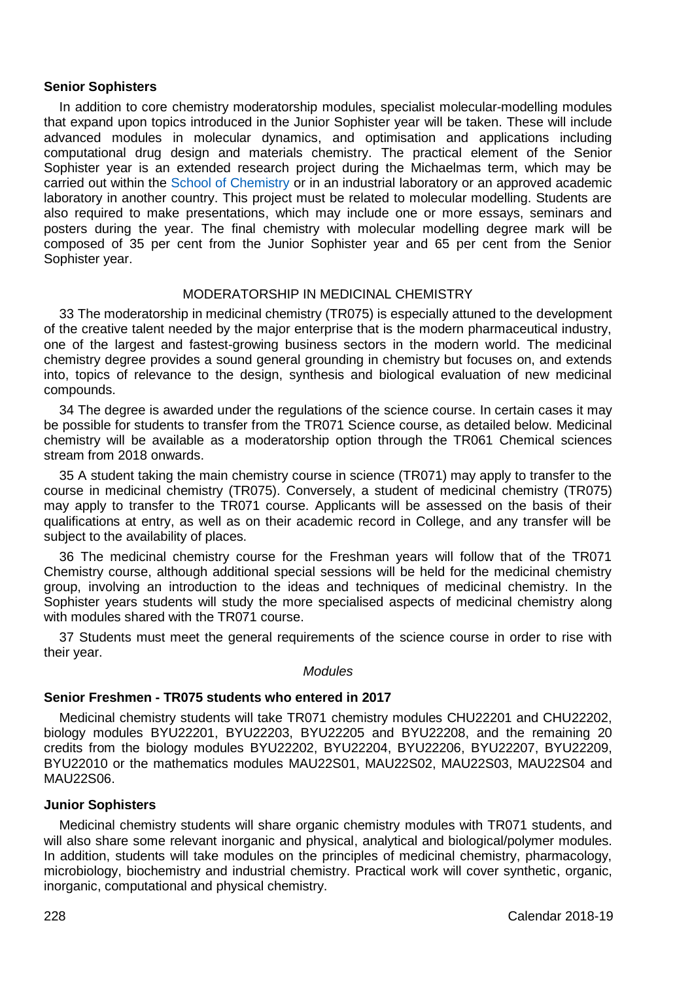#### **Senior Sophisters**

In addition to core chemistry moderatorship modules, specialist molecular-modelling modules that expand upon topics introduced in the Junior Sophister year will be taken. These will include advanced modules in molecular dynamics, and optimisation and applications including computational drug design and materials chemistry. The practical element of the Senior Sophister year is an extended research project during the Michaelmas term, which may be carried out within th[e School of Chemistry](http://chemistry.tcd.ie/) or in an industrial laboratory or an approved academic laboratory in another country. This project must be related to molecular modelling. Students are also required to make presentations, which may include one or more essays, seminars and posters during the year. The final chemistry with molecular modelling degree mark will be composed of 35 per cent from the Junior Sophister year and 65 per cent from the Senior Sophister year.

### MODERATORSHIP IN MEDICINAL CHEMISTRY

33 The moderatorship in medicinal chemistry (TR075) is especially attuned to the development of the creative talent needed by the major enterprise that is the modern pharmaceutical industry, one of the largest and fastest-growing business sectors in the modern world. The medicinal chemistry degree provides a sound general grounding in chemistry but focuses on, and extends into, topics of relevance to the design, synthesis and biological evaluation of new medicinal compounds.

34 The degree is awarded under the regulations of the science course. In certain cases it may be possible for students to transfer from the TR071 Science course, as detailed below. Medicinal chemistry will be available as a moderatorship option through the TR061 Chemical sciences stream from 2018 onwards.

35 A student taking the main chemistry course in science (TR071) may apply to transfer to the course in medicinal chemistry (TR075). Conversely, a student of medicinal chemistry (TR075) may apply to transfer to the TR071 course. Applicants will be assessed on the basis of their qualifications at entry, as well as on their academic record in College, and any transfer will be subject to the availability of places.

36 The medicinal chemistry course for the Freshman years will follow that of the TR071 Chemistry course, although additional special sessions will be held for the medicinal chemistry group, involving an introduction to the ideas and techniques of medicinal chemistry. In the Sophister years students will study the more specialised aspects of medicinal chemistry along with modules shared with the TR071 course.

37 Students must meet the general requirements of the science course in order to rise with their year.

#### *Modules*

#### **Senior Freshmen - TR075 students who entered in 2017**

Medicinal chemistry students will take TR071 chemistry modules CHU22201 and CHU22202, biology modules BYU22201, BYU22203, BYU22205 and BYU22208, and the remaining 20 credits from the biology modules BYU22202, BYU22204, BYU22206, BYU22207, BYU22209, BYU22010 or the mathematics modules MAU22S01, MAU22S02, MAU22S03, MAU22S04 and MAU22S06.

#### **Junior Sophisters**

Medicinal chemistry students will share organic chemistry modules with TR071 students, and will also share some relevant inorganic and physical, analytical and biological/polymer modules. In addition, students will take modules on the principles of medicinal chemistry, pharmacology, microbiology, biochemistry and industrial chemistry. Practical work will cover synthetic, organic, inorganic, computational and physical chemistry.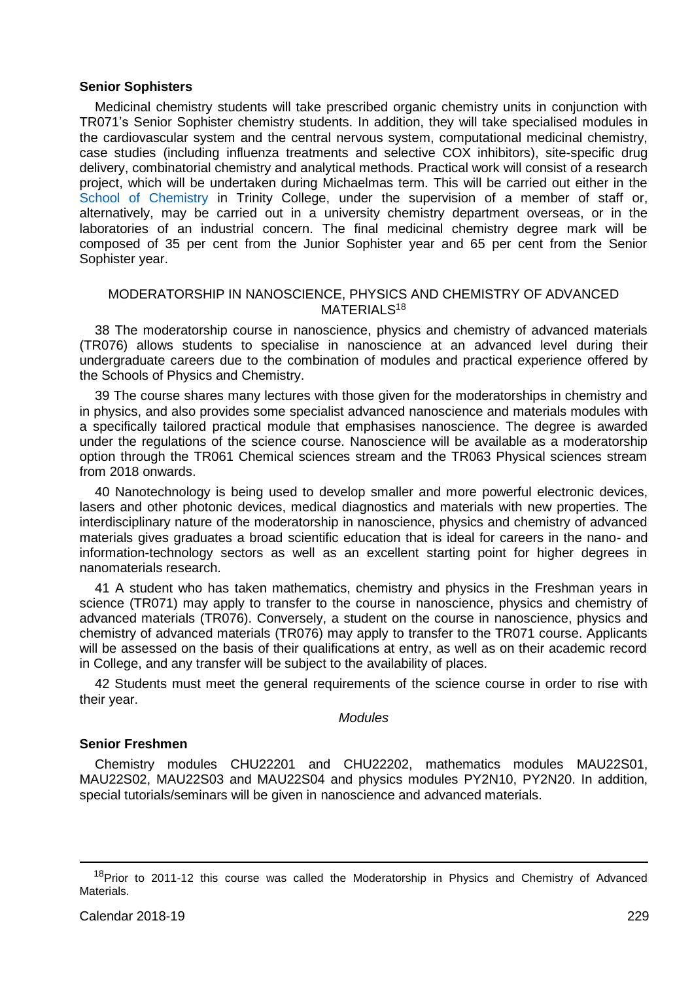## **Senior Sophisters**

Medicinal chemistry students will take prescribed organic chemistry units in conjunction with TR071's Senior Sophister chemistry students. In addition, they will take specialised modules in the cardiovascular system and the central nervous system, computational medicinal chemistry, case studies (including influenza treatments and selective COX inhibitors), site-specific drug delivery, combinatorial chemistry and analytical methods. Practical work will consist of a research project, which will be undertaken during Michaelmas term. This will be carried out either in the [School of Chemistry](http://chemistry.tcd.ie/) in Trinity College, under the supervision of a member of staff or, alternatively, may be carried out in a university chemistry department overseas, or in the laboratories of an industrial concern. The final medicinal chemistry degree mark will be composed of 35 per cent from the Junior Sophister year and 65 per cent from the Senior Sophister year.

## MODERATORSHIP IN NANOSCIENCE, PHYSICS AND CHEMISTRY OF ADVANCED MATERIAL S<sup>18</sup>

38 The moderatorship course in nanoscience, physics and chemistry of advanced materials (TR076) allows students to specialise in nanoscience at an advanced level during their undergraduate careers due to the combination of modules and practical experience offered by the Schools of Physics and Chemistry.

39 The course shares many lectures with those given for the moderatorships in chemistry and in physics, and also provides some specialist advanced nanoscience and materials modules with a specifically tailored practical module that emphasises nanoscience. The degree is awarded under the regulations of the science course. Nanoscience will be available as a moderatorship option through the TR061 Chemical sciences stream and the TR063 Physical sciences stream from 2018 onwards.

40 Nanotechnology is being used to develop smaller and more powerful electronic devices, lasers and other photonic devices, medical diagnostics and materials with new properties. The interdisciplinary nature of the moderatorship in nanoscience, physics and chemistry of advanced materials gives graduates a broad scientific education that is ideal for careers in the nano- and information-technology sectors as well as an excellent starting point for higher degrees in nanomaterials research.

41 A student who has taken mathematics, chemistry and physics in the Freshman years in science (TR071) may apply to transfer to the course in nanoscience, physics and chemistry of advanced materials (TR076). Conversely, a student on the course in nanoscience, physics and chemistry of advanced materials (TR076) may apply to transfer to the TR071 course. Applicants will be assessed on the basis of their qualifications at entry, as well as on their academic record in College, and any transfer will be subject to the availability of places.

42 Students must meet the general requirements of the science course in order to rise with their year.

### *Modules*

## **Senior Freshmen**

Chemistry modules CHU22201 and CHU22202, mathematics modules MAU22S01, MAU22S02, MAU22S03 and MAU22S04 and physics modules PY2N10, PY2N20. In addition, special tutorials/seminars will be given in nanoscience and advanced materials.

-

<sup>&</sup>lt;sup>18</sup>Prior to 2011-12 this course was called the Moderatorship in Physics and Chemistry of Advanced **Materials**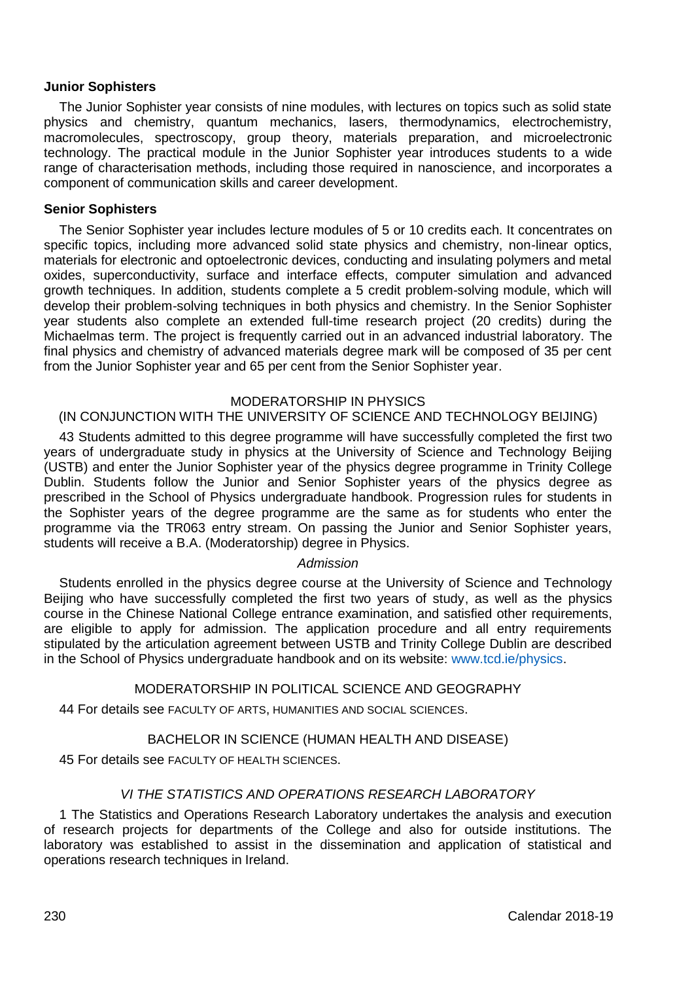## **Junior Sophisters**

The Junior Sophister year consists of nine modules, with lectures on topics such as solid state physics and chemistry, quantum mechanics, lasers, thermodynamics, electrochemistry, macromolecules, spectroscopy, group theory, materials preparation, and microelectronic technology. The practical module in the Junior Sophister year introduces students to a wide range of characterisation methods, including those required in nanoscience, and incorporates a component of communication skills and career development.

### **Senior Sophisters**

The Senior Sophister year includes lecture modules of 5 or 10 credits each. It concentrates on specific topics, including more advanced solid state physics and chemistry, non-linear optics, materials for electronic and optoelectronic devices, conducting and insulating polymers and metal oxides, superconductivity, surface and interface effects, computer simulation and advanced growth techniques. In addition, students complete a 5 credit problem-solving module, which will develop their problem-solving techniques in both physics and chemistry. In the Senior Sophister year students also complete an extended full-time research project (20 credits) during the Michaelmas term. The project is frequently carried out in an advanced industrial laboratory. The final physics and chemistry of advanced materials degree mark will be composed of 35 per cent from the Junior Sophister year and 65 per cent from the Senior Sophister year.

## MODERATORSHIP IN PHYSICS

## (IN CONJUNCTION WITH THE UNIVERSITY OF SCIENCE AND TECHNOLOGY BEIJING)

43 Students admitted to this degree programme will have successfully completed the first two years of undergraduate study in physics at the University of Science and Technology Beijing (USTB) and enter the Junior Sophister year of the physics degree programme in Trinity College Dublin. Students follow the Junior and Senior Sophister years of the physics degree as prescribed in the School of Physics undergraduate handbook. Progression rules for students in the Sophister years of the degree programme are the same as for students who enter the programme via the TR063 entry stream. On passing the Junior and Senior Sophister years, students will receive a B.A. (Moderatorship) degree in Physics.

## *Admission*

Students enrolled in the physics degree course at the University of Science and Technology Beijing who have successfully completed the first two years of study, as well as the physics course in the Chinese National College entrance examination, and satisfied other requirements, are eligible to apply for admission. The application procedure and all entry requirements stipulated by the articulation agreement between USTB and Trinity College Dublin are described in the School of Physics undergraduate handbook and on its website: [www.tcd.ie/physics.](https://www.tcd.ie/physics) 

## MODERATORSHIP IN POLITICAL SCIENCE AND GEOGRAPHY

44 For details see FACULTY OF ARTS, HUMANITIES AND SOCIAL SCIENCES.

## BACHELOR IN SCIENCE (HUMAN HEALTH AND DISEASE)

45 For details see FACULTY OF HEALTH SCIENCES.

## *VI THE STATISTICS AND OPERATIONS RESEARCH LABORATORY*

1 The Statistics and Operations Research Laboratory undertakes the analysis and execution of research projects for departments of the College and also for outside institutions. The laboratory was established to assist in the dissemination and application of statistical and operations research techniques in Ireland.